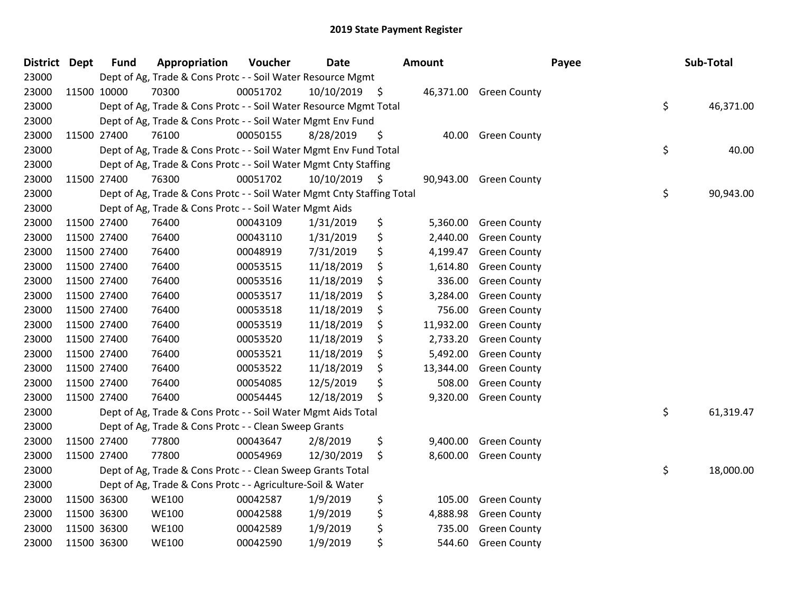| District Dept |             | <b>Fund</b> | Appropriation                                                          | Voucher  | <b>Date</b> |     | Amount    |                        | Payee | Sub-Total       |
|---------------|-------------|-------------|------------------------------------------------------------------------|----------|-------------|-----|-----------|------------------------|-------|-----------------|
| 23000         |             |             | Dept of Ag, Trade & Cons Protc - - Soil Water Resource Mgmt            |          |             |     |           |                        |       |                 |
| 23000         |             | 11500 10000 | 70300                                                                  | 00051702 | 10/10/2019  | \$  |           | 46,371.00 Green County |       |                 |
| 23000         |             |             | Dept of Ag, Trade & Cons Protc - - Soil Water Resource Mgmt Total      |          |             |     |           |                        |       | \$<br>46,371.00 |
| 23000         |             |             | Dept of Ag, Trade & Cons Protc - - Soil Water Mgmt Env Fund            |          |             |     |           |                        |       |                 |
| 23000         | 11500 27400 |             | 76100                                                                  | 00050155 | 8/28/2019   | \$  | 40.00     | <b>Green County</b>    |       |                 |
| 23000         |             |             | Dept of Ag, Trade & Cons Protc - - Soil Water Mgmt Env Fund Total      |          |             |     |           |                        |       | \$<br>40.00     |
| 23000         |             |             | Dept of Ag, Trade & Cons Protc - - Soil Water Mgmt Cnty Staffing       |          |             |     |           |                        |       |                 |
| 23000         |             | 11500 27400 | 76300                                                                  | 00051702 | 10/10/2019  | \$  | 90,943.00 | <b>Green County</b>    |       |                 |
| 23000         |             |             | Dept of Ag, Trade & Cons Protc - - Soil Water Mgmt Cnty Staffing Total |          |             |     |           |                        |       | \$<br>90,943.00 |
| 23000         |             |             | Dept of Ag, Trade & Cons Protc - - Soil Water Mgmt Aids                |          |             |     |           |                        |       |                 |
| 23000         | 11500 27400 |             | 76400                                                                  | 00043109 | 1/31/2019   | \$  | 5,360.00  | <b>Green County</b>    |       |                 |
| 23000         | 11500 27400 |             | 76400                                                                  | 00043110 | 1/31/2019   | \$  | 2,440.00  | <b>Green County</b>    |       |                 |
| 23000         | 11500 27400 |             | 76400                                                                  | 00048919 | 7/31/2019   | \$  | 4,199.47  | <b>Green County</b>    |       |                 |
| 23000         | 11500 27400 |             | 76400                                                                  | 00053515 | 11/18/2019  | \$  | 1,614.80  | <b>Green County</b>    |       |                 |
| 23000         | 11500 27400 |             | 76400                                                                  | 00053516 | 11/18/2019  | \$  | 336.00    | <b>Green County</b>    |       |                 |
| 23000         | 11500 27400 |             | 76400                                                                  | 00053517 | 11/18/2019  | \$  | 3,284.00  | <b>Green County</b>    |       |                 |
| 23000         | 11500 27400 |             | 76400                                                                  | 00053518 | 11/18/2019  | \$, | 756.00    | <b>Green County</b>    |       |                 |
| 23000         | 11500 27400 |             | 76400                                                                  | 00053519 | 11/18/2019  | \$  | 11,932.00 | <b>Green County</b>    |       |                 |
| 23000         | 11500 27400 |             | 76400                                                                  | 00053520 | 11/18/2019  | \$  | 2,733.20  | <b>Green County</b>    |       |                 |
| 23000         | 11500 27400 |             | 76400                                                                  | 00053521 | 11/18/2019  | \$  | 5,492.00  | <b>Green County</b>    |       |                 |
| 23000         | 11500 27400 |             | 76400                                                                  | 00053522 | 11/18/2019  | \$  | 13,344.00 | <b>Green County</b>    |       |                 |
| 23000         | 11500 27400 |             | 76400                                                                  | 00054085 | 12/5/2019   | \$  | 508.00    | <b>Green County</b>    |       |                 |
| 23000         | 11500 27400 |             | 76400                                                                  | 00054445 | 12/18/2019  | \$  | 9,320.00  | <b>Green County</b>    |       |                 |
| 23000         |             |             | Dept of Ag, Trade & Cons Protc - - Soil Water Mgmt Aids Total          |          |             |     |           |                        |       | \$<br>61,319.47 |
| 23000         |             |             | Dept of Ag, Trade & Cons Protc - - Clean Sweep Grants                  |          |             |     |           |                        |       |                 |
| 23000         | 11500 27400 |             | 77800                                                                  | 00043647 | 2/8/2019    | \$  | 9,400.00  | <b>Green County</b>    |       |                 |
| 23000         | 11500 27400 |             | 77800                                                                  | 00054969 | 12/30/2019  | \$  | 8,600.00  | <b>Green County</b>    |       |                 |
| 23000         |             |             | Dept of Ag, Trade & Cons Protc - - Clean Sweep Grants Total            |          |             |     |           |                        |       | \$<br>18,000.00 |
| 23000         |             |             | Dept of Ag, Trade & Cons Protc - - Agriculture-Soil & Water            |          |             |     |           |                        |       |                 |
| 23000         | 11500 36300 |             | <b>WE100</b>                                                           | 00042587 | 1/9/2019    | \$  | 105.00    | <b>Green County</b>    |       |                 |
| 23000         | 11500 36300 |             | <b>WE100</b>                                                           | 00042588 | 1/9/2019    | \$  | 4,888.98  | <b>Green County</b>    |       |                 |
| 23000         | 11500 36300 |             | <b>WE100</b>                                                           | 00042589 | 1/9/2019    | \$  | 735.00    | <b>Green County</b>    |       |                 |
| 23000         | 11500 36300 |             | <b>WE100</b>                                                           | 00042590 | 1/9/2019    | \$  | 544.60    | <b>Green County</b>    |       |                 |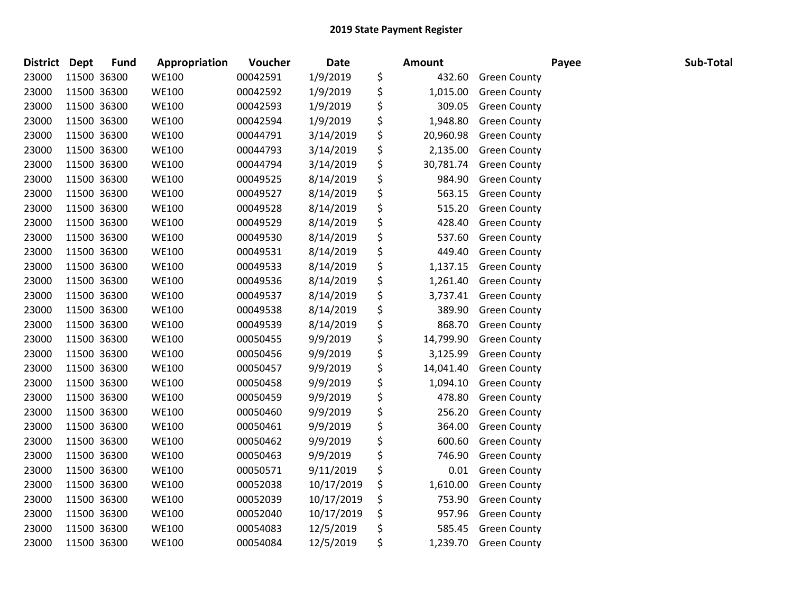| District Dept | <b>Fund</b> | Appropriation | Voucher  | <b>Date</b> | <b>Amount</b>   |                       | Payee | Sub-Total |
|---------------|-------------|---------------|----------|-------------|-----------------|-----------------------|-------|-----------|
| 23000         | 11500 36300 | <b>WE100</b>  | 00042591 | 1/9/2019    | \$<br>432.60    | <b>Green County</b>   |       |           |
| 23000         | 11500 36300 | <b>WE100</b>  | 00042592 | 1/9/2019    | \$<br>1,015.00  | <b>Green County</b>   |       |           |
| 23000         | 11500 36300 | <b>WE100</b>  | 00042593 | 1/9/2019    | \$<br>309.05    | <b>Green County</b>   |       |           |
| 23000         | 11500 36300 | <b>WE100</b>  | 00042594 | 1/9/2019    | \$<br>1,948.80  | <b>Green County</b>   |       |           |
| 23000         | 11500 36300 | <b>WE100</b>  | 00044791 | 3/14/2019   | \$<br>20,960.98 | <b>Green County</b>   |       |           |
| 23000         | 11500 36300 | <b>WE100</b>  | 00044793 | 3/14/2019   | \$<br>2,135.00  | <b>Green County</b>   |       |           |
| 23000         | 11500 36300 | <b>WE100</b>  | 00044794 | 3/14/2019   | \$<br>30,781.74 | <b>Green County</b>   |       |           |
| 23000         | 11500 36300 | <b>WE100</b>  | 00049525 | 8/14/2019   | \$<br>984.90    | <b>Green County</b>   |       |           |
| 23000         | 11500 36300 | <b>WE100</b>  | 00049527 | 8/14/2019   | \$<br>563.15    | <b>Green County</b>   |       |           |
| 23000         | 11500 36300 | <b>WE100</b>  | 00049528 | 8/14/2019   | \$<br>515.20    | <b>Green County</b>   |       |           |
| 23000         | 11500 36300 | <b>WE100</b>  | 00049529 | 8/14/2019   | \$<br>428.40    | <b>Green County</b>   |       |           |
| 23000         | 11500 36300 | <b>WE100</b>  | 00049530 | 8/14/2019   | \$<br>537.60    | <b>Green County</b>   |       |           |
| 23000         | 11500 36300 | <b>WE100</b>  | 00049531 | 8/14/2019   | \$<br>449.40    | <b>Green County</b>   |       |           |
| 23000         | 11500 36300 | <b>WE100</b>  | 00049533 | 8/14/2019   | \$<br>1,137.15  | <b>Green County</b>   |       |           |
| 23000         | 11500 36300 | <b>WE100</b>  | 00049536 | 8/14/2019   | \$<br>1,261.40  | <b>Green County</b>   |       |           |
| 23000         | 11500 36300 | <b>WE100</b>  | 00049537 | 8/14/2019   | \$<br>3,737.41  | <b>Green County</b>   |       |           |
| 23000         | 11500 36300 | <b>WE100</b>  | 00049538 | 8/14/2019   | \$<br>389.90    | <b>Green County</b>   |       |           |
| 23000         | 11500 36300 | <b>WE100</b>  | 00049539 | 8/14/2019   | \$<br>868.70    | <b>Green County</b>   |       |           |
| 23000         | 11500 36300 | <b>WE100</b>  | 00050455 | 9/9/2019    | \$<br>14,799.90 | <b>Green County</b>   |       |           |
| 23000         | 11500 36300 | <b>WE100</b>  | 00050456 | 9/9/2019    | \$<br>3,125.99  | <b>Green County</b>   |       |           |
| 23000         | 11500 36300 | <b>WE100</b>  | 00050457 | 9/9/2019    | \$<br>14,041.40 | <b>Green County</b>   |       |           |
| 23000         | 11500 36300 | <b>WE100</b>  | 00050458 | 9/9/2019    | \$<br>1,094.10  | <b>Green County</b>   |       |           |
| 23000         | 11500 36300 | <b>WE100</b>  | 00050459 | 9/9/2019    | \$<br>478.80    | <b>Green County</b>   |       |           |
| 23000         | 11500 36300 | <b>WE100</b>  | 00050460 | 9/9/2019    | \$<br>256.20    | <b>Green County</b>   |       |           |
| 23000         | 11500 36300 | <b>WE100</b>  | 00050461 | 9/9/2019    | \$<br>364.00    | <b>Green County</b>   |       |           |
| 23000         | 11500 36300 | <b>WE100</b>  | 00050462 | 9/9/2019    | \$<br>600.60    | <b>Green County</b>   |       |           |
| 23000         | 11500 36300 | <b>WE100</b>  | 00050463 | 9/9/2019    | \$<br>746.90    | <b>Green County</b>   |       |           |
| 23000         | 11500 36300 | <b>WE100</b>  | 00050571 | 9/11/2019   | \$<br>0.01      | <b>Green County</b>   |       |           |
| 23000         | 11500 36300 | <b>WE100</b>  | 00052038 | 10/17/2019  | \$<br>1,610.00  | <b>Green County</b>   |       |           |
| 23000         | 11500 36300 | <b>WE100</b>  | 00052039 | 10/17/2019  | \$<br>753.90    | <b>Green County</b>   |       |           |
| 23000         | 11500 36300 | <b>WE100</b>  | 00052040 | 10/17/2019  | \$<br>957.96    | <b>Green County</b>   |       |           |
| 23000         | 11500 36300 | <b>WE100</b>  | 00054083 | 12/5/2019   | \$<br>585.45    | <b>Green County</b>   |       |           |
| 23000         | 11500 36300 | <b>WE100</b>  | 00054084 | 12/5/2019   | \$              | 1,239.70 Green County |       |           |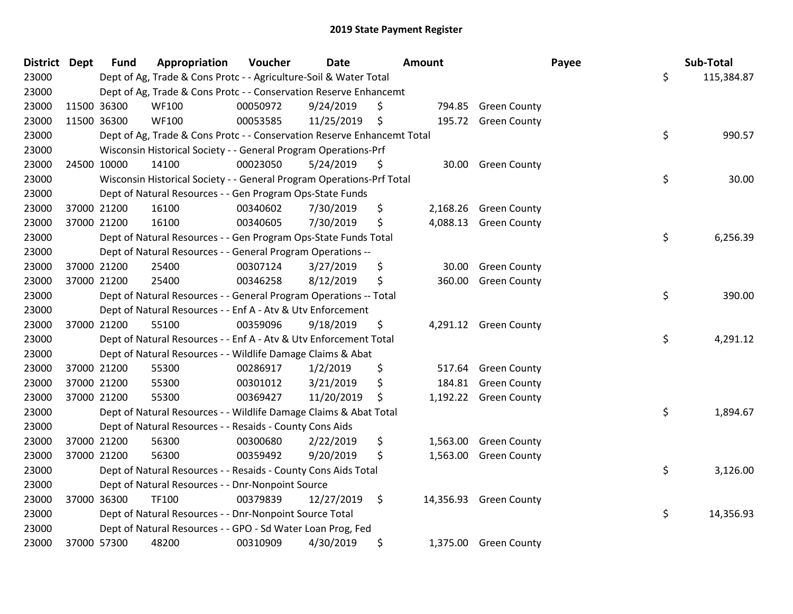| District Dept |             | <b>Fund</b> | Appropriation                                                           | Voucher  | <b>Date</b> | <b>Amount</b>  |                        | Payee | Sub-Total  |
|---------------|-------------|-------------|-------------------------------------------------------------------------|----------|-------------|----------------|------------------------|-------|------------|
| 23000         |             |             | Dept of Ag, Trade & Cons Protc - - Agriculture-Soil & Water Total       |          |             |                |                        | \$    | 115,384.87 |
| 23000         |             |             | Dept of Ag, Trade & Cons Protc - - Conservation Reserve Enhancemt       |          |             |                |                        |       |            |
| 23000         | 11500 36300 |             | <b>WF100</b>                                                            | 00050972 | 9/24/2019   | \$             | 794.85 Green County    |       |            |
| 23000         | 11500 36300 |             | <b>WF100</b>                                                            | 00053585 | 11/25/2019  | \$<br>195.72   | <b>Green County</b>    |       |            |
| 23000         |             |             | Dept of Ag, Trade & Cons Protc - - Conservation Reserve Enhancemt Total |          |             |                |                        | \$    | 990.57     |
| 23000         |             |             | Wisconsin Historical Society - - General Program Operations-Prf         |          |             |                |                        |       |            |
| 23000         | 24500 10000 |             | 14100                                                                   | 00023050 | 5/24/2019   | \$<br>30.00    | <b>Green County</b>    |       |            |
| 23000         |             |             | Wisconsin Historical Society - - General Program Operations-Prf Total   |          |             |                |                        | \$    | 30.00      |
| 23000         |             |             | Dept of Natural Resources - - Gen Program Ops-State Funds               |          |             |                |                        |       |            |
| 23000         | 37000 21200 |             | 16100                                                                   | 00340602 | 7/30/2019   | \$<br>2,168.26 | <b>Green County</b>    |       |            |
| 23000         | 37000 21200 |             | 16100                                                                   | 00340605 | 7/30/2019   | \$             | 4,088.13 Green County  |       |            |
| 23000         |             |             | Dept of Natural Resources - - Gen Program Ops-State Funds Total         |          |             |                |                        | \$    | 6,256.39   |
| 23000         |             |             | Dept of Natural Resources - - General Program Operations --             |          |             |                |                        |       |            |
| 23000         | 37000 21200 |             | 25400                                                                   | 00307124 | 3/27/2019   | \$<br>30.00    | <b>Green County</b>    |       |            |
| 23000         | 37000 21200 |             | 25400                                                                   | 00346258 | 8/12/2019   | \$<br>360.00   | <b>Green County</b>    |       |            |
| 23000         |             |             | Dept of Natural Resources - - General Program Operations -- Total       |          |             |                |                        | \$    | 390.00     |
| 23000         |             |             | Dept of Natural Resources - - Enf A - Atv & Utv Enforcement             |          |             |                |                        |       |            |
| 23000         | 37000 21200 |             | 55100                                                                   | 00359096 | 9/18/2019   | \$             | 4,291.12 Green County  |       |            |
| 23000         |             |             | Dept of Natural Resources - - Enf A - Atv & Utv Enforcement Total       |          |             |                |                        | \$    | 4,291.12   |
| 23000         |             |             | Dept of Natural Resources - - Wildlife Damage Claims & Abat             |          |             |                |                        |       |            |
| 23000         | 37000 21200 |             | 55300                                                                   | 00286917 | 1/2/2019    | \$<br>517.64   | <b>Green County</b>    |       |            |
| 23000         | 37000 21200 |             | 55300                                                                   | 00301012 | 3/21/2019   | \$<br>184.81   | <b>Green County</b>    |       |            |
| 23000         | 37000 21200 |             | 55300                                                                   | 00369427 | 11/20/2019  | \$             | 1,192.22 Green County  |       |            |
| 23000         |             |             | Dept of Natural Resources - - Wildlife Damage Claims & Abat Total       |          |             |                |                        | \$    | 1,894.67   |
| 23000         |             |             | Dept of Natural Resources - - Resaids - County Cons Aids                |          |             |                |                        |       |            |
| 23000         | 37000 21200 |             | 56300                                                                   | 00300680 | 2/22/2019   | \$<br>1,563.00 | <b>Green County</b>    |       |            |
| 23000         | 37000 21200 |             | 56300                                                                   | 00359492 | 9/20/2019   | \$             | 1,563.00 Green County  |       |            |
| 23000         |             |             | Dept of Natural Resources - - Resaids - County Cons Aids Total          |          |             |                |                        | \$    | 3,126.00   |
| 23000         |             |             | Dept of Natural Resources - - Dnr-Nonpoint Source                       |          |             |                |                        |       |            |
| 23000         | 37000 36300 |             | TF100                                                                   | 00379839 | 12/27/2019  | \$             | 14,356.93 Green County |       |            |
| 23000         |             |             | Dept of Natural Resources - - Dnr-Nonpoint Source Total                 |          |             |                |                        | \$    | 14,356.93  |
| 23000         |             |             | Dept of Natural Resources - - GPO - Sd Water Loan Prog, Fed             |          |             |                |                        |       |            |
| 23000         | 37000 57300 |             | 48200                                                                   | 00310909 | 4/30/2019   | \$             | 1,375.00 Green County  |       |            |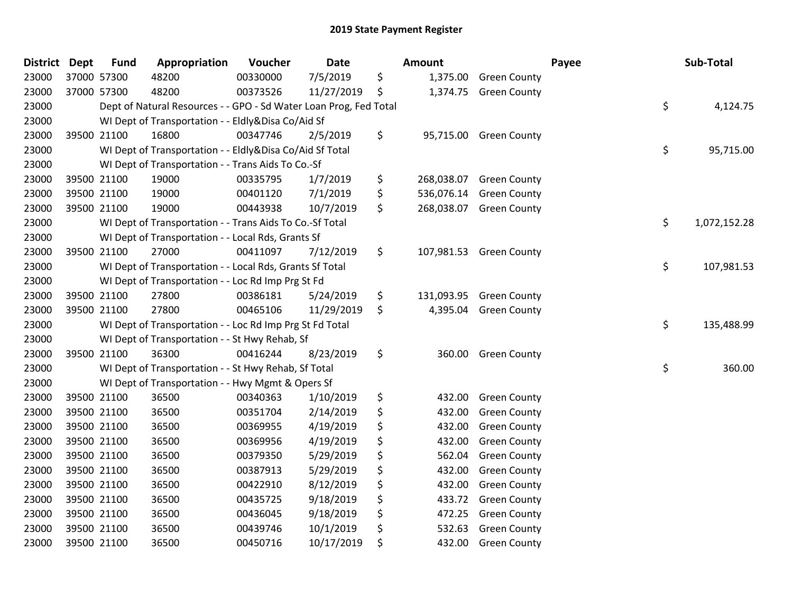| District | <b>Dept</b> | <b>Fund</b> | Appropriation                                                     | Voucher  | <b>Date</b> | <b>Amount</b>    |                         | Payee | Sub-Total    |
|----------|-------------|-------------|-------------------------------------------------------------------|----------|-------------|------------------|-------------------------|-------|--------------|
| 23000    | 37000 57300 |             | 48200                                                             | 00330000 | 7/5/2019    | \$<br>1,375.00   | <b>Green County</b>     |       |              |
| 23000    |             | 37000 57300 | 48200                                                             | 00373526 | 11/27/2019  | \$<br>1,374.75   | <b>Green County</b>     |       |              |
| 23000    |             |             | Dept of Natural Resources - - GPO - Sd Water Loan Prog, Fed Total |          |             |                  |                         | \$    | 4,124.75     |
| 23000    |             |             | WI Dept of Transportation - - Eldly&Disa Co/Aid Sf                |          |             |                  |                         |       |              |
| 23000    |             | 39500 21100 | 16800                                                             | 00347746 | 2/5/2019    | \$<br>95,715.00  | <b>Green County</b>     |       |              |
| 23000    |             |             | WI Dept of Transportation - - Eldly&Disa Co/Aid Sf Total          |          |             |                  |                         | \$    | 95,715.00    |
| 23000    |             |             | WI Dept of Transportation - - Trans Aids To Co.-Sf                |          |             |                  |                         |       |              |
| 23000    |             | 39500 21100 | 19000                                                             | 00335795 | 1/7/2019    | \$<br>268,038.07 | <b>Green County</b>     |       |              |
| 23000    |             | 39500 21100 | 19000                                                             | 00401120 | 7/1/2019    | \$<br>536,076.14 | <b>Green County</b>     |       |              |
| 23000    |             | 39500 21100 | 19000                                                             | 00443938 | 10/7/2019   | \$<br>268,038.07 | <b>Green County</b>     |       |              |
| 23000    |             |             | WI Dept of Transportation - - Trans Aids To Co.-Sf Total          |          |             |                  |                         | \$    | 1,072,152.28 |
| 23000    |             |             | WI Dept of Transportation - - Local Rds, Grants Sf                |          |             |                  |                         |       |              |
| 23000    |             | 39500 21100 | 27000                                                             | 00411097 | 7/12/2019   | \$               | 107,981.53 Green County |       |              |
| 23000    |             |             | WI Dept of Transportation - - Local Rds, Grants Sf Total          |          |             |                  |                         | \$    | 107,981.53   |
| 23000    |             |             | WI Dept of Transportation - - Loc Rd Imp Prg St Fd                |          |             |                  |                         |       |              |
| 23000    |             | 39500 21100 | 27800                                                             | 00386181 | 5/24/2019   | \$<br>131,093.95 | <b>Green County</b>     |       |              |
| 23000    |             | 39500 21100 | 27800                                                             | 00465106 | 11/29/2019  | \$<br>4,395.04   | <b>Green County</b>     |       |              |
| 23000    |             |             | WI Dept of Transportation - - Loc Rd Imp Prg St Fd Total          |          |             |                  |                         | \$    | 135,488.99   |
| 23000    |             |             | WI Dept of Transportation - - St Hwy Rehab, Sf                    |          |             |                  |                         |       |              |
| 23000    | 39500 21100 |             | 36300                                                             | 00416244 | 8/23/2019   | \$<br>360.00     | <b>Green County</b>     |       |              |
| 23000    |             |             | WI Dept of Transportation - - St Hwy Rehab, Sf Total              |          |             |                  |                         | \$    | 360.00       |
| 23000    |             |             | WI Dept of Transportation - - Hwy Mgmt & Opers Sf                 |          |             |                  |                         |       |              |
| 23000    |             | 39500 21100 | 36500                                                             | 00340363 | 1/10/2019   | \$<br>432.00     | <b>Green County</b>     |       |              |
| 23000    |             | 39500 21100 | 36500                                                             | 00351704 | 2/14/2019   | \$<br>432.00     | <b>Green County</b>     |       |              |
| 23000    |             | 39500 21100 | 36500                                                             | 00369955 | 4/19/2019   | \$<br>432.00     | <b>Green County</b>     |       |              |
| 23000    |             | 39500 21100 | 36500                                                             | 00369956 | 4/19/2019   | \$<br>432.00     | <b>Green County</b>     |       |              |
| 23000    |             | 39500 21100 | 36500                                                             | 00379350 | 5/29/2019   | \$<br>562.04     | <b>Green County</b>     |       |              |
| 23000    |             | 39500 21100 | 36500                                                             | 00387913 | 5/29/2019   | \$<br>432.00     | <b>Green County</b>     |       |              |
| 23000    |             | 39500 21100 | 36500                                                             | 00422910 | 8/12/2019   | \$<br>432.00     | <b>Green County</b>     |       |              |
| 23000    |             | 39500 21100 | 36500                                                             | 00435725 | 9/18/2019   | \$<br>433.72     | <b>Green County</b>     |       |              |
| 23000    |             | 39500 21100 | 36500                                                             | 00436045 | 9/18/2019   | \$<br>472.25     | <b>Green County</b>     |       |              |
| 23000    |             | 39500 21100 | 36500                                                             | 00439746 | 10/1/2019   | \$<br>532.63     | <b>Green County</b>     |       |              |
| 23000    |             | 39500 21100 | 36500                                                             | 00450716 | 10/17/2019  | \$<br>432.00     | <b>Green County</b>     |       |              |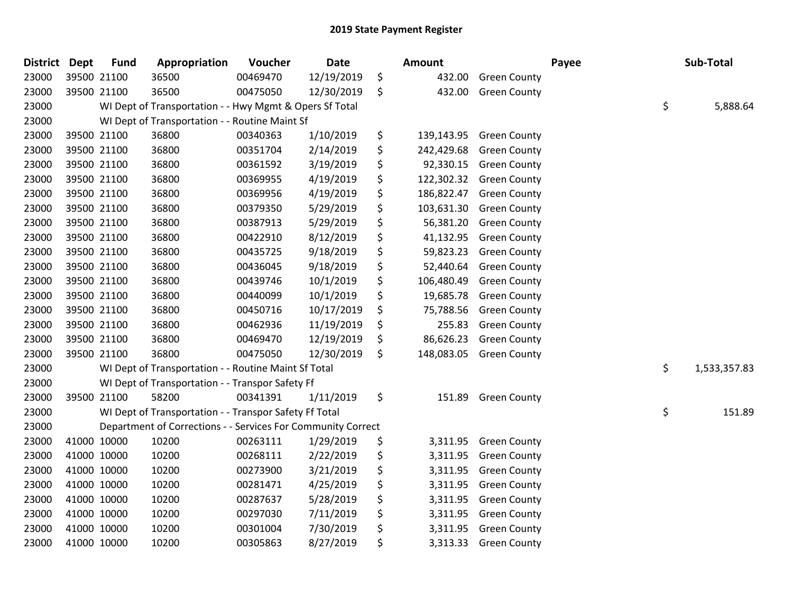| <b>District</b> | <b>Dept</b> | <b>Fund</b> | Appropriation                                                | Voucher  | <b>Date</b> | <b>Amount</b>    |                     | Payee | Sub-Total          |
|-----------------|-------------|-------------|--------------------------------------------------------------|----------|-------------|------------------|---------------------|-------|--------------------|
| 23000           |             | 39500 21100 | 36500                                                        | 00469470 | 12/19/2019  | \$<br>432.00     | <b>Green County</b> |       |                    |
| 23000           |             | 39500 21100 | 36500                                                        | 00475050 | 12/30/2019  | \$<br>432.00     | <b>Green County</b> |       |                    |
| 23000           |             |             | WI Dept of Transportation - - Hwy Mgmt & Opers Sf Total      |          |             |                  |                     |       | \$<br>5,888.64     |
| 23000           |             |             | WI Dept of Transportation - - Routine Maint Sf               |          |             |                  |                     |       |                    |
| 23000           |             | 39500 21100 | 36800                                                        | 00340363 | 1/10/2019   | \$<br>139,143.95 | <b>Green County</b> |       |                    |
| 23000           |             | 39500 21100 | 36800                                                        | 00351704 | 2/14/2019   | \$<br>242,429.68 | <b>Green County</b> |       |                    |
| 23000           |             | 39500 21100 | 36800                                                        | 00361592 | 3/19/2019   | \$<br>92,330.15  | <b>Green County</b> |       |                    |
| 23000           |             | 39500 21100 | 36800                                                        | 00369955 | 4/19/2019   | \$<br>122,302.32 | <b>Green County</b> |       |                    |
| 23000           |             | 39500 21100 | 36800                                                        | 00369956 | 4/19/2019   | \$<br>186,822.47 | <b>Green County</b> |       |                    |
| 23000           |             | 39500 21100 | 36800                                                        | 00379350 | 5/29/2019   | \$<br>103,631.30 | <b>Green County</b> |       |                    |
| 23000           |             | 39500 21100 | 36800                                                        | 00387913 | 5/29/2019   | \$<br>56,381.20  | <b>Green County</b> |       |                    |
| 23000           |             | 39500 21100 | 36800                                                        | 00422910 | 8/12/2019   | \$<br>41,132.95  | <b>Green County</b> |       |                    |
| 23000           |             | 39500 21100 | 36800                                                        | 00435725 | 9/18/2019   | \$<br>59,823.23  | <b>Green County</b> |       |                    |
| 23000           |             | 39500 21100 | 36800                                                        | 00436045 | 9/18/2019   | \$<br>52,440.64  | <b>Green County</b> |       |                    |
| 23000           |             | 39500 21100 | 36800                                                        | 00439746 | 10/1/2019   | \$<br>106,480.49 | <b>Green County</b> |       |                    |
| 23000           |             | 39500 21100 | 36800                                                        | 00440099 | 10/1/2019   | \$<br>19,685.78  | <b>Green County</b> |       |                    |
| 23000           |             | 39500 21100 | 36800                                                        | 00450716 | 10/17/2019  | \$<br>75,788.56  | <b>Green County</b> |       |                    |
| 23000           |             | 39500 21100 | 36800                                                        | 00462936 | 11/19/2019  | \$<br>255.83     | <b>Green County</b> |       |                    |
| 23000           |             | 39500 21100 | 36800                                                        | 00469470 | 12/19/2019  | \$<br>86,626.23  | <b>Green County</b> |       |                    |
| 23000           |             | 39500 21100 | 36800                                                        | 00475050 | 12/30/2019  | \$<br>148,083.05 | <b>Green County</b> |       |                    |
| 23000           |             |             | WI Dept of Transportation - - Routine Maint Sf Total         |          |             |                  |                     |       | \$<br>1,533,357.83 |
| 23000           |             |             | WI Dept of Transportation - - Transpor Safety Ff             |          |             |                  |                     |       |                    |
| 23000           |             | 39500 21100 | 58200                                                        | 00341391 | 1/11/2019   | \$<br>151.89     | <b>Green County</b> |       |                    |
| 23000           |             |             | WI Dept of Transportation - - Transpor Safety Ff Total       |          |             |                  |                     |       | \$<br>151.89       |
| 23000           |             |             | Department of Corrections - - Services For Community Correct |          |             |                  |                     |       |                    |
| 23000           |             | 41000 10000 | 10200                                                        | 00263111 | 1/29/2019   | \$<br>3,311.95   | <b>Green County</b> |       |                    |
| 23000           |             | 41000 10000 | 10200                                                        | 00268111 | 2/22/2019   | \$<br>3,311.95   | <b>Green County</b> |       |                    |
| 23000           |             | 41000 10000 | 10200                                                        | 00273900 | 3/21/2019   | \$<br>3,311.95   | <b>Green County</b> |       |                    |
| 23000           | 41000 10000 |             | 10200                                                        | 00281471 | 4/25/2019   | \$<br>3,311.95   | <b>Green County</b> |       |                    |
| 23000           | 41000 10000 |             | 10200                                                        | 00287637 | 5/28/2019   | \$<br>3,311.95   | <b>Green County</b> |       |                    |
| 23000           |             | 41000 10000 | 10200                                                        | 00297030 | 7/11/2019   | \$<br>3,311.95   | <b>Green County</b> |       |                    |
| 23000           |             | 41000 10000 | 10200                                                        | 00301004 | 7/30/2019   | \$<br>3,311.95   | <b>Green County</b> |       |                    |
| 23000           |             | 41000 10000 | 10200                                                        | 00305863 | 8/27/2019   | \$<br>3,313.33   | <b>Green County</b> |       |                    |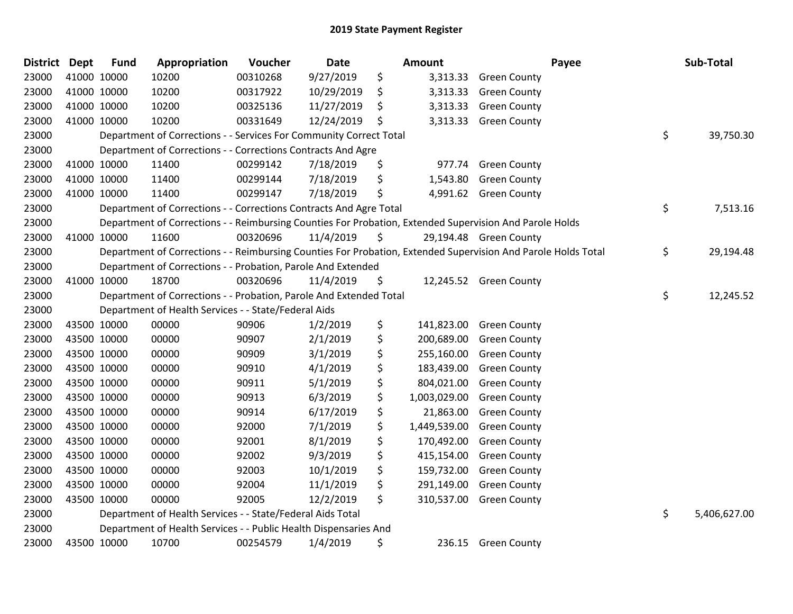| <b>District Dept</b> |             | <b>Fund</b> | Appropriation                                                      | Voucher  | <b>Date</b> | <b>Amount</b>      | Payee                                                                                                         | Sub-Total          |
|----------------------|-------------|-------------|--------------------------------------------------------------------|----------|-------------|--------------------|---------------------------------------------------------------------------------------------------------------|--------------------|
| 23000                |             | 41000 10000 | 10200                                                              | 00310268 | 9/27/2019   | \$<br>3,313.33     | <b>Green County</b>                                                                                           |                    |
| 23000                | 41000 10000 |             | 10200                                                              | 00317922 | 10/29/2019  | \$<br>3,313.33     | <b>Green County</b>                                                                                           |                    |
| 23000                | 41000 10000 |             | 10200                                                              | 00325136 | 11/27/2019  | \$<br>3,313.33     | <b>Green County</b>                                                                                           |                    |
| 23000                | 41000 10000 |             | 10200                                                              | 00331649 | 12/24/2019  | \$<br>3,313.33     | <b>Green County</b>                                                                                           |                    |
| 23000                |             |             | Department of Corrections - - Services For Community Correct Total |          |             |                    |                                                                                                               | \$<br>39,750.30    |
| 23000                |             |             | Department of Corrections - - Corrections Contracts And Agre       |          |             |                    |                                                                                                               |                    |
| 23000                |             | 41000 10000 | 11400                                                              | 00299142 | 7/18/2019   | \$<br>977.74       | <b>Green County</b>                                                                                           |                    |
| 23000                | 41000 10000 |             | 11400                                                              | 00299144 | 7/18/2019   | \$<br>1,543.80     | <b>Green County</b>                                                                                           |                    |
| 23000                |             | 41000 10000 | 11400                                                              | 00299147 | 7/18/2019   | \$<br>4,991.62     | <b>Green County</b>                                                                                           |                    |
| 23000                |             |             | Department of Corrections - - Corrections Contracts And Agre Total |          |             |                    |                                                                                                               | \$<br>7,513.16     |
| 23000                |             |             |                                                                    |          |             |                    | Department of Corrections - - Reimbursing Counties For Probation, Extended Supervision And Parole Holds       |                    |
| 23000                |             | 41000 10000 | 11600                                                              | 00320696 | 11/4/2019   | \$                 | 29,194.48 Green County                                                                                        |                    |
| 23000                |             |             |                                                                    |          |             |                    | Department of Corrections - - Reimbursing Counties For Probation, Extended Supervision And Parole Holds Total | \$<br>29,194.48    |
| 23000                |             |             | Department of Corrections - - Probation, Parole And Extended       |          |             |                    |                                                                                                               |                    |
| 23000                |             | 41000 10000 | 18700                                                              | 00320696 | 11/4/2019   | \$                 | 12,245.52 Green County                                                                                        |                    |
| 23000                |             |             | Department of Corrections - - Probation, Parole And Extended Total |          |             |                    |                                                                                                               | \$<br>12,245.52    |
| 23000                |             |             | Department of Health Services - - State/Federal Aids               |          |             |                    |                                                                                                               |                    |
| 23000                |             | 43500 10000 | 00000                                                              | 90906    | 1/2/2019    | \$<br>141,823.00   | <b>Green County</b>                                                                                           |                    |
| 23000                |             | 43500 10000 | 00000                                                              | 90907    | 2/1/2019    | \$<br>200,689.00   | <b>Green County</b>                                                                                           |                    |
| 23000                | 43500 10000 |             | 00000                                                              | 90909    | 3/1/2019    | \$<br>255,160.00   | <b>Green County</b>                                                                                           |                    |
| 23000                |             | 43500 10000 | 00000                                                              | 90910    | 4/1/2019    | \$<br>183,439.00   | <b>Green County</b>                                                                                           |                    |
| 23000                |             | 43500 10000 | 00000                                                              | 90911    | 5/1/2019    | \$<br>804,021.00   | <b>Green County</b>                                                                                           |                    |
| 23000                | 43500 10000 |             | 00000                                                              | 90913    | 6/3/2019    | \$<br>1,003,029.00 | <b>Green County</b>                                                                                           |                    |
| 23000                |             | 43500 10000 | 00000                                                              | 90914    | 6/17/2019   | \$<br>21,863.00    | <b>Green County</b>                                                                                           |                    |
| 23000                |             | 43500 10000 | 00000                                                              | 92000    | 7/1/2019    | \$<br>1,449,539.00 | <b>Green County</b>                                                                                           |                    |
| 23000                |             | 43500 10000 | 00000                                                              | 92001    | 8/1/2019    | \$<br>170,492.00   | <b>Green County</b>                                                                                           |                    |
| 23000                |             | 43500 10000 | 00000                                                              | 92002    | 9/3/2019    | \$<br>415,154.00   | <b>Green County</b>                                                                                           |                    |
| 23000                | 43500 10000 |             | 00000                                                              | 92003    | 10/1/2019   | \$<br>159,732.00   | <b>Green County</b>                                                                                           |                    |
| 23000                |             | 43500 10000 | 00000                                                              | 92004    | 11/1/2019   | \$<br>291,149.00   | <b>Green County</b>                                                                                           |                    |
| 23000                |             | 43500 10000 | 00000                                                              | 92005    | 12/2/2019   | \$<br>310,537.00   | <b>Green County</b>                                                                                           |                    |
| 23000                |             |             | Department of Health Services - - State/Federal Aids Total         |          |             |                    |                                                                                                               | \$<br>5,406,627.00 |
| 23000                |             |             | Department of Health Services - - Public Health Dispensaries And   |          |             |                    |                                                                                                               |                    |
| 23000                |             | 43500 10000 | 10700                                                              | 00254579 | 1/4/2019    | \$<br>236.15       | <b>Green County</b>                                                                                           |                    |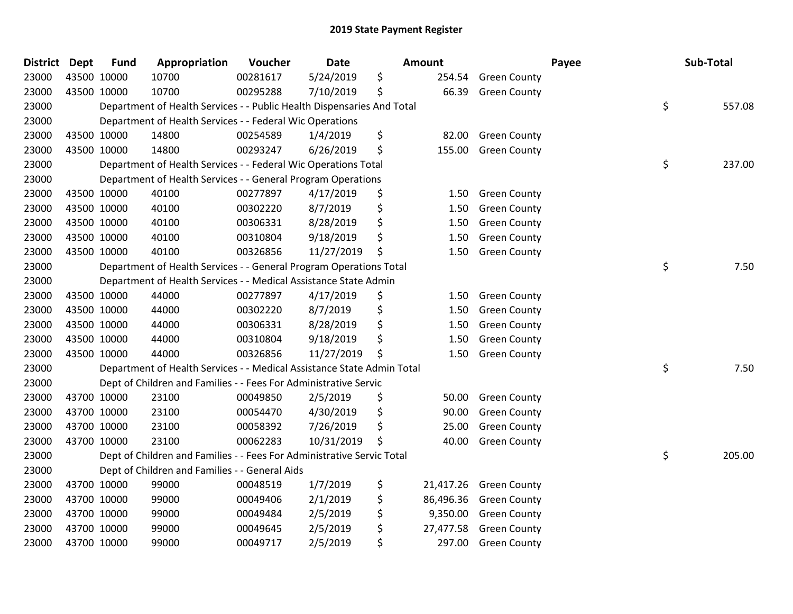| <b>District</b> | Dept        | <b>Fund</b> | Appropriation                                                          | Voucher  | Date       | <b>Amount</b>   |                     | Payee | Sub-Total |
|-----------------|-------------|-------------|------------------------------------------------------------------------|----------|------------|-----------------|---------------------|-------|-----------|
| 23000           | 43500 10000 |             | 10700                                                                  | 00281617 | 5/24/2019  | \$<br>254.54    | <b>Green County</b> |       |           |
| 23000           | 43500 10000 |             | 10700                                                                  | 00295288 | 7/10/2019  | \$<br>66.39     | <b>Green County</b> |       |           |
| 23000           |             |             | Department of Health Services - - Public Health Dispensaries And Total |          |            |                 |                     | \$    | 557.08    |
| 23000           |             |             | Department of Health Services - - Federal Wic Operations               |          |            |                 |                     |       |           |
| 23000           | 43500 10000 |             | 14800                                                                  | 00254589 | 1/4/2019   | \$<br>82.00     | <b>Green County</b> |       |           |
| 23000           | 43500 10000 |             | 14800                                                                  | 00293247 | 6/26/2019  | \$<br>155.00    | <b>Green County</b> |       |           |
| 23000           |             |             | Department of Health Services - - Federal Wic Operations Total         |          |            |                 |                     | \$    | 237.00    |
| 23000           |             |             | Department of Health Services - - General Program Operations           |          |            |                 |                     |       |           |
| 23000           |             | 43500 10000 | 40100                                                                  | 00277897 | 4/17/2019  | \$<br>1.50      | <b>Green County</b> |       |           |
| 23000           | 43500 10000 |             | 40100                                                                  | 00302220 | 8/7/2019   | \$<br>1.50      | <b>Green County</b> |       |           |
| 23000           | 43500 10000 |             | 40100                                                                  | 00306331 | 8/28/2019  | \$<br>1.50      | <b>Green County</b> |       |           |
| 23000           |             | 43500 10000 | 40100                                                                  | 00310804 | 9/18/2019  | \$<br>1.50      | <b>Green County</b> |       |           |
| 23000           | 43500 10000 |             | 40100                                                                  | 00326856 | 11/27/2019 | \$<br>1.50      | <b>Green County</b> |       |           |
| 23000           |             |             | Department of Health Services - - General Program Operations Total     |          |            |                 |                     | \$    | 7.50      |
| 23000           |             |             | Department of Health Services - - Medical Assistance State Admin       |          |            |                 |                     |       |           |
| 23000           | 43500 10000 |             | 44000                                                                  | 00277897 | 4/17/2019  | \$<br>1.50      | <b>Green County</b> |       |           |
| 23000           |             | 43500 10000 | 44000                                                                  | 00302220 | 8/7/2019   | \$<br>1.50      | <b>Green County</b> |       |           |
| 23000           | 43500 10000 |             | 44000                                                                  | 00306331 | 8/28/2019  | \$<br>1.50      | <b>Green County</b> |       |           |
| 23000           | 43500 10000 |             | 44000                                                                  | 00310804 | 9/18/2019  | \$<br>1.50      | <b>Green County</b> |       |           |
| 23000           | 43500 10000 |             | 44000                                                                  | 00326856 | 11/27/2019 | \$<br>1.50      | <b>Green County</b> |       |           |
| 23000           |             |             | Department of Health Services - - Medical Assistance State Admin Total |          |            |                 |                     | \$    | 7.50      |
| 23000           |             |             | Dept of Children and Families - - Fees For Administrative Servic       |          |            |                 |                     |       |           |
| 23000           |             | 43700 10000 | 23100                                                                  | 00049850 | 2/5/2019   | \$<br>50.00     | <b>Green County</b> |       |           |
| 23000           | 43700 10000 |             | 23100                                                                  | 00054470 | 4/30/2019  | \$<br>90.00     | <b>Green County</b> |       |           |
| 23000           | 43700 10000 |             | 23100                                                                  | 00058392 | 7/26/2019  | \$<br>25.00     | <b>Green County</b> |       |           |
| 23000           | 43700 10000 |             | 23100                                                                  | 00062283 | 10/31/2019 | \$<br>40.00     | <b>Green County</b> |       |           |
| 23000           |             |             | Dept of Children and Families - - Fees For Administrative Servic Total |          |            |                 |                     | \$    | 205.00    |
| 23000           |             |             | Dept of Children and Families - - General Aids                         |          |            |                 |                     |       |           |
| 23000           |             | 43700 10000 | 99000                                                                  | 00048519 | 1/7/2019   | \$<br>21,417.26 | <b>Green County</b> |       |           |
| 23000           |             | 43700 10000 | 99000                                                                  | 00049406 | 2/1/2019   | \$<br>86,496.36 | <b>Green County</b> |       |           |
| 23000           | 43700 10000 |             | 99000                                                                  | 00049484 | 2/5/2019   | \$<br>9,350.00  | <b>Green County</b> |       |           |
| 23000           |             | 43700 10000 | 99000                                                                  | 00049645 | 2/5/2019   | \$<br>27,477.58 | <b>Green County</b> |       |           |
| 23000           | 43700 10000 |             | 99000                                                                  | 00049717 | 2/5/2019   | \$<br>297.00    | <b>Green County</b> |       |           |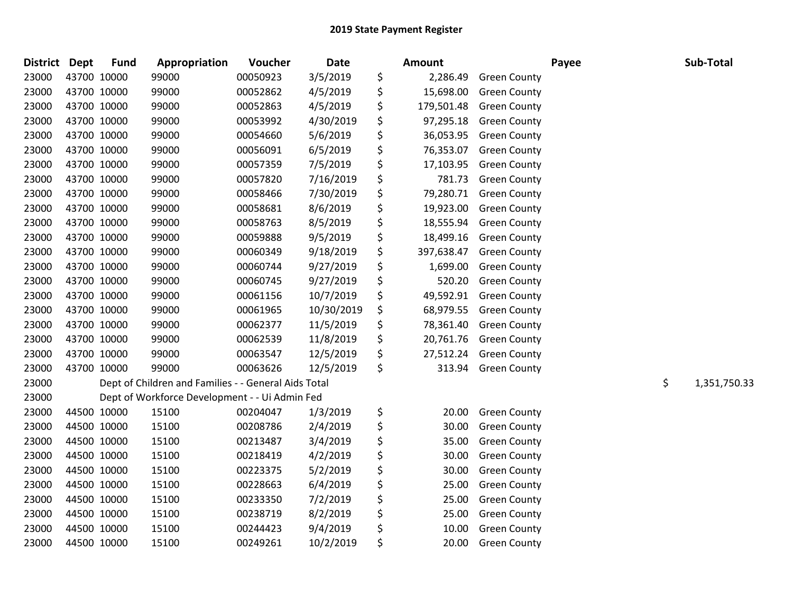| <b>District</b> | <b>Dept</b> | <b>Fund</b> | Appropriation                                        | Voucher  | <b>Date</b> | Amount           |                     | Payee | Sub-Total          |
|-----------------|-------------|-------------|------------------------------------------------------|----------|-------------|------------------|---------------------|-------|--------------------|
| 23000           | 43700 10000 |             | 99000                                                | 00050923 | 3/5/2019    | \$<br>2,286.49   | <b>Green County</b> |       |                    |
| 23000           | 43700 10000 |             | 99000                                                | 00052862 | 4/5/2019    | \$<br>15,698.00  | <b>Green County</b> |       |                    |
| 23000           | 43700 10000 |             | 99000                                                | 00052863 | 4/5/2019    | \$<br>179,501.48 | <b>Green County</b> |       |                    |
| 23000           | 43700 10000 |             | 99000                                                | 00053992 | 4/30/2019   | \$<br>97,295.18  | <b>Green County</b> |       |                    |
| 23000           | 43700 10000 |             | 99000                                                | 00054660 | 5/6/2019    | \$<br>36,053.95  | <b>Green County</b> |       |                    |
| 23000           | 43700 10000 |             | 99000                                                | 00056091 | 6/5/2019    | \$<br>76,353.07  | <b>Green County</b> |       |                    |
| 23000           | 43700 10000 |             | 99000                                                | 00057359 | 7/5/2019    | \$<br>17,103.95  | <b>Green County</b> |       |                    |
| 23000           | 43700 10000 |             | 99000                                                | 00057820 | 7/16/2019   | \$<br>781.73     | <b>Green County</b> |       |                    |
| 23000           | 43700 10000 |             | 99000                                                | 00058466 | 7/30/2019   | \$<br>79,280.71  | <b>Green County</b> |       |                    |
| 23000           | 43700 10000 |             | 99000                                                | 00058681 | 8/6/2019    | \$<br>19,923.00  | <b>Green County</b> |       |                    |
| 23000           | 43700 10000 |             | 99000                                                | 00058763 | 8/5/2019    | \$<br>18,555.94  | <b>Green County</b> |       |                    |
| 23000           | 43700 10000 |             | 99000                                                | 00059888 | 9/5/2019    | \$<br>18,499.16  | <b>Green County</b> |       |                    |
| 23000           | 43700 10000 |             | 99000                                                | 00060349 | 9/18/2019   | \$<br>397,638.47 | <b>Green County</b> |       |                    |
| 23000           | 43700 10000 |             | 99000                                                | 00060744 | 9/27/2019   | \$<br>1,699.00   | <b>Green County</b> |       |                    |
| 23000           | 43700 10000 |             | 99000                                                | 00060745 | 9/27/2019   | \$<br>520.20     | <b>Green County</b> |       |                    |
| 23000           | 43700 10000 |             | 99000                                                | 00061156 | 10/7/2019   | \$<br>49,592.91  | <b>Green County</b> |       |                    |
| 23000           | 43700 10000 |             | 99000                                                | 00061965 | 10/30/2019  | \$<br>68,979.55  | <b>Green County</b> |       |                    |
| 23000           | 43700 10000 |             | 99000                                                | 00062377 | 11/5/2019   | \$<br>78,361.40  | <b>Green County</b> |       |                    |
| 23000           | 43700 10000 |             | 99000                                                | 00062539 | 11/8/2019   | \$<br>20,761.76  | <b>Green County</b> |       |                    |
| 23000           | 43700 10000 |             | 99000                                                | 00063547 | 12/5/2019   | \$<br>27,512.24  | <b>Green County</b> |       |                    |
| 23000           | 43700 10000 |             | 99000                                                | 00063626 | 12/5/2019   | \$<br>313.94     | <b>Green County</b> |       |                    |
| 23000           |             |             | Dept of Children and Families - - General Aids Total |          |             |                  |                     |       | \$<br>1,351,750.33 |
| 23000           |             |             | Dept of Workforce Development - - Ui Admin Fed       |          |             |                  |                     |       |                    |
| 23000           | 44500 10000 |             | 15100                                                | 00204047 | 1/3/2019    | \$<br>20.00      | <b>Green County</b> |       |                    |
| 23000           | 44500 10000 |             | 15100                                                | 00208786 | 2/4/2019    | \$<br>30.00      | <b>Green County</b> |       |                    |
| 23000           | 44500 10000 |             | 15100                                                | 00213487 | 3/4/2019    | \$<br>35.00      | <b>Green County</b> |       |                    |
| 23000           | 44500 10000 |             | 15100                                                | 00218419 | 4/2/2019    | \$<br>30.00      | <b>Green County</b> |       |                    |
| 23000           | 44500 10000 |             | 15100                                                | 00223375 | 5/2/2019    | \$<br>30.00      | <b>Green County</b> |       |                    |
| 23000           | 44500 10000 |             | 15100                                                | 00228663 | 6/4/2019    | \$<br>25.00      | <b>Green County</b> |       |                    |
| 23000           | 44500 10000 |             | 15100                                                | 00233350 | 7/2/2019    | \$<br>25.00      | <b>Green County</b> |       |                    |
| 23000           | 44500 10000 |             | 15100                                                | 00238719 | 8/2/2019    | \$<br>25.00      | <b>Green County</b> |       |                    |
| 23000           |             | 44500 10000 | 15100                                                | 00244423 | 9/4/2019    | \$<br>10.00      | <b>Green County</b> |       |                    |
| 23000           | 44500 10000 |             | 15100                                                | 00249261 | 10/2/2019   | \$<br>20.00      | <b>Green County</b> |       |                    |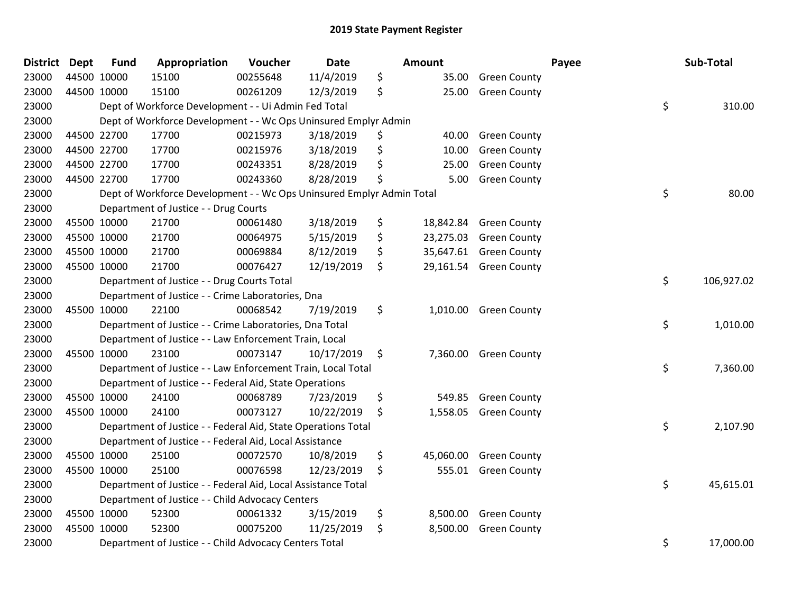| <b>District</b> | <b>Dept</b> | <b>Fund</b> | Appropriation                                                         | Voucher  | <b>Date</b> | <b>Amount</b>   |                     | Payee | Sub-Total  |
|-----------------|-------------|-------------|-----------------------------------------------------------------------|----------|-------------|-----------------|---------------------|-------|------------|
| 23000           |             | 44500 10000 | 15100                                                                 | 00255648 | 11/4/2019   | \$<br>35.00     | <b>Green County</b> |       |            |
| 23000           |             | 44500 10000 | 15100                                                                 | 00261209 | 12/3/2019   | \$<br>25.00     | <b>Green County</b> |       |            |
| 23000           |             |             | Dept of Workforce Development - - Ui Admin Fed Total                  |          |             |                 |                     | \$    | 310.00     |
| 23000           |             |             | Dept of Workforce Development - - Wc Ops Uninsured Emplyr Admin       |          |             |                 |                     |       |            |
| 23000           |             | 44500 22700 | 17700                                                                 | 00215973 | 3/18/2019   | \$<br>40.00     | <b>Green County</b> |       |            |
| 23000           |             | 44500 22700 | 17700                                                                 | 00215976 | 3/18/2019   | \$<br>10.00     | <b>Green County</b> |       |            |
| 23000           |             | 44500 22700 | 17700                                                                 | 00243351 | 8/28/2019   | \$<br>25.00     | <b>Green County</b> |       |            |
| 23000           |             | 44500 22700 | 17700                                                                 | 00243360 | 8/28/2019   | \$<br>5.00      | <b>Green County</b> |       |            |
| 23000           |             |             | Dept of Workforce Development - - Wc Ops Uninsured Emplyr Admin Total |          |             |                 |                     | \$    | 80.00      |
| 23000           |             |             | Department of Justice - - Drug Courts                                 |          |             |                 |                     |       |            |
| 23000           |             | 45500 10000 | 21700                                                                 | 00061480 | 3/18/2019   | \$<br>18,842.84 | <b>Green County</b> |       |            |
| 23000           | 45500 10000 |             | 21700                                                                 | 00064975 | 5/15/2019   | \$<br>23,275.03 | <b>Green County</b> |       |            |
| 23000           | 45500 10000 |             | 21700                                                                 | 00069884 | 8/12/2019   | \$<br>35,647.61 | <b>Green County</b> |       |            |
| 23000           | 45500 10000 |             | 21700                                                                 | 00076427 | 12/19/2019  | \$<br>29,161.54 | <b>Green County</b> |       |            |
| 23000           |             |             | Department of Justice - - Drug Courts Total                           |          |             |                 |                     | \$    | 106,927.02 |
| 23000           |             |             | Department of Justice - - Crime Laboratories, Dna                     |          |             |                 |                     |       |            |
| 23000           |             | 45500 10000 | 22100                                                                 | 00068542 | 7/19/2019   | \$<br>1,010.00  | <b>Green County</b> |       |            |
| 23000           |             |             | Department of Justice - - Crime Laboratories, Dna Total               |          |             |                 |                     | \$    | 1,010.00   |
| 23000           |             |             | Department of Justice - - Law Enforcement Train, Local                |          |             |                 |                     |       |            |
| 23000           |             | 45500 10000 | 23100                                                                 | 00073147 | 10/17/2019  | \$<br>7,360.00  | <b>Green County</b> |       |            |
| 23000           |             |             | Department of Justice - - Law Enforcement Train, Local Total          |          |             |                 |                     | \$    | 7,360.00   |
| 23000           |             |             | Department of Justice - - Federal Aid, State Operations               |          |             |                 |                     |       |            |
| 23000           |             | 45500 10000 | 24100                                                                 | 00068789 | 7/23/2019   | \$<br>549.85    | <b>Green County</b> |       |            |
| 23000           | 45500 10000 |             | 24100                                                                 | 00073127 | 10/22/2019  | \$<br>1,558.05  | <b>Green County</b> |       |            |
| 23000           |             |             | Department of Justice - - Federal Aid, State Operations Total         |          |             |                 |                     | \$    | 2,107.90   |
| 23000           |             |             | Department of Justice - - Federal Aid, Local Assistance               |          |             |                 |                     |       |            |
| 23000           |             | 45500 10000 | 25100                                                                 | 00072570 | 10/8/2019   | \$<br>45,060.00 | <b>Green County</b> |       |            |
| 23000           |             | 45500 10000 | 25100                                                                 | 00076598 | 12/23/2019  | \$<br>555.01    | <b>Green County</b> |       |            |
| 23000           |             |             | Department of Justice - - Federal Aid, Local Assistance Total         |          |             |                 |                     | \$    | 45,615.01  |
| 23000           |             |             | Department of Justice - - Child Advocacy Centers                      |          |             |                 |                     |       |            |
| 23000           | 45500 10000 |             | 52300                                                                 | 00061332 | 3/15/2019   | \$<br>8,500.00  | <b>Green County</b> |       |            |
| 23000           |             | 45500 10000 | 52300                                                                 | 00075200 | 11/25/2019  | \$<br>8,500.00  | <b>Green County</b> |       |            |
| 23000           |             |             | Department of Justice - - Child Advocacy Centers Total                |          |             |                 |                     | \$    | 17,000.00  |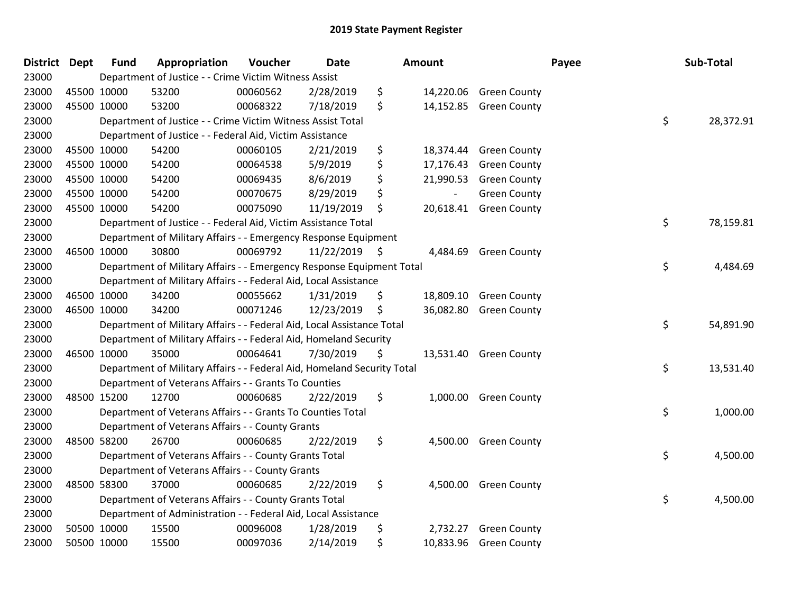| District Dept |             | <b>Fund</b> | Appropriation                                                           | Voucher  | <b>Date</b>     |     | Amount    |                        | Payee | Sub-Total |
|---------------|-------------|-------------|-------------------------------------------------------------------------|----------|-----------------|-----|-----------|------------------------|-------|-----------|
| 23000         |             |             | Department of Justice - - Crime Victim Witness Assist                   |          |                 |     |           |                        |       |           |
| 23000         | 45500 10000 |             | 53200                                                                   | 00060562 | 2/28/2019       | \$  |           | 14,220.06 Green County |       |           |
| 23000         | 45500 10000 |             | 53200                                                                   | 00068322 | 7/18/2019       | \$  | 14,152.85 | <b>Green County</b>    |       |           |
| 23000         |             |             | Department of Justice - - Crime Victim Witness Assist Total             |          |                 |     |           |                        | \$    | 28,372.91 |
| 23000         |             |             | Department of Justice - - Federal Aid, Victim Assistance                |          |                 |     |           |                        |       |           |
| 23000         | 45500 10000 |             | 54200                                                                   | 00060105 | 2/21/2019       | \$  | 18,374.44 | <b>Green County</b>    |       |           |
| 23000         | 45500 10000 |             | 54200                                                                   | 00064538 | 5/9/2019        | \$  | 17,176.43 | <b>Green County</b>    |       |           |
| 23000         | 45500 10000 |             | 54200                                                                   | 00069435 | 8/6/2019        | \$  | 21,990.53 | <b>Green County</b>    |       |           |
| 23000         | 45500 10000 |             | 54200                                                                   | 00070675 | 8/29/2019       | \$  |           | <b>Green County</b>    |       |           |
| 23000         | 45500 10000 |             | 54200                                                                   | 00075090 | 11/19/2019      | \$  | 20,618.41 | <b>Green County</b>    |       |           |
| 23000         |             |             | Department of Justice - - Federal Aid, Victim Assistance Total          |          |                 |     |           |                        | \$    | 78,159.81 |
| 23000         |             |             | Department of Military Affairs - - Emergency Response Equipment         |          |                 |     |           |                        |       |           |
| 23000         | 46500 10000 |             | 30800                                                                   | 00069792 | $11/22/2019$ \$ |     | 4,484.69  | <b>Green County</b>    |       |           |
| 23000         |             |             | Department of Military Affairs - - Emergency Response Equipment Total   |          |                 |     |           |                        | \$    | 4,484.69  |
| 23000         |             |             | Department of Military Affairs - - Federal Aid, Local Assistance        |          |                 |     |           |                        |       |           |
| 23000         | 46500 10000 |             | 34200                                                                   | 00055662 | 1/31/2019       | \$. | 18,809.10 | <b>Green County</b>    |       |           |
| 23000         | 46500 10000 |             | 34200                                                                   | 00071246 | 12/23/2019      | \$  | 36,082.80 | <b>Green County</b>    |       |           |
| 23000         |             |             | Department of Military Affairs - - Federal Aid, Local Assistance Total  |          |                 |     |           |                        | \$    | 54,891.90 |
| 23000         |             |             | Department of Military Affairs - - Federal Aid, Homeland Security       |          |                 |     |           |                        |       |           |
| 23000         | 46500 10000 |             | 35000                                                                   | 00064641 | 7/30/2019       | \$  | 13,531.40 | <b>Green County</b>    |       |           |
| 23000         |             |             | Department of Military Affairs - - Federal Aid, Homeland Security Total |          |                 |     |           |                        | \$    | 13,531.40 |
| 23000         |             |             | Department of Veterans Affairs - - Grants To Counties                   |          |                 |     |           |                        |       |           |
| 23000         | 48500 15200 |             | 12700                                                                   | 00060685 | 2/22/2019       | \$  |           | 1,000.00 Green County  |       |           |
| 23000         |             |             | Department of Veterans Affairs - - Grants To Counties Total             |          |                 |     |           |                        | \$    | 1,000.00  |
| 23000         |             |             | Department of Veterans Affairs - - County Grants                        |          |                 |     |           |                        |       |           |
| 23000         | 48500 58200 |             | 26700                                                                   | 00060685 | 2/22/2019       | \$  | 4,500.00  | <b>Green County</b>    |       |           |
| 23000         |             |             | Department of Veterans Affairs - - County Grants Total                  |          |                 |     |           |                        | \$    | 4,500.00  |
| 23000         |             |             | Department of Veterans Affairs - - County Grants                        |          |                 |     |           |                        |       |           |
| 23000         | 48500 58300 |             | 37000                                                                   | 00060685 | 2/22/2019       | \$  | 4,500.00  | <b>Green County</b>    |       |           |
| 23000         |             |             | Department of Veterans Affairs - - County Grants Total                  |          |                 |     |           |                        | \$    | 4,500.00  |
| 23000         |             |             | Department of Administration - - Federal Aid, Local Assistance          |          |                 |     |           |                        |       |           |
| 23000         |             | 50500 10000 | 15500                                                                   | 00096008 | 1/28/2019       | \$  | 2,732.27  | <b>Green County</b>    |       |           |
| 23000         | 50500 10000 |             | 15500                                                                   | 00097036 | 2/14/2019       | \$  |           | 10,833.96 Green County |       |           |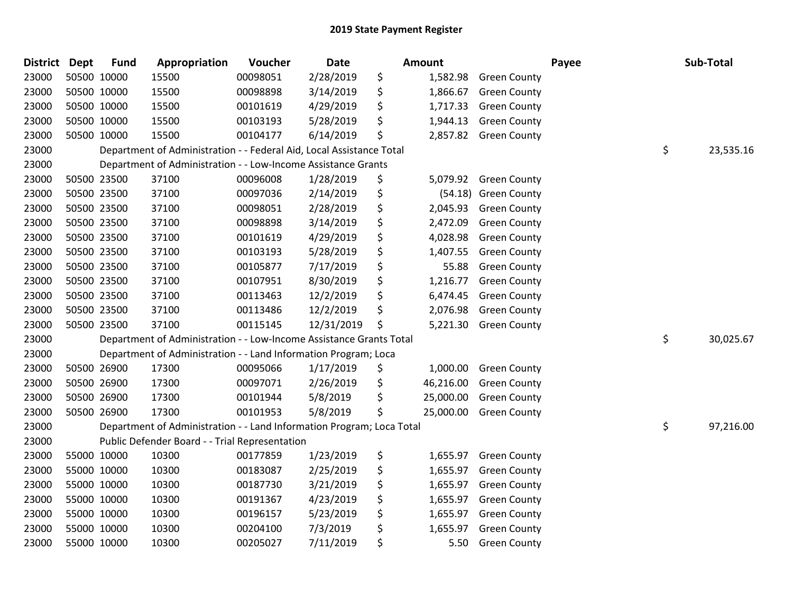| <b>District</b> | <b>Dept</b> | <b>Fund</b> | Appropriation                                                         | Voucher  | <b>Date</b> | <b>Amount</b>   |                      | Payee | Sub-Total       |
|-----------------|-------------|-------------|-----------------------------------------------------------------------|----------|-------------|-----------------|----------------------|-------|-----------------|
| 23000           |             | 50500 10000 | 15500                                                                 | 00098051 | 2/28/2019   | \$<br>1,582.98  | <b>Green County</b>  |       |                 |
| 23000           |             | 50500 10000 | 15500                                                                 | 00098898 | 3/14/2019   | \$<br>1,866.67  | <b>Green County</b>  |       |                 |
| 23000           |             | 50500 10000 | 15500                                                                 | 00101619 | 4/29/2019   | \$<br>1,717.33  | <b>Green County</b>  |       |                 |
| 23000           |             | 50500 10000 | 15500                                                                 | 00103193 | 5/28/2019   | \$<br>1,944.13  | <b>Green County</b>  |       |                 |
| 23000           |             | 50500 10000 | 15500                                                                 | 00104177 | 6/14/2019   | \$<br>2,857.82  | <b>Green County</b>  |       |                 |
| 23000           |             |             | Department of Administration - - Federal Aid, Local Assistance Total  |          |             |                 |                      |       | \$<br>23,535.16 |
| 23000           |             |             | Department of Administration - - Low-Income Assistance Grants         |          |             |                 |                      |       |                 |
| 23000           |             | 50500 23500 | 37100                                                                 | 00096008 | 1/28/2019   | \$<br>5,079.92  | <b>Green County</b>  |       |                 |
| 23000           |             | 50500 23500 | 37100                                                                 | 00097036 | 2/14/2019   | \$              | (54.18) Green County |       |                 |
| 23000           |             | 50500 23500 | 37100                                                                 | 00098051 | 2/28/2019   | \$<br>2,045.93  | <b>Green County</b>  |       |                 |
| 23000           |             | 50500 23500 | 37100                                                                 | 00098898 | 3/14/2019   | \$<br>2,472.09  | <b>Green County</b>  |       |                 |
| 23000           |             | 50500 23500 | 37100                                                                 | 00101619 | 4/29/2019   | \$<br>4,028.98  | <b>Green County</b>  |       |                 |
| 23000           |             | 50500 23500 | 37100                                                                 | 00103193 | 5/28/2019   | \$<br>1,407.55  | <b>Green County</b>  |       |                 |
| 23000           |             | 50500 23500 | 37100                                                                 | 00105877 | 7/17/2019   | \$<br>55.88     | <b>Green County</b>  |       |                 |
| 23000           |             | 50500 23500 | 37100                                                                 | 00107951 | 8/30/2019   | \$<br>1,216.77  | <b>Green County</b>  |       |                 |
| 23000           |             | 50500 23500 | 37100                                                                 | 00113463 | 12/2/2019   | \$<br>6,474.45  | <b>Green County</b>  |       |                 |
| 23000           |             | 50500 23500 | 37100                                                                 | 00113486 | 12/2/2019   | \$<br>2,076.98  | <b>Green County</b>  |       |                 |
| 23000           |             | 50500 23500 | 37100                                                                 | 00115145 | 12/31/2019  | \$<br>5,221.30  | <b>Green County</b>  |       |                 |
| 23000           |             |             | Department of Administration - - Low-Income Assistance Grants Total   |          |             |                 |                      |       | \$<br>30,025.67 |
| 23000           |             |             | Department of Administration - - Land Information Program; Loca       |          |             |                 |                      |       |                 |
| 23000           |             | 50500 26900 | 17300                                                                 | 00095066 | 1/17/2019   | \$<br>1,000.00  | <b>Green County</b>  |       |                 |
| 23000           |             | 50500 26900 | 17300                                                                 | 00097071 | 2/26/2019   | \$<br>46,216.00 | <b>Green County</b>  |       |                 |
| 23000           |             | 50500 26900 | 17300                                                                 | 00101944 | 5/8/2019    | \$<br>25,000.00 | <b>Green County</b>  |       |                 |
| 23000           |             | 50500 26900 | 17300                                                                 | 00101953 | 5/8/2019    | \$<br>25,000.00 | <b>Green County</b>  |       |                 |
| 23000           |             |             | Department of Administration - - Land Information Program; Loca Total |          |             |                 |                      |       | \$<br>97,216.00 |
| 23000           |             |             | Public Defender Board - - Trial Representation                        |          |             |                 |                      |       |                 |
| 23000           |             | 55000 10000 | 10300                                                                 | 00177859 | 1/23/2019   | \$<br>1,655.97  | <b>Green County</b>  |       |                 |
| 23000           |             | 55000 10000 | 10300                                                                 | 00183087 | 2/25/2019   | \$<br>1,655.97  | <b>Green County</b>  |       |                 |
| 23000           |             | 55000 10000 | 10300                                                                 | 00187730 | 3/21/2019   | \$<br>1,655.97  | <b>Green County</b>  |       |                 |
| 23000           |             | 55000 10000 | 10300                                                                 | 00191367 | 4/23/2019   | \$<br>1,655.97  | <b>Green County</b>  |       |                 |
| 23000           |             | 55000 10000 | 10300                                                                 | 00196157 | 5/23/2019   | \$<br>1,655.97  | <b>Green County</b>  |       |                 |
| 23000           |             | 55000 10000 | 10300                                                                 | 00204100 | 7/3/2019    | \$<br>1,655.97  | <b>Green County</b>  |       |                 |
| 23000           |             | 55000 10000 | 10300                                                                 | 00205027 | 7/11/2019   | \$<br>5.50      | <b>Green County</b>  |       |                 |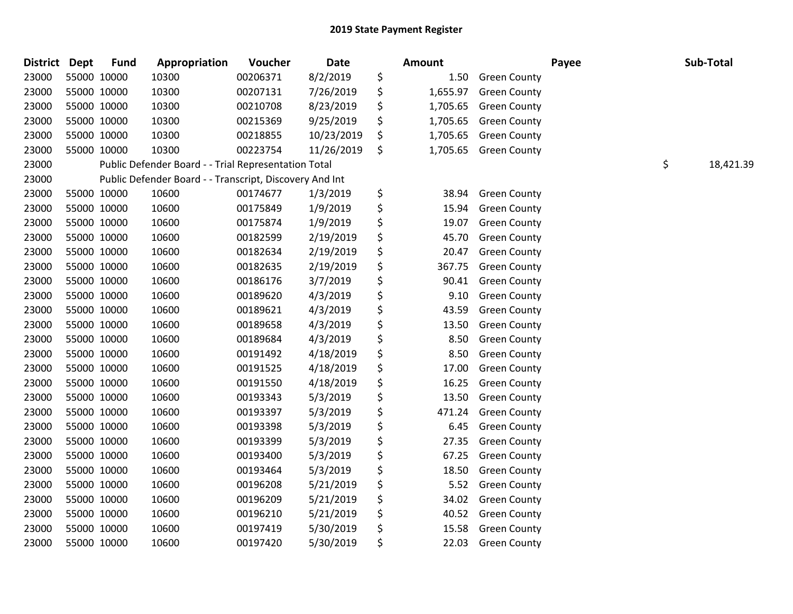| District Dept |             | <b>Fund</b> | Appropriation                                           | Voucher  | Date       | <b>Amount</b>  |                     | Payee | Sub-Total       |
|---------------|-------------|-------------|---------------------------------------------------------|----------|------------|----------------|---------------------|-------|-----------------|
| 23000         |             | 55000 10000 | 10300                                                   | 00206371 | 8/2/2019   | \$<br>1.50     | <b>Green County</b> |       |                 |
| 23000         | 55000 10000 |             | 10300                                                   | 00207131 | 7/26/2019  | \$<br>1,655.97 | <b>Green County</b> |       |                 |
| 23000         |             | 55000 10000 | 10300                                                   | 00210708 | 8/23/2019  | \$<br>1,705.65 | <b>Green County</b> |       |                 |
| 23000         | 55000 10000 |             | 10300                                                   | 00215369 | 9/25/2019  | \$<br>1,705.65 | <b>Green County</b> |       |                 |
| 23000         |             | 55000 10000 | 10300                                                   | 00218855 | 10/23/2019 | \$<br>1,705.65 | <b>Green County</b> |       |                 |
| 23000         | 55000 10000 |             | 10300                                                   | 00223754 | 11/26/2019 | \$<br>1,705.65 | <b>Green County</b> |       |                 |
| 23000         |             |             | Public Defender Board - - Trial Representation Total    |          |            |                |                     |       | \$<br>18,421.39 |
| 23000         |             |             | Public Defender Board - - Transcript, Discovery And Int |          |            |                |                     |       |                 |
| 23000         |             | 55000 10000 | 10600                                                   | 00174677 | 1/3/2019   | \$<br>38.94    | <b>Green County</b> |       |                 |
| 23000         | 55000 10000 |             | 10600                                                   | 00175849 | 1/9/2019   | \$<br>15.94    | <b>Green County</b> |       |                 |
| 23000         | 55000 10000 |             | 10600                                                   | 00175874 | 1/9/2019   | \$<br>19.07    | <b>Green County</b> |       |                 |
| 23000         | 55000 10000 |             | 10600                                                   | 00182599 | 2/19/2019  | \$<br>45.70    | <b>Green County</b> |       |                 |
| 23000         |             | 55000 10000 | 10600                                                   | 00182634 | 2/19/2019  | \$<br>20.47    | <b>Green County</b> |       |                 |
| 23000         | 55000 10000 |             | 10600                                                   | 00182635 | 2/19/2019  | \$<br>367.75   | <b>Green County</b> |       |                 |
| 23000         | 55000 10000 |             | 10600                                                   | 00186176 | 3/7/2019   | \$<br>90.41    | <b>Green County</b> |       |                 |
| 23000         | 55000 10000 |             | 10600                                                   | 00189620 | 4/3/2019   | \$<br>9.10     | <b>Green County</b> |       |                 |
| 23000         | 55000 10000 |             | 10600                                                   | 00189621 | 4/3/2019   | \$<br>43.59    | <b>Green County</b> |       |                 |
| 23000         | 55000 10000 |             | 10600                                                   | 00189658 | 4/3/2019   | \$<br>13.50    | <b>Green County</b> |       |                 |
| 23000         | 55000 10000 |             | 10600                                                   | 00189684 | 4/3/2019   | \$<br>8.50     | <b>Green County</b> |       |                 |
| 23000         |             | 55000 10000 | 10600                                                   | 00191492 | 4/18/2019  | \$<br>8.50     | <b>Green County</b> |       |                 |
| 23000         |             | 55000 10000 | 10600                                                   | 00191525 | 4/18/2019  | \$<br>17.00    | <b>Green County</b> |       |                 |
| 23000         | 55000 10000 |             | 10600                                                   | 00191550 | 4/18/2019  | \$<br>16.25    | <b>Green County</b> |       |                 |
| 23000         | 55000 10000 |             | 10600                                                   | 00193343 | 5/3/2019   | \$<br>13.50    | <b>Green County</b> |       |                 |
| 23000         | 55000 10000 |             | 10600                                                   | 00193397 | 5/3/2019   | \$<br>471.24   | <b>Green County</b> |       |                 |
| 23000         | 55000 10000 |             | 10600                                                   | 00193398 | 5/3/2019   | \$<br>6.45     | <b>Green County</b> |       |                 |
| 23000         | 55000 10000 |             | 10600                                                   | 00193399 | 5/3/2019   | \$<br>27.35    | <b>Green County</b> |       |                 |
| 23000         | 55000 10000 |             | 10600                                                   | 00193400 | 5/3/2019   | \$<br>67.25    | <b>Green County</b> |       |                 |
| 23000         | 55000 10000 |             | 10600                                                   | 00193464 | 5/3/2019   | \$<br>18.50    | <b>Green County</b> |       |                 |
| 23000         | 55000 10000 |             | 10600                                                   | 00196208 | 5/21/2019  | \$<br>5.52     | <b>Green County</b> |       |                 |
| 23000         |             | 55000 10000 | 10600                                                   | 00196209 | 5/21/2019  | \$<br>34.02    | <b>Green County</b> |       |                 |
| 23000         |             | 55000 10000 | 10600                                                   | 00196210 | 5/21/2019  | \$<br>40.52    | <b>Green County</b> |       |                 |
| 23000         | 55000 10000 |             | 10600                                                   | 00197419 | 5/30/2019  | \$<br>15.58    | <b>Green County</b> |       |                 |
| 23000         |             | 55000 10000 | 10600                                                   | 00197420 | 5/30/2019  | \$<br>22.03    | <b>Green County</b> |       |                 |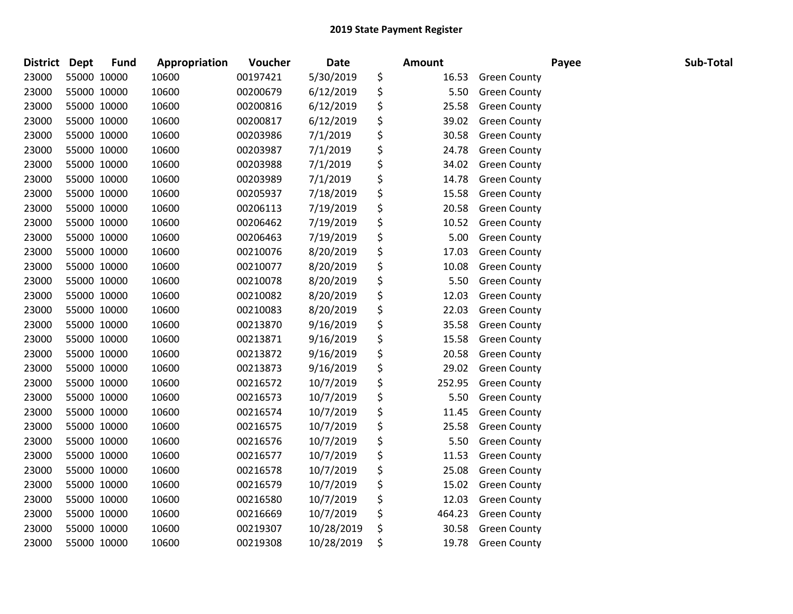| <b>District Dept</b> |             | <b>Fund</b> | Appropriation | Voucher  | <b>Date</b> | <b>Amount</b> |                     | Payee | Sub-Total |
|----------------------|-------------|-------------|---------------|----------|-------------|---------------|---------------------|-------|-----------|
| 23000                | 55000 10000 |             | 10600         | 00197421 | 5/30/2019   | \$<br>16.53   | <b>Green County</b> |       |           |
| 23000                | 55000 10000 |             | 10600         | 00200679 | 6/12/2019   | \$<br>5.50    | <b>Green County</b> |       |           |
| 23000                | 55000 10000 |             | 10600         | 00200816 | 6/12/2019   | \$<br>25.58   | <b>Green County</b> |       |           |
| 23000                | 55000 10000 |             | 10600         | 00200817 | 6/12/2019   | \$<br>39.02   | <b>Green County</b> |       |           |
| 23000                | 55000 10000 |             | 10600         | 00203986 | 7/1/2019    | \$<br>30.58   | <b>Green County</b> |       |           |
| 23000                | 55000 10000 |             | 10600         | 00203987 | 7/1/2019    | \$<br>24.78   | <b>Green County</b> |       |           |
| 23000                | 55000 10000 |             | 10600         | 00203988 | 7/1/2019    | \$<br>34.02   | <b>Green County</b> |       |           |
| 23000                | 55000 10000 |             | 10600         | 00203989 | 7/1/2019    | \$<br>14.78   | <b>Green County</b> |       |           |
| 23000                | 55000 10000 |             | 10600         | 00205937 | 7/18/2019   | \$<br>15.58   | <b>Green County</b> |       |           |
| 23000                | 55000 10000 |             | 10600         | 00206113 | 7/19/2019   | \$<br>20.58   | <b>Green County</b> |       |           |
| 23000                | 55000 10000 |             | 10600         | 00206462 | 7/19/2019   | \$<br>10.52   | <b>Green County</b> |       |           |
| 23000                | 55000 10000 |             | 10600         | 00206463 | 7/19/2019   | \$<br>5.00    | <b>Green County</b> |       |           |
| 23000                | 55000 10000 |             | 10600         | 00210076 | 8/20/2019   | \$<br>17.03   | <b>Green County</b> |       |           |
| 23000                | 55000 10000 |             | 10600         | 00210077 | 8/20/2019   | \$<br>10.08   | <b>Green County</b> |       |           |
| 23000                | 55000 10000 |             | 10600         | 00210078 | 8/20/2019   | \$<br>5.50    | <b>Green County</b> |       |           |
| 23000                | 55000 10000 |             | 10600         | 00210082 | 8/20/2019   | \$<br>12.03   | <b>Green County</b> |       |           |
| 23000                | 55000 10000 |             | 10600         | 00210083 | 8/20/2019   | \$<br>22.03   | <b>Green County</b> |       |           |
| 23000                | 55000 10000 |             | 10600         | 00213870 | 9/16/2019   | \$<br>35.58   | <b>Green County</b> |       |           |
| 23000                | 55000 10000 |             | 10600         | 00213871 | 9/16/2019   | \$<br>15.58   | <b>Green County</b> |       |           |
| 23000                | 55000 10000 |             | 10600         | 00213872 | 9/16/2019   | \$<br>20.58   | <b>Green County</b> |       |           |
| 23000                | 55000 10000 |             | 10600         | 00213873 | 9/16/2019   | \$<br>29.02   | <b>Green County</b> |       |           |
| 23000                | 55000 10000 |             | 10600         | 00216572 | 10/7/2019   | \$<br>252.95  | <b>Green County</b> |       |           |
| 23000                | 55000 10000 |             | 10600         | 00216573 | 10/7/2019   | \$<br>5.50    | <b>Green County</b> |       |           |
| 23000                | 55000 10000 |             | 10600         | 00216574 | 10/7/2019   | \$<br>11.45   | <b>Green County</b> |       |           |
| 23000                | 55000 10000 |             | 10600         | 00216575 | 10/7/2019   | \$<br>25.58   | <b>Green County</b> |       |           |
| 23000                | 55000 10000 |             | 10600         | 00216576 | 10/7/2019   | \$<br>5.50    | <b>Green County</b> |       |           |
| 23000                | 55000 10000 |             | 10600         | 00216577 | 10/7/2019   | \$<br>11.53   | <b>Green County</b> |       |           |
| 23000                | 55000 10000 |             | 10600         | 00216578 | 10/7/2019   | \$<br>25.08   | <b>Green County</b> |       |           |
| 23000                | 55000 10000 |             | 10600         | 00216579 | 10/7/2019   | \$<br>15.02   | <b>Green County</b> |       |           |
| 23000                | 55000 10000 |             | 10600         | 00216580 | 10/7/2019   | \$<br>12.03   | <b>Green County</b> |       |           |
| 23000                | 55000 10000 |             | 10600         | 00216669 | 10/7/2019   | \$<br>464.23  | <b>Green County</b> |       |           |
| 23000                | 55000 10000 |             | 10600         | 00219307 | 10/28/2019  | \$<br>30.58   | <b>Green County</b> |       |           |
| 23000                | 55000 10000 |             | 10600         | 00219308 | 10/28/2019  | \$<br>19.78   | <b>Green County</b> |       |           |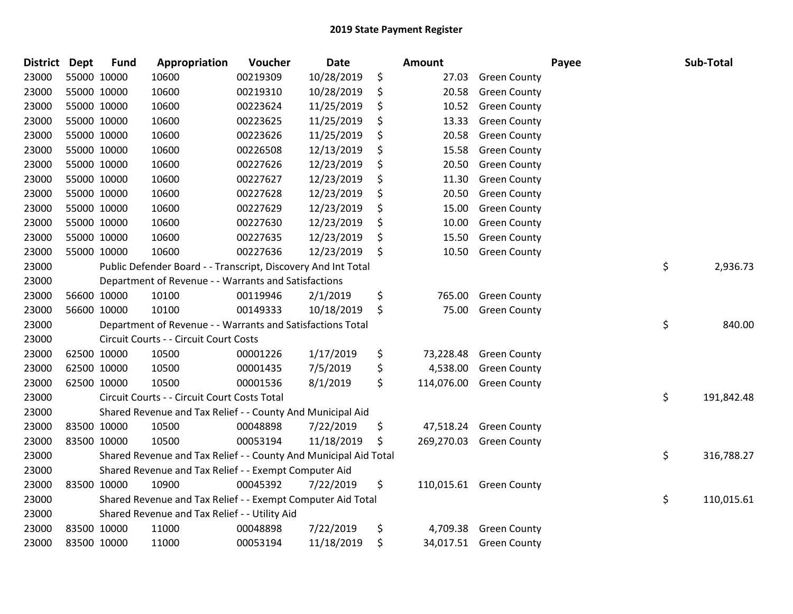| <b>District</b> | <b>Dept</b> | <b>Fund</b> | Appropriation                                                    | Voucher  | <b>Date</b> | <b>Amount</b>    |                         | Payee | Sub-Total        |
|-----------------|-------------|-------------|------------------------------------------------------------------|----------|-------------|------------------|-------------------------|-------|------------------|
| 23000           |             | 55000 10000 | 10600                                                            | 00219309 | 10/28/2019  | \$<br>27.03      | <b>Green County</b>     |       |                  |
| 23000           |             | 55000 10000 | 10600                                                            | 00219310 | 10/28/2019  | \$<br>20.58      | <b>Green County</b>     |       |                  |
| 23000           |             | 55000 10000 | 10600                                                            | 00223624 | 11/25/2019  | \$<br>10.52      | <b>Green County</b>     |       |                  |
| 23000           |             | 55000 10000 | 10600                                                            | 00223625 | 11/25/2019  | \$<br>13.33      | <b>Green County</b>     |       |                  |
| 23000           | 55000 10000 |             | 10600                                                            | 00223626 | 11/25/2019  | \$<br>20.58      | <b>Green County</b>     |       |                  |
| 23000           |             | 55000 10000 | 10600                                                            | 00226508 | 12/13/2019  | \$<br>15.58      | <b>Green County</b>     |       |                  |
| 23000           |             | 55000 10000 | 10600                                                            | 00227626 | 12/23/2019  | \$<br>20.50      | <b>Green County</b>     |       |                  |
| 23000           |             | 55000 10000 | 10600                                                            | 00227627 | 12/23/2019  | \$<br>11.30      | <b>Green County</b>     |       |                  |
| 23000           |             | 55000 10000 | 10600                                                            | 00227628 | 12/23/2019  | \$<br>20.50      | <b>Green County</b>     |       |                  |
| 23000           |             | 55000 10000 | 10600                                                            | 00227629 | 12/23/2019  | \$<br>15.00      | <b>Green County</b>     |       |                  |
| 23000           |             | 55000 10000 | 10600                                                            | 00227630 | 12/23/2019  | \$<br>10.00      | <b>Green County</b>     |       |                  |
| 23000           |             | 55000 10000 | 10600                                                            | 00227635 | 12/23/2019  | \$<br>15.50      | <b>Green County</b>     |       |                  |
| 23000           |             | 55000 10000 | 10600                                                            | 00227636 | 12/23/2019  | \$<br>10.50      | <b>Green County</b>     |       |                  |
| 23000           |             |             | Public Defender Board - - Transcript, Discovery And Int Total    |          |             |                  |                         |       | \$<br>2,936.73   |
| 23000           |             |             | Department of Revenue - - Warrants and Satisfactions             |          |             |                  |                         |       |                  |
| 23000           |             | 56600 10000 | 10100                                                            | 00119946 | 2/1/2019    | \$<br>765.00     | <b>Green County</b>     |       |                  |
| 23000           |             | 56600 10000 | 10100                                                            | 00149333 | 10/18/2019  | \$<br>75.00      | <b>Green County</b>     |       |                  |
| 23000           |             |             | Department of Revenue - - Warrants and Satisfactions Total       |          |             |                  |                         |       | \$<br>840.00     |
| 23000           |             |             | Circuit Courts - - Circuit Court Costs                           |          |             |                  |                         |       |                  |
| 23000           |             | 62500 10000 | 10500                                                            | 00001226 | 1/17/2019   | \$<br>73,228.48  | <b>Green County</b>     |       |                  |
| 23000           |             | 62500 10000 | 10500                                                            | 00001435 | 7/5/2019    | \$<br>4,538.00   | <b>Green County</b>     |       |                  |
| 23000           |             | 62500 10000 | 10500                                                            | 00001536 | 8/1/2019    | \$<br>114,076.00 | <b>Green County</b>     |       |                  |
| 23000           |             |             | Circuit Courts - - Circuit Court Costs Total                     |          |             |                  |                         |       | \$<br>191,842.48 |
| 23000           |             |             | Shared Revenue and Tax Relief - - County And Municipal Aid       |          |             |                  |                         |       |                  |
| 23000           |             | 83500 10000 | 10500                                                            | 00048898 | 7/22/2019   | \$<br>47,518.24  | <b>Green County</b>     |       |                  |
| 23000           |             | 83500 10000 | 10500                                                            | 00053194 | 11/18/2019  | \$<br>269,270.03 | <b>Green County</b>     |       |                  |
| 23000           |             |             | Shared Revenue and Tax Relief - - County And Municipal Aid Total |          |             |                  |                         |       | \$<br>316,788.27 |
| 23000           |             |             | Shared Revenue and Tax Relief - - Exempt Computer Aid            |          |             |                  |                         |       |                  |
| 23000           |             | 83500 10000 | 10900                                                            | 00045392 | 7/22/2019   | \$               | 110,015.61 Green County |       |                  |
| 23000           |             |             | Shared Revenue and Tax Relief - - Exempt Computer Aid Total      |          |             |                  |                         |       | \$<br>110,015.61 |
| 23000           |             |             | Shared Revenue and Tax Relief - - Utility Aid                    |          |             |                  |                         |       |                  |
| 23000           |             | 83500 10000 | 11000                                                            | 00048898 | 7/22/2019   | \$<br>4,709.38   | <b>Green County</b>     |       |                  |
| 23000           | 83500 10000 |             | 11000                                                            | 00053194 | 11/18/2019  | \$               | 34,017.51 Green County  |       |                  |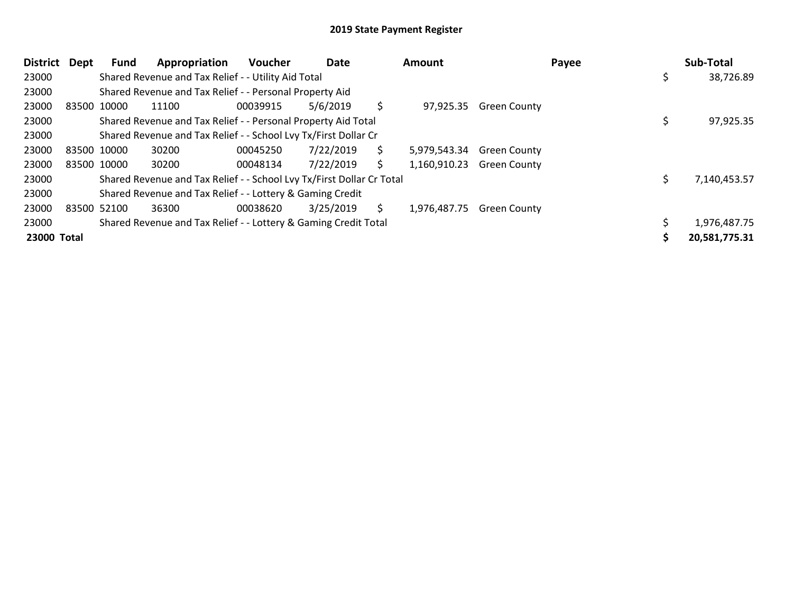| District Dept | Fund        | Appropriation                                                         | Voucher  | Date      |    | Amount                    |                     | Payee | Sub-Total     |
|---------------|-------------|-----------------------------------------------------------------------|----------|-----------|----|---------------------------|---------------------|-------|---------------|
| 23000         |             | Shared Revenue and Tax Relief - - Utility Aid Total                   |          |           |    |                           |                     |       | 38,726.89     |
| 23000         |             | Shared Revenue and Tax Relief - - Personal Property Aid               |          |           |    |                           |                     |       |               |
| 23000         | 83500 10000 | 11100                                                                 | 00039915 | 5/6/2019  | \$ | 97,925.35                 | <b>Green County</b> |       |               |
| 23000         |             | Shared Revenue and Tax Relief - - Personal Property Aid Total         |          |           |    |                           |                     |       | 97,925.35     |
| 23000         |             | Shared Revenue and Tax Relief - - School Lvy Tx/First Dollar Cr       |          |           |    |                           |                     |       |               |
| 23000         | 83500 10000 | 30200                                                                 | 00045250 | 7/22/2019 | \$ | 5,979,543.34              | <b>Green County</b> |       |               |
| 23000         | 83500 10000 | 30200                                                                 | 00048134 | 7/22/2019 | \$ | 1,160,910.23 Green County |                     |       |               |
| 23000         |             | Shared Revenue and Tax Relief - - School Lvy Tx/First Dollar Cr Total |          |           |    |                           |                     |       | 7,140,453.57  |
| 23000         |             | Shared Revenue and Tax Relief - - Lottery & Gaming Credit             |          |           |    |                           |                     |       |               |
| 23000         | 83500 52100 | 36300                                                                 | 00038620 | 3/25/2019 | S. | 1,976,487.75              | <b>Green County</b> |       |               |
| 23000         |             | Shared Revenue and Tax Relief - - Lottery & Gaming Credit Total       |          |           |    |                           |                     |       | 1,976,487.75  |
| 23000 Total   |             |                                                                       |          |           |    |                           |                     |       | 20,581,775.31 |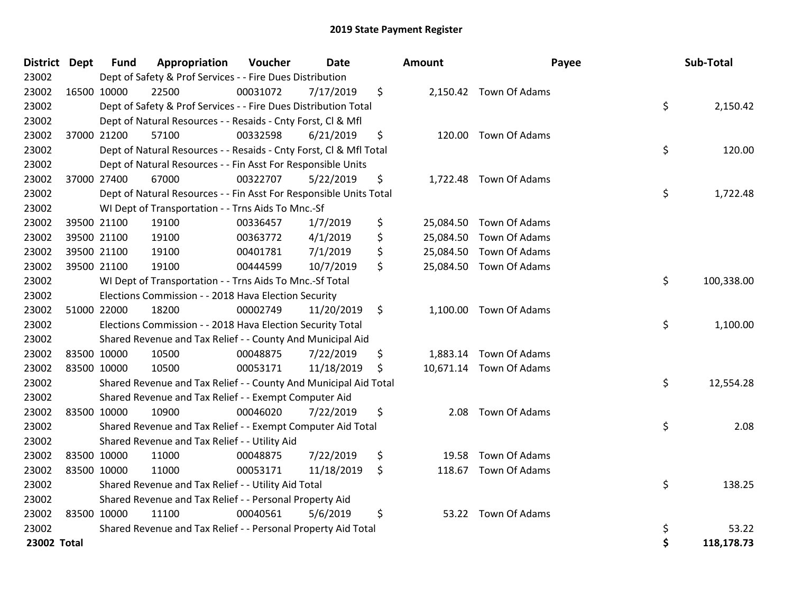| District Dept |             | <b>Fund</b> | Appropriation                                                      | Voucher  | <b>Date</b> | <b>Amount</b>   | Payee                   | <b>Sub-Total</b> |
|---------------|-------------|-------------|--------------------------------------------------------------------|----------|-------------|-----------------|-------------------------|------------------|
| 23002         |             |             | Dept of Safety & Prof Services - - Fire Dues Distribution          |          |             |                 |                         |                  |
| 23002         |             | 16500 10000 | 22500                                                              | 00031072 | 7/17/2019   | \$              | 2,150.42 Town Of Adams  |                  |
| 23002         |             |             | Dept of Safety & Prof Services - - Fire Dues Distribution Total    |          |             |                 |                         | \$<br>2,150.42   |
| 23002         |             |             | Dept of Natural Resources - - Resaids - Cnty Forst, CI & Mfl       |          |             |                 |                         |                  |
| 23002         |             | 37000 21200 | 57100                                                              | 00332598 | 6/21/2019   | \$<br>120.00    | Town Of Adams           |                  |
| 23002         |             |             | Dept of Natural Resources - - Resaids - Cnty Forst, CI & Mfl Total |          |             |                 |                         | \$<br>120.00     |
| 23002         |             |             | Dept of Natural Resources - - Fin Asst For Responsible Units       |          |             |                 |                         |                  |
| 23002         |             | 37000 27400 | 67000                                                              | 00322707 | 5/22/2019   | \$              | 1,722.48 Town Of Adams  |                  |
| 23002         |             |             | Dept of Natural Resources - - Fin Asst For Responsible Units Total |          |             |                 |                         | \$<br>1,722.48   |
| 23002         |             |             | WI Dept of Transportation - - Trns Aids To Mnc.-Sf                 |          |             |                 |                         |                  |
| 23002         |             | 39500 21100 | 19100                                                              | 00336457 | 1/7/2019    | \$              | 25,084.50 Town Of Adams |                  |
| 23002         |             | 39500 21100 | 19100                                                              | 00363772 | 4/1/2019    | \$              | 25,084.50 Town Of Adams |                  |
| 23002         |             | 39500 21100 | 19100                                                              | 00401781 | 7/1/2019    | \$              | 25,084.50 Town Of Adams |                  |
| 23002         |             | 39500 21100 | 19100                                                              | 00444599 | 10/7/2019   | \$<br>25,084.50 | Town Of Adams           |                  |
| 23002         |             |             | WI Dept of Transportation - - Trns Aids To Mnc.-Sf Total           |          |             |                 |                         | \$<br>100,338.00 |
| 23002         |             |             | Elections Commission - - 2018 Hava Election Security               |          |             |                 |                         |                  |
| 23002         | 51000 22000 |             | 18200                                                              | 00002749 | 11/20/2019  | \$              | 1,100.00 Town Of Adams  |                  |
| 23002         |             |             | Elections Commission - - 2018 Hava Election Security Total         |          |             |                 |                         | \$<br>1,100.00   |
| 23002         |             |             | Shared Revenue and Tax Relief - - County And Municipal Aid         |          |             |                 |                         |                  |
| 23002         |             | 83500 10000 | 10500                                                              | 00048875 | 7/22/2019   | \$              | 1,883.14 Town Of Adams  |                  |
| 23002         |             | 83500 10000 | 10500                                                              | 00053171 | 11/18/2019  | \$              | 10,671.14 Town Of Adams |                  |
| 23002         |             |             | Shared Revenue and Tax Relief - - County And Municipal Aid Total   |          |             |                 |                         | \$<br>12,554.28  |
| 23002         |             |             | Shared Revenue and Tax Relief - - Exempt Computer Aid              |          |             |                 |                         |                  |
| 23002         |             | 83500 10000 | 10900                                                              | 00046020 | 7/22/2019   | \$<br>2.08      | Town Of Adams           |                  |
| 23002         |             |             | Shared Revenue and Tax Relief - - Exempt Computer Aid Total        |          |             |                 |                         | \$<br>2.08       |
| 23002         |             |             | Shared Revenue and Tax Relief - - Utility Aid                      |          |             |                 |                         |                  |
| 23002         |             | 83500 10000 | 11000                                                              | 00048875 | 7/22/2019   | \$<br>19.58     | Town Of Adams           |                  |
| 23002         | 83500 10000 |             | 11000                                                              | 00053171 | 11/18/2019  | \$              | 118.67 Town Of Adams    |                  |
| 23002         |             |             | Shared Revenue and Tax Relief - - Utility Aid Total                |          |             |                 |                         | \$<br>138.25     |
| 23002         |             |             | Shared Revenue and Tax Relief - - Personal Property Aid            |          |             |                 |                         |                  |
| 23002         | 83500 10000 |             | 11100                                                              | 00040561 | 5/6/2019    | \$              | 53.22 Town Of Adams     |                  |
| 23002         |             |             | Shared Revenue and Tax Relief - - Personal Property Aid Total      |          |             |                 |                         | \$<br>53.22      |
| 23002 Total   |             |             |                                                                    |          |             |                 |                         | \$<br>118,178.73 |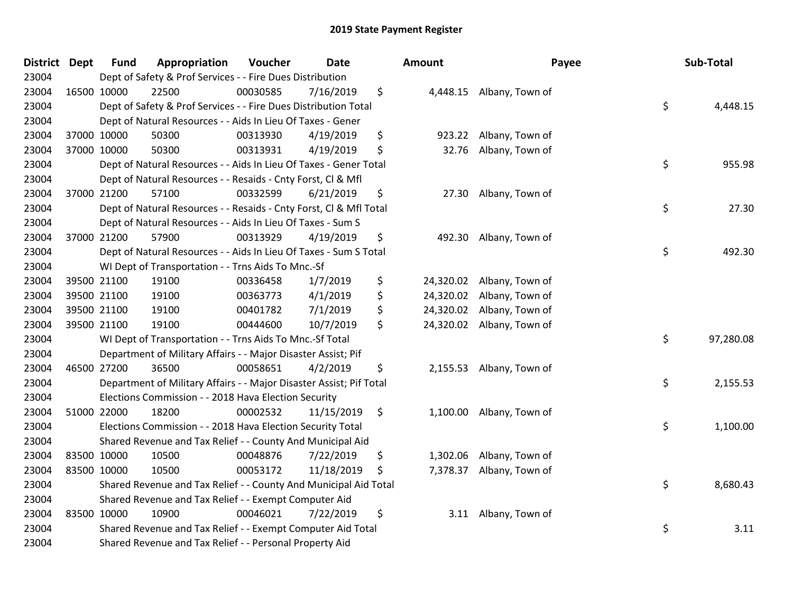| District Dept |             | <b>Fund</b> | Appropriation                                                       | Voucher  | Date       | <b>Amount</b>   | Payee                     | Sub-Total       |
|---------------|-------------|-------------|---------------------------------------------------------------------|----------|------------|-----------------|---------------------------|-----------------|
| 23004         |             |             | Dept of Safety & Prof Services - - Fire Dues Distribution           |          |            |                 |                           |                 |
| 23004         | 16500 10000 |             | 22500                                                               | 00030585 | 7/16/2019  | \$              | 4,448.15 Albany, Town of  |                 |
| 23004         |             |             | Dept of Safety & Prof Services - - Fire Dues Distribution Total     |          |            |                 |                           | \$<br>4,448.15  |
| 23004         |             |             | Dept of Natural Resources - - Aids In Lieu Of Taxes - Gener         |          |            |                 |                           |                 |
| 23004         | 37000 10000 |             | 50300                                                               | 00313930 | 4/19/2019  | \$<br>923.22    | Albany, Town of           |                 |
| 23004         |             | 37000 10000 | 50300                                                               | 00313931 | 4/19/2019  | \$<br>32.76     | Albany, Town of           |                 |
| 23004         |             |             | Dept of Natural Resources - - Aids In Lieu Of Taxes - Gener Total   |          |            |                 |                           | \$<br>955.98    |
| 23004         |             |             | Dept of Natural Resources - - Resaids - Cnty Forst, Cl & Mfl        |          |            |                 |                           |                 |
| 23004         |             | 37000 21200 | 57100                                                               | 00332599 | 6/21/2019  | \$<br>27.30     | Albany, Town of           |                 |
| 23004         |             |             | Dept of Natural Resources - - Resaids - Cnty Forst, Cl & Mfl Total  |          |            |                 |                           | \$<br>27.30     |
| 23004         |             |             | Dept of Natural Resources - - Aids In Lieu Of Taxes - Sum S         |          |            |                 |                           |                 |
| 23004         | 37000 21200 |             | 57900                                                               | 00313929 | 4/19/2019  | \$              | 492.30 Albany, Town of    |                 |
| 23004         |             |             | Dept of Natural Resources - - Aids In Lieu Of Taxes - Sum S Total   |          |            |                 |                           | \$<br>492.30    |
| 23004         |             |             | WI Dept of Transportation - - Trns Aids To Mnc.-Sf                  |          |            |                 |                           |                 |
| 23004         |             | 39500 21100 | 19100                                                               | 00336458 | 1/7/2019   | \$<br>24,320.02 | Albany, Town of           |                 |
| 23004         |             | 39500 21100 | 19100                                                               | 00363773 | 4/1/2019   | \$<br>24,320.02 | Albany, Town of           |                 |
| 23004         |             | 39500 21100 | 19100                                                               | 00401782 | 7/1/2019   | \$<br>24,320.02 | Albany, Town of           |                 |
| 23004         | 39500 21100 |             | 19100                                                               | 00444600 | 10/7/2019  | \$              | 24,320.02 Albany, Town of |                 |
| 23004         |             |             | WI Dept of Transportation - - Trns Aids To Mnc.-Sf Total            |          |            |                 |                           | \$<br>97,280.08 |
| 23004         |             |             | Department of Military Affairs - - Major Disaster Assist; Pif       |          |            |                 |                           |                 |
| 23004         | 46500 27200 |             | 36500                                                               | 00058651 | 4/2/2019   | \$              | 2,155.53 Albany, Town of  |                 |
| 23004         |             |             | Department of Military Affairs - - Major Disaster Assist; Pif Total |          |            |                 |                           | \$<br>2,155.53  |
| 23004         |             |             | Elections Commission - - 2018 Hava Election Security                |          |            |                 |                           |                 |
| 23004         | 51000 22000 |             | 18200                                                               | 00002532 | 11/15/2019 | \$              | 1,100.00 Albany, Town of  |                 |
| 23004         |             |             | Elections Commission - - 2018 Hava Election Security Total          |          |            |                 |                           | \$<br>1,100.00  |
| 23004         |             |             | Shared Revenue and Tax Relief - - County And Municipal Aid          |          |            |                 |                           |                 |
| 23004         | 83500 10000 |             | 10500                                                               | 00048876 | 7/22/2019  | \$<br>1,302.06  | Albany, Town of           |                 |
| 23004         | 83500 10000 |             | 10500                                                               | 00053172 | 11/18/2019 | \$<br>7,378.37  | Albany, Town of           |                 |
| 23004         |             |             | Shared Revenue and Tax Relief - - County And Municipal Aid Total    |          |            |                 |                           | \$<br>8,680.43  |
| 23004         |             |             | Shared Revenue and Tax Relief - - Exempt Computer Aid               |          |            |                 |                           |                 |
| 23004         | 83500 10000 |             | 10900                                                               | 00046021 | 7/22/2019  | \$              | 3.11 Albany, Town of      |                 |
| 23004         |             |             | Shared Revenue and Tax Relief - - Exempt Computer Aid Total         |          |            |                 |                           | \$<br>3.11      |
| 23004         |             |             | Shared Revenue and Tax Relief - - Personal Property Aid             |          |            |                 |                           |                 |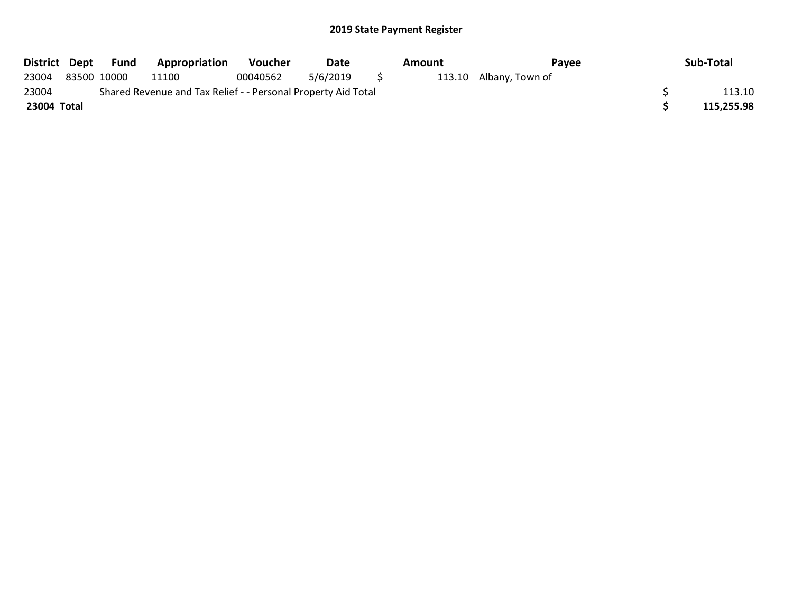|             | District Dept Fund | <b>Appropriation</b>                                          | <b>Voucher</b> | Date     |     | Amount | Pavee                  | Sub-Total  |
|-------------|--------------------|---------------------------------------------------------------|----------------|----------|-----|--------|------------------------|------------|
| 23004       | 83500 10000        | 11100                                                         | 00040562       | 5/6/2019 | S S |        | 113.10 Albany, Town of |            |
| 23004       |                    | Shared Revenue and Tax Relief - - Personal Property Aid Total |                |          |     |        |                        | 113.10     |
| 23004 Total |                    |                                                               |                |          |     |        |                        | 115,255.98 |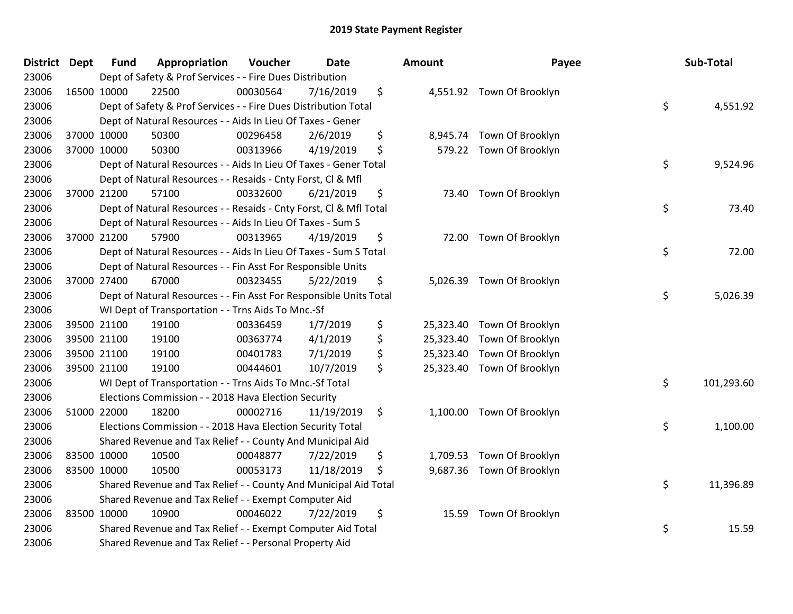| <b>District Dept</b> | <b>Fund</b> | Appropriation                                                      | Voucher  | <b>Date</b> |                    | <b>Amount</b> | Payee                      | Sub-Total        |
|----------------------|-------------|--------------------------------------------------------------------|----------|-------------|--------------------|---------------|----------------------------|------------------|
| 23006                |             | Dept of Safety & Prof Services - - Fire Dues Distribution          |          |             |                    |               |                            |                  |
| 23006                | 16500 10000 | 22500                                                              | 00030564 | 7/16/2019   | \$                 |               | 4,551.92 Town Of Brooklyn  |                  |
| 23006                |             | Dept of Safety & Prof Services - - Fire Dues Distribution Total    |          |             |                    |               |                            | \$<br>4,551.92   |
| 23006                |             | Dept of Natural Resources - - Aids In Lieu Of Taxes - Gener        |          |             |                    |               |                            |                  |
| 23006                | 37000 10000 | 50300                                                              | 00296458 | 2/6/2019    | \$                 |               | 8,945.74 Town Of Brooklyn  |                  |
| 23006                | 37000 10000 | 50300                                                              | 00313966 | 4/19/2019   | \$                 |               | 579.22 Town Of Brooklyn    |                  |
| 23006                |             | Dept of Natural Resources - - Aids In Lieu Of Taxes - Gener Total  |          |             |                    |               |                            | \$<br>9,524.96   |
| 23006                |             | Dept of Natural Resources - - Resaids - Cnty Forst, Cl & Mfl       |          |             |                    |               |                            |                  |
| 23006                | 37000 21200 | 57100                                                              | 00332600 | 6/21/2019   | \$                 |               | 73.40 Town Of Brooklyn     |                  |
| 23006                |             | Dept of Natural Resources - - Resaids - Cnty Forst, CI & Mfl Total |          |             |                    |               |                            | \$<br>73.40      |
| 23006                |             | Dept of Natural Resources - - Aids In Lieu Of Taxes - Sum S        |          |             |                    |               |                            |                  |
| 23006                | 37000 21200 | 57900                                                              | 00313965 | 4/19/2019   | \$                 |               | 72.00 Town Of Brooklyn     |                  |
| 23006                |             | Dept of Natural Resources - - Aids In Lieu Of Taxes - Sum S Total  |          |             |                    |               |                            | \$<br>72.00      |
| 23006                |             | Dept of Natural Resources - - Fin Asst For Responsible Units       |          |             |                    |               |                            |                  |
| 23006                | 37000 27400 | 67000                                                              | 00323455 | 5/22/2019   | \$                 | 5,026.39      | Town Of Brooklyn           |                  |
| 23006                |             | Dept of Natural Resources - - Fin Asst For Responsible Units Total |          |             |                    |               |                            | \$<br>5,026.39   |
| 23006                |             | WI Dept of Transportation - - Trns Aids To Mnc.-Sf                 |          |             |                    |               |                            |                  |
| 23006                | 39500 21100 | 19100                                                              | 00336459 | 1/7/2019    | \$                 | 25,323.40     | Town Of Brooklyn           |                  |
| 23006                | 39500 21100 | 19100                                                              | 00363774 | 4/1/2019    | \$                 |               | 25,323.40 Town Of Brooklyn |                  |
| 23006                | 39500 21100 | 19100                                                              | 00401783 | 7/1/2019    | \$                 | 25,323.40     | Town Of Brooklyn           |                  |
| 23006                | 39500 21100 | 19100                                                              | 00444601 | 10/7/2019   | \$                 |               | 25,323.40 Town Of Brooklyn |                  |
| 23006                |             | WI Dept of Transportation - - Trns Aids To Mnc.-Sf Total           |          |             |                    |               |                            | \$<br>101,293.60 |
| 23006                |             | Elections Commission - - 2018 Hava Election Security               |          |             |                    |               |                            |                  |
| 23006                | 51000 22000 | 18200                                                              | 00002716 | 11/19/2019  | $\ddot{\varsigma}$ |               | 1,100.00 Town Of Brooklyn  |                  |
| 23006                |             | Elections Commission - - 2018 Hava Election Security Total         |          |             |                    |               |                            | \$<br>1,100.00   |
| 23006                |             | Shared Revenue and Tax Relief - - County And Municipal Aid         |          |             |                    |               |                            |                  |
| 23006                | 83500 10000 | 10500                                                              | 00048877 | 7/22/2019   | \$                 |               | 1,709.53 Town Of Brooklyn  |                  |
| 23006                | 83500 10000 | 10500                                                              | 00053173 | 11/18/2019  | \$                 |               | 9,687.36 Town Of Brooklyn  |                  |
| 23006                |             | Shared Revenue and Tax Relief - - County And Municipal Aid Total   |          |             |                    |               |                            | \$<br>11,396.89  |
| 23006                |             | Shared Revenue and Tax Relief - - Exempt Computer Aid              |          |             |                    |               |                            |                  |
| 23006                | 83500 10000 | 10900                                                              | 00046022 | 7/22/2019   | \$                 |               | 15.59 Town Of Brooklyn     |                  |
| 23006                |             | Shared Revenue and Tax Relief - - Exempt Computer Aid Total        |          |             |                    |               |                            | \$<br>15.59      |
| 23006                |             | Shared Revenue and Tax Relief - - Personal Property Aid            |          |             |                    |               |                            |                  |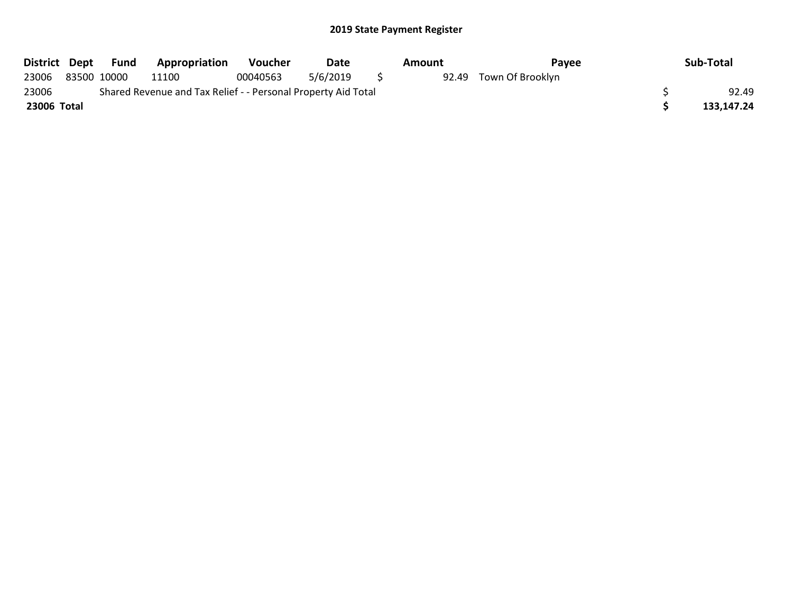| District Dept | Fund        | <b>Appropriation</b>                                          | <b>Voucher</b> | Date     | Amount | Pavee                  | Sub-Total  |
|---------------|-------------|---------------------------------------------------------------|----------------|----------|--------|------------------------|------------|
| 23006         | 83500 10000 | 11100                                                         | 00040563       | 5/6/2019 |        | 92.49 Town Of Brooklyn |            |
| 23006         |             | Shared Revenue and Tax Relief - - Personal Property Aid Total |                |          |        |                        | 92.49      |
| 23006 Total   |             |                                                               |                |          |        |                        | 133,147.24 |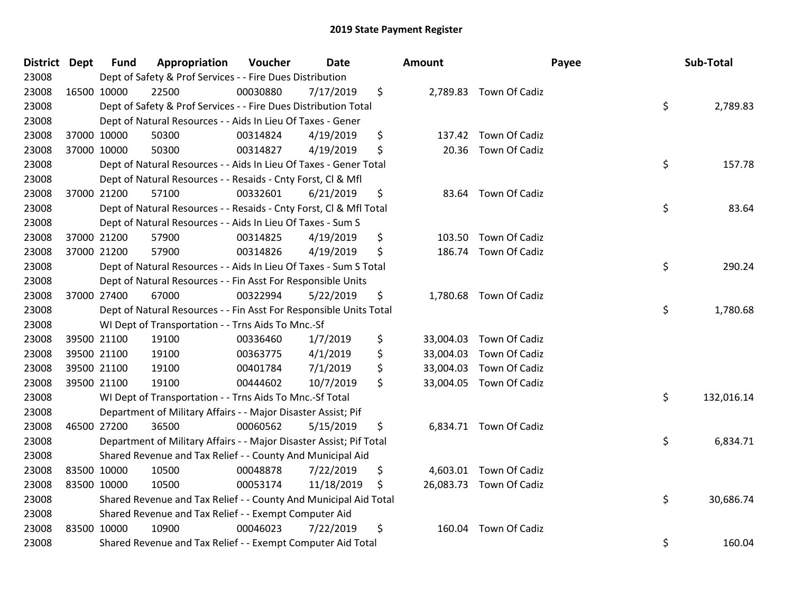| <b>District Dept</b> |             | Fund        | Appropriation                                                       | Voucher  | <b>Date</b> | <b>Amount</b>   |                         | Payee | Sub-Total  |
|----------------------|-------------|-------------|---------------------------------------------------------------------|----------|-------------|-----------------|-------------------------|-------|------------|
| 23008                |             |             | Dept of Safety & Prof Services - - Fire Dues Distribution           |          |             |                 |                         |       |            |
| 23008                |             | 16500 10000 | 22500                                                               | 00030880 | 7/17/2019   | \$              | 2,789.83 Town Of Cadiz  |       |            |
| 23008                |             |             | Dept of Safety & Prof Services - - Fire Dues Distribution Total     |          |             |                 |                         | \$    | 2,789.83   |
| 23008                |             |             | Dept of Natural Resources - - Aids In Lieu Of Taxes - Gener         |          |             |                 |                         |       |            |
| 23008                |             | 37000 10000 | 50300                                                               | 00314824 | 4/19/2019   | \$<br>137.42    | Town Of Cadiz           |       |            |
| 23008                |             | 37000 10000 | 50300                                                               | 00314827 | 4/19/2019   | \$<br>20.36     | Town Of Cadiz           |       |            |
| 23008                |             |             | Dept of Natural Resources - - Aids In Lieu Of Taxes - Gener Total   |          |             |                 |                         | \$    | 157.78     |
| 23008                |             |             | Dept of Natural Resources - - Resaids - Cnty Forst, Cl & Mfl        |          |             |                 |                         |       |            |
| 23008                |             | 37000 21200 | 57100                                                               | 00332601 | 6/21/2019   | \$              | 83.64 Town Of Cadiz     |       |            |
| 23008                |             |             | Dept of Natural Resources - - Resaids - Cnty Forst, Cl & Mfl Total  |          |             |                 |                         | \$    | 83.64      |
| 23008                |             |             | Dept of Natural Resources - - Aids In Lieu Of Taxes - Sum S         |          |             |                 |                         |       |            |
| 23008                |             | 37000 21200 | 57900                                                               | 00314825 | 4/19/2019   | \$              | 103.50 Town Of Cadiz    |       |            |
| 23008                |             | 37000 21200 | 57900                                                               | 00314826 | 4/19/2019   | \$<br>186.74    | Town Of Cadiz           |       |            |
| 23008                |             |             | Dept of Natural Resources - - Aids In Lieu Of Taxes - Sum S Total   |          |             |                 |                         | \$    | 290.24     |
| 23008                |             |             | Dept of Natural Resources - - Fin Asst For Responsible Units        |          |             |                 |                         |       |            |
| 23008                |             | 37000 27400 | 67000                                                               | 00322994 | 5/22/2019   | \$              | 1,780.68 Town Of Cadiz  |       |            |
| 23008                |             |             | Dept of Natural Resources - - Fin Asst For Responsible Units Total  |          |             |                 |                         | \$    | 1,780.68   |
| 23008                |             |             | WI Dept of Transportation - - Trns Aids To Mnc.-Sf                  |          |             |                 |                         |       |            |
| 23008                |             | 39500 21100 | 19100                                                               | 00336460 | 1/7/2019    | \$              | 33,004.03 Town Of Cadiz |       |            |
| 23008                |             | 39500 21100 | 19100                                                               | 00363775 | 4/1/2019    | \$<br>33,004.03 | Town Of Cadiz           |       |            |
| 23008                |             | 39500 21100 | 19100                                                               | 00401784 | 7/1/2019    | \$              | 33,004.03 Town Of Cadiz |       |            |
| 23008                |             | 39500 21100 | 19100                                                               | 00444602 | 10/7/2019   | \$              | 33,004.05 Town Of Cadiz |       |            |
| 23008                |             |             | WI Dept of Transportation - - Trns Aids To Mnc.-Sf Total            |          |             |                 |                         | \$    | 132,016.14 |
| 23008                |             |             | Department of Military Affairs - - Major Disaster Assist; Pif       |          |             |                 |                         |       |            |
| 23008                |             | 46500 27200 | 36500                                                               | 00060562 | 5/15/2019   | \$              | 6,834.71 Town Of Cadiz  |       |            |
| 23008                |             |             | Department of Military Affairs - - Major Disaster Assist; Pif Total |          |             |                 |                         | \$    | 6,834.71   |
| 23008                |             |             | Shared Revenue and Tax Relief - - County And Municipal Aid          |          |             |                 |                         |       |            |
| 23008                | 83500 10000 |             | 10500                                                               | 00048878 | 7/22/2019   | \$              | 4,603.01 Town Of Cadiz  |       |            |
| 23008                | 83500 10000 |             | 10500                                                               | 00053174 | 11/18/2019  | \$              | 26,083.73 Town Of Cadiz |       |            |
| 23008                |             |             | Shared Revenue and Tax Relief - - County And Municipal Aid Total    |          |             |                 |                         | \$    | 30,686.74  |
| 23008                |             |             | Shared Revenue and Tax Relief - - Exempt Computer Aid               |          |             |                 |                         |       |            |
| 23008                |             | 83500 10000 | 10900                                                               | 00046023 | 7/22/2019   | \$<br>160.04    | Town Of Cadiz           |       |            |
| 23008                |             |             | Shared Revenue and Tax Relief - - Exempt Computer Aid Total         |          |             |                 |                         | \$    | 160.04     |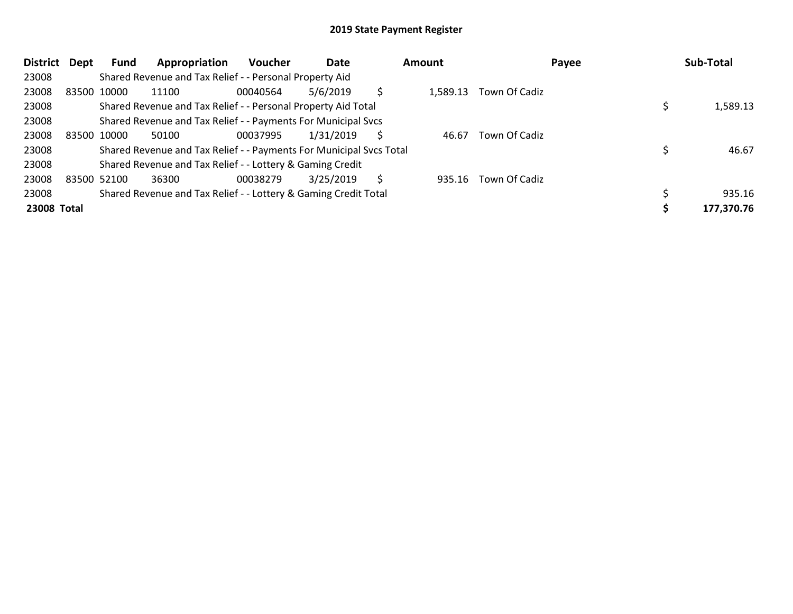| District Dept |             | Fund        | Appropriation                                                       | <b>Voucher</b> | Date      |   | Amount   |               | Payee | Sub-Total  |
|---------------|-------------|-------------|---------------------------------------------------------------------|----------------|-----------|---|----------|---------------|-------|------------|
| 23008         |             |             | Shared Revenue and Tax Relief - - Personal Property Aid             |                |           |   |          |               |       |            |
| 23008         |             | 83500 10000 | 11100                                                               | 00040564       | 5/6/2019  |   | 1,589.13 | Town Of Cadiz |       |            |
| 23008         |             |             | Shared Revenue and Tax Relief - - Personal Property Aid Total       |                |           |   |          |               |       | 1,589.13   |
| 23008         |             |             | Shared Revenue and Tax Relief - - Payments For Municipal Svcs       |                |           |   |          |               |       |            |
| 23008         |             | 83500 10000 | 50100                                                               | 00037995       | 1/31/2019 | S | 46.67    | Town Of Cadiz |       |            |
| 23008         |             |             | Shared Revenue and Tax Relief - - Payments For Municipal Svcs Total |                |           |   |          |               |       | 46.67      |
| 23008         |             |             | Shared Revenue and Tax Relief - - Lottery & Gaming Credit           |                |           |   |          |               |       |            |
| 23008         | 83500 52100 |             | 36300                                                               | 00038279       | 3/25/2019 | S | 935.16   | Town Of Cadiz |       |            |
| 23008         |             |             | Shared Revenue and Tax Relief - - Lottery & Gaming Credit Total     |                |           |   |          |               |       | 935.16     |
| 23008 Total   |             |             |                                                                     |                |           |   |          |               |       | 177,370.76 |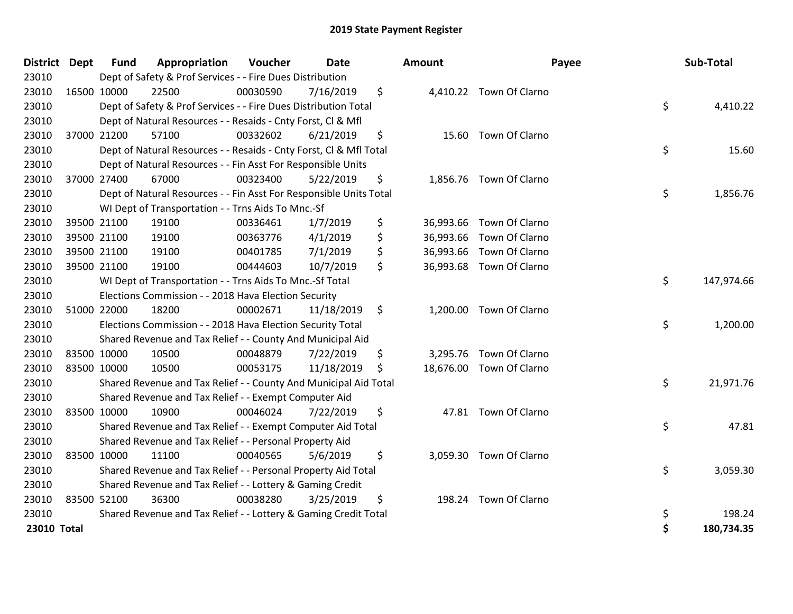| District Dept | <b>Fund</b> | Appropriation                                                      | Voucher  | <b>Date</b> | <b>Amount</b>   | Payee                    | Sub-Total        |
|---------------|-------------|--------------------------------------------------------------------|----------|-------------|-----------------|--------------------------|------------------|
| 23010         |             | Dept of Safety & Prof Services - - Fire Dues Distribution          |          |             |                 |                          |                  |
| 23010         | 16500 10000 | 22500                                                              | 00030590 | 7/16/2019   | \$              | 4,410.22 Town Of Clarno  |                  |
| 23010         |             | Dept of Safety & Prof Services - - Fire Dues Distribution Total    |          |             |                 |                          | \$<br>4,410.22   |
| 23010         |             | Dept of Natural Resources - - Resaids - Cnty Forst, CI & Mfl       |          |             |                 |                          |                  |
| 23010         | 37000 21200 | 57100                                                              | 00332602 | 6/21/2019   | \$              | 15.60 Town Of Clarno     |                  |
| 23010         |             | Dept of Natural Resources - - Resaids - Cnty Forst, Cl & Mfl Total |          |             |                 |                          | \$<br>15.60      |
| 23010         |             | Dept of Natural Resources - - Fin Asst For Responsible Units       |          |             |                 |                          |                  |
| 23010         | 37000 27400 | 67000                                                              | 00323400 | 5/22/2019   | \$              | 1,856.76 Town Of Clarno  |                  |
| 23010         |             | Dept of Natural Resources - - Fin Asst For Responsible Units Total |          |             |                 |                          | \$<br>1,856.76   |
| 23010         |             | WI Dept of Transportation - - Trns Aids To Mnc.-Sf                 |          |             |                 |                          |                  |
| 23010         | 39500 21100 | 19100                                                              | 00336461 | 1/7/2019    | \$<br>36,993.66 | Town Of Clarno           |                  |
| 23010         | 39500 21100 | 19100                                                              | 00363776 | 4/1/2019    | \$              | 36,993.66 Town Of Clarno |                  |
| 23010         | 39500 21100 | 19100                                                              | 00401785 | 7/1/2019    | \$              | 36,993.66 Town Of Clarno |                  |
| 23010         | 39500 21100 | 19100                                                              | 00444603 | 10/7/2019   | \$              | 36,993.68 Town Of Clarno |                  |
| 23010         |             | WI Dept of Transportation - - Trns Aids To Mnc.-Sf Total           |          |             |                 |                          | \$<br>147,974.66 |
| 23010         |             | Elections Commission - - 2018 Hava Election Security               |          |             |                 |                          |                  |
| 23010         | 51000 22000 | 18200                                                              | 00002671 | 11/18/2019  | \$              | 1,200.00 Town Of Clarno  |                  |
| 23010         |             | Elections Commission - - 2018 Hava Election Security Total         |          |             |                 |                          | \$<br>1,200.00   |
| 23010         |             | Shared Revenue and Tax Relief - - County And Municipal Aid         |          |             |                 |                          |                  |
| 23010         | 83500 10000 | 10500                                                              | 00048879 | 7/22/2019   | \$              | 3,295.76 Town Of Clarno  |                  |
| 23010         | 83500 10000 | 10500                                                              | 00053175 | 11/18/2019  | \$              | 18,676.00 Town Of Clarno |                  |
| 23010         |             | Shared Revenue and Tax Relief - - County And Municipal Aid Total   |          |             |                 |                          | \$<br>21,971.76  |
| 23010         |             | Shared Revenue and Tax Relief - - Exempt Computer Aid              |          |             |                 |                          |                  |
| 23010         | 83500 10000 | 10900                                                              | 00046024 | 7/22/2019   | \$              | 47.81 Town Of Clarno     |                  |
| 23010         |             | Shared Revenue and Tax Relief - - Exempt Computer Aid Total        |          |             |                 |                          | \$<br>47.81      |
| 23010         |             | Shared Revenue and Tax Relief - - Personal Property Aid            |          |             |                 |                          |                  |
| 23010         | 83500 10000 | 11100                                                              | 00040565 | 5/6/2019    | \$              | 3,059.30 Town Of Clarno  |                  |
| 23010         |             | Shared Revenue and Tax Relief - - Personal Property Aid Total      |          |             |                 |                          | \$<br>3,059.30   |
| 23010         |             | Shared Revenue and Tax Relief - - Lottery & Gaming Credit          |          |             |                 |                          |                  |
| 23010         | 83500 52100 | 36300                                                              | 00038280 | 3/25/2019   | \$<br>198.24    | Town Of Clarno           |                  |
| 23010         |             | Shared Revenue and Tax Relief - - Lottery & Gaming Credit Total    |          |             |                 |                          | \$<br>198.24     |
| 23010 Total   |             |                                                                    |          |             |                 |                          | \$<br>180,734.35 |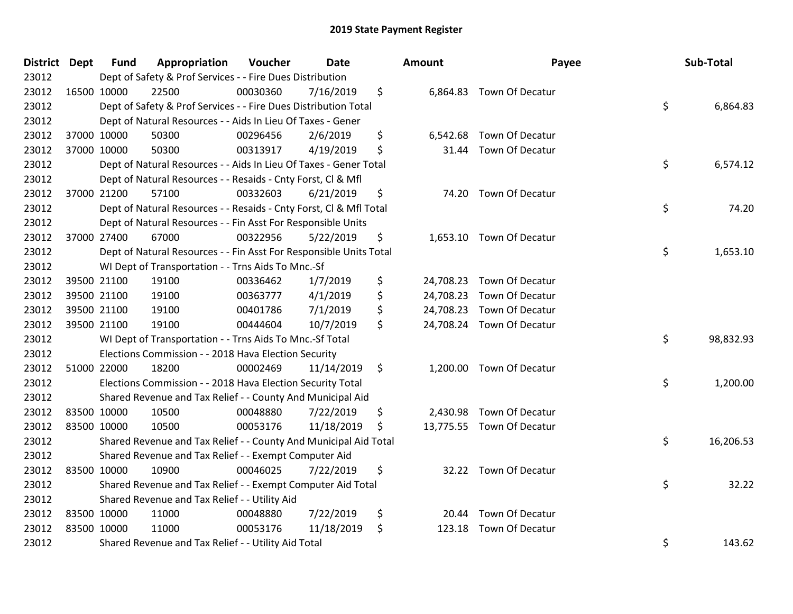| District Dept |             | <b>Fund</b> | Appropriation                                                      | Voucher  | <b>Date</b> | <b>Amount</b>  | Payee                     | Sub-Total       |
|---------------|-------------|-------------|--------------------------------------------------------------------|----------|-------------|----------------|---------------------------|-----------------|
| 23012         |             |             | Dept of Safety & Prof Services - - Fire Dues Distribution          |          |             |                |                           |                 |
| 23012         |             | 16500 10000 | 22500                                                              | 00030360 | 7/16/2019   | \$             | 6,864.83 Town Of Decatur  |                 |
| 23012         |             |             | Dept of Safety & Prof Services - - Fire Dues Distribution Total    |          |             |                |                           | \$<br>6,864.83  |
| 23012         |             |             | Dept of Natural Resources - - Aids In Lieu Of Taxes - Gener        |          |             |                |                           |                 |
| 23012         |             | 37000 10000 | 50300                                                              | 00296456 | 2/6/2019    | \$<br>6,542.68 | Town Of Decatur           |                 |
| 23012         |             | 37000 10000 | 50300                                                              | 00313917 | 4/19/2019   | \$             | 31.44 Town Of Decatur     |                 |
| 23012         |             |             | Dept of Natural Resources - - Aids In Lieu Of Taxes - Gener Total  |          |             |                |                           | \$<br>6,574.12  |
| 23012         |             |             | Dept of Natural Resources - - Resaids - Cnty Forst, Cl & Mfl       |          |             |                |                           |                 |
| 23012         |             | 37000 21200 | 57100                                                              | 00332603 | 6/21/2019   | \$             | 74.20 Town Of Decatur     |                 |
| 23012         |             |             | Dept of Natural Resources - - Resaids - Cnty Forst, Cl & Mfl Total |          |             |                |                           | \$<br>74.20     |
| 23012         |             |             | Dept of Natural Resources - - Fin Asst For Responsible Units       |          |             |                |                           |                 |
| 23012         |             | 37000 27400 | 67000                                                              | 00322956 | 5/22/2019   | \$             | 1,653.10 Town Of Decatur  |                 |
| 23012         |             |             | Dept of Natural Resources - - Fin Asst For Responsible Units Total |          |             |                |                           | \$<br>1,653.10  |
| 23012         |             |             | WI Dept of Transportation - - Trns Aids To Mnc.-Sf                 |          |             |                |                           |                 |
| 23012         |             | 39500 21100 | 19100                                                              | 00336462 | 1/7/2019    | \$             | 24,708.23 Town Of Decatur |                 |
| 23012         |             | 39500 21100 | 19100                                                              | 00363777 | 4/1/2019    | \$             | 24,708.23 Town Of Decatur |                 |
| 23012         |             | 39500 21100 | 19100                                                              | 00401786 | 7/1/2019    | \$             | 24,708.23 Town Of Decatur |                 |
| 23012         |             | 39500 21100 | 19100                                                              | 00444604 | 10/7/2019   | \$             | 24,708.24 Town Of Decatur |                 |
| 23012         |             |             | WI Dept of Transportation - - Trns Aids To Mnc.-Sf Total           |          |             |                |                           | \$<br>98,832.93 |
| 23012         |             |             | Elections Commission - - 2018 Hava Election Security               |          |             |                |                           |                 |
| 23012         |             | 51000 22000 | 18200                                                              | 00002469 | 11/14/2019  | \$             | 1,200.00 Town Of Decatur  |                 |
| 23012         |             |             | Elections Commission - - 2018 Hava Election Security Total         |          |             |                |                           | \$<br>1,200.00  |
| 23012         |             |             | Shared Revenue and Tax Relief - - County And Municipal Aid         |          |             |                |                           |                 |
| 23012         | 83500 10000 |             | 10500                                                              | 00048880 | 7/22/2019   | \$             | 2,430.98 Town Of Decatur  |                 |
| 23012         |             | 83500 10000 | 10500                                                              | 00053176 | 11/18/2019  | \$             | 13,775.55 Town Of Decatur |                 |
| 23012         |             |             | Shared Revenue and Tax Relief - - County And Municipal Aid Total   |          |             |                |                           | \$<br>16,206.53 |
| 23012         |             |             | Shared Revenue and Tax Relief - - Exempt Computer Aid              |          |             |                |                           |                 |
| 23012         |             | 83500 10000 | 10900                                                              | 00046025 | 7/22/2019   | \$             | 32.22 Town Of Decatur     |                 |
| 23012         |             |             | Shared Revenue and Tax Relief - - Exempt Computer Aid Total        |          |             |                |                           | \$<br>32.22     |
| 23012         |             |             | Shared Revenue and Tax Relief - - Utility Aid                      |          |             |                |                           |                 |
| 23012         |             | 83500 10000 | 11000                                                              | 00048880 | 7/22/2019   | \$<br>20.44    | Town Of Decatur           |                 |
| 23012         |             | 83500 10000 | 11000                                                              | 00053176 | 11/18/2019  | \$<br>123.18   | Town Of Decatur           |                 |
| 23012         |             |             | Shared Revenue and Tax Relief - - Utility Aid Total                |          |             |                |                           | \$<br>143.62    |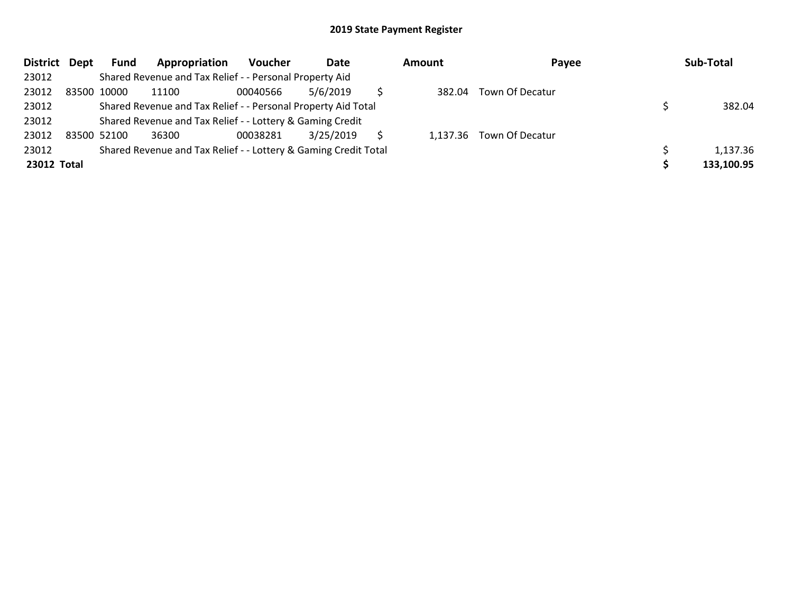| District Dept |             | <b>Fund</b> | Appropriation                                                   | Voucher  | Date      | Amount | Payee                    | Sub-Total  |
|---------------|-------------|-------------|-----------------------------------------------------------------|----------|-----------|--------|--------------------------|------------|
| 23012         |             |             | Shared Revenue and Tax Relief - - Personal Property Aid         |          |           |        |                          |            |
| 23012         | 83500 10000 |             | 11100                                                           | 00040566 | 5/6/2019  | 382.04 | Town Of Decatur          |            |
| 23012         |             |             | Shared Revenue and Tax Relief - - Personal Property Aid Total   |          |           |        |                          | 382.04     |
| 23012         |             |             | Shared Revenue and Tax Relief - - Lottery & Gaming Credit       |          |           |        |                          |            |
| 23012         | 83500 52100 |             | 36300                                                           | 00038281 | 3/25/2019 |        | 1,137.36 Town Of Decatur |            |
| 23012         |             |             | Shared Revenue and Tax Relief - - Lottery & Gaming Credit Total |          |           |        |                          | 1,137.36   |
| 23012 Total   |             |             |                                                                 |          |           |        |                          | 133,100.95 |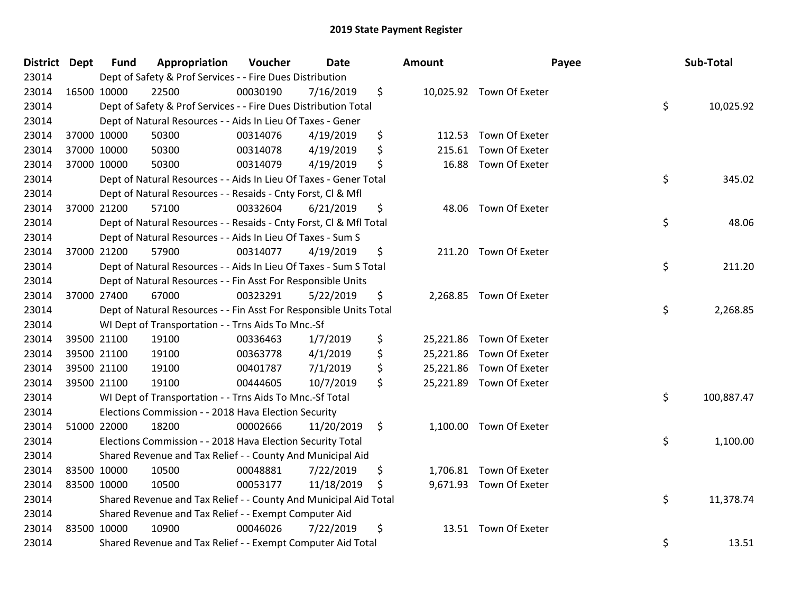| District Dept | <b>Fund</b> | Appropriation                                                      | Voucher  | <b>Date</b> |     | <b>Amount</b> |                          | Payee | Sub-Total  |
|---------------|-------------|--------------------------------------------------------------------|----------|-------------|-----|---------------|--------------------------|-------|------------|
| 23014         |             | Dept of Safety & Prof Services - - Fire Dues Distribution          |          |             |     |               |                          |       |            |
| 23014         | 16500 10000 | 22500                                                              | 00030190 | 7/16/2019   | \$  |               | 10,025.92 Town Of Exeter |       |            |
| 23014         |             | Dept of Safety & Prof Services - - Fire Dues Distribution Total    |          |             |     |               |                          | \$    | 10,025.92  |
| 23014         |             | Dept of Natural Resources - - Aids In Lieu Of Taxes - Gener        |          |             |     |               |                          |       |            |
| 23014         | 37000 10000 | 50300                                                              | 00314076 | 4/19/2019   | \$  |               | 112.53 Town Of Exeter    |       |            |
| 23014         | 37000 10000 | 50300                                                              | 00314078 | 4/19/2019   | \$  | 215.61        | Town Of Exeter           |       |            |
| 23014         | 37000 10000 | 50300                                                              | 00314079 | 4/19/2019   | \$  |               | 16.88 Town Of Exeter     |       |            |
| 23014         |             | Dept of Natural Resources - - Aids In Lieu Of Taxes - Gener Total  |          |             |     |               |                          | \$    | 345.02     |
| 23014         |             | Dept of Natural Resources - - Resaids - Cnty Forst, Cl & Mfl       |          |             |     |               |                          |       |            |
| 23014         | 37000 21200 | 57100                                                              | 00332604 | 6/21/2019   | \$  |               | 48.06 Town Of Exeter     |       |            |
| 23014         |             | Dept of Natural Resources - - Resaids - Cnty Forst, Cl & Mfl Total |          |             |     |               |                          | \$    | 48.06      |
| 23014         |             | Dept of Natural Resources - - Aids In Lieu Of Taxes - Sum S        |          |             |     |               |                          |       |            |
| 23014         | 37000 21200 | 57900                                                              | 00314077 | 4/19/2019   | \$  |               | 211.20 Town Of Exeter    |       |            |
| 23014         |             | Dept of Natural Resources - - Aids In Lieu Of Taxes - Sum S Total  |          |             |     |               |                          | \$    | 211.20     |
| 23014         |             | Dept of Natural Resources - - Fin Asst For Responsible Units       |          |             |     |               |                          |       |            |
| 23014         | 37000 27400 | 67000                                                              | 00323291 | 5/22/2019   | \$  |               | 2,268.85 Town Of Exeter  |       |            |
| 23014         |             | Dept of Natural Resources - - Fin Asst For Responsible Units Total |          |             |     |               |                          | \$    | 2,268.85   |
| 23014         |             | WI Dept of Transportation - - Trns Aids To Mnc.-Sf                 |          |             |     |               |                          |       |            |
| 23014         | 39500 21100 | 19100                                                              | 00336463 | 1/7/2019    | \$  |               | 25,221.86 Town Of Exeter |       |            |
| 23014         | 39500 21100 | 19100                                                              | 00363778 | 4/1/2019    | \$  |               | 25,221.86 Town Of Exeter |       |            |
| 23014         | 39500 21100 | 19100                                                              | 00401787 | 7/1/2019    | \$  |               | 25,221.86 Town Of Exeter |       |            |
| 23014         | 39500 21100 | 19100                                                              | 00444605 | 10/7/2019   | \$  |               | 25,221.89 Town Of Exeter |       |            |
| 23014         |             | WI Dept of Transportation - - Trns Aids To Mnc.-Sf Total           |          |             |     |               |                          | \$    | 100,887.47 |
| 23014         |             | Elections Commission - - 2018 Hava Election Security               |          |             |     |               |                          |       |            |
| 23014         | 51000 22000 | 18200                                                              | 00002666 | 11/20/2019  | \$  |               | 1,100.00 Town Of Exeter  |       |            |
| 23014         |             | Elections Commission - - 2018 Hava Election Security Total         |          |             |     |               |                          | \$    | 1,100.00   |
| 23014         |             | Shared Revenue and Tax Relief - - County And Municipal Aid         |          |             |     |               |                          |       |            |
| 23014         | 83500 10000 | 10500                                                              | 00048881 | 7/22/2019   | \$  |               | 1,706.81 Town Of Exeter  |       |            |
| 23014         | 83500 10000 | 10500                                                              | 00053177 | 11/18/2019  | \$. |               | 9,671.93 Town Of Exeter  |       |            |
| 23014         |             | Shared Revenue and Tax Relief - - County And Municipal Aid Total   |          |             |     |               |                          | \$    | 11,378.74  |
| 23014         |             | Shared Revenue and Tax Relief - - Exempt Computer Aid              |          |             |     |               |                          |       |            |
| 23014         | 83500 10000 | 10900                                                              | 00046026 | 7/22/2019   | \$  |               | 13.51 Town Of Exeter     |       |            |
| 23014         |             | Shared Revenue and Tax Relief - - Exempt Computer Aid Total        |          |             |     |               |                          | \$    | 13.51      |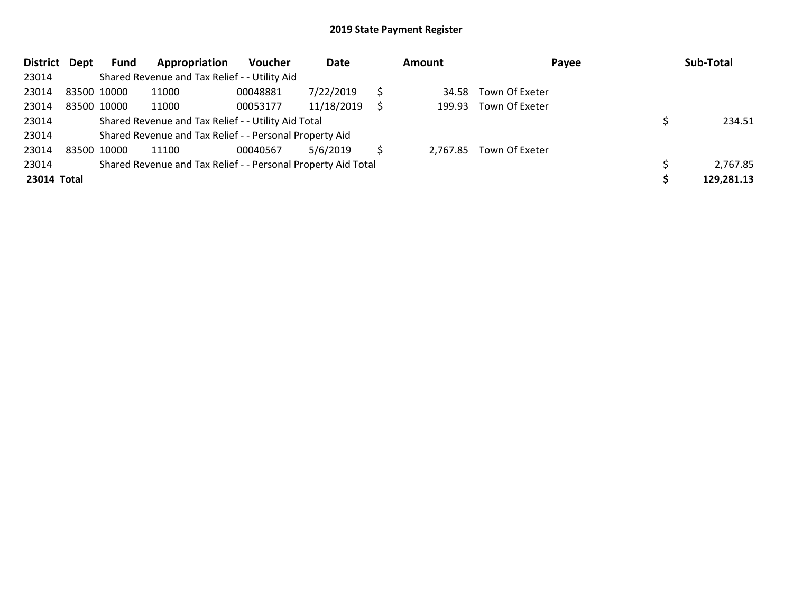| <b>District</b> | Dept | Fund        | Appropriation                                                 | <b>Voucher</b> | Date       | <b>Amount</b> | Payee          | Sub-Total  |
|-----------------|------|-------------|---------------------------------------------------------------|----------------|------------|---------------|----------------|------------|
| 23014           |      |             | Shared Revenue and Tax Relief - - Utility Aid                 |                |            |               |                |            |
| 23014           |      | 83500 10000 | 11000                                                         | 00048881       | 7/22/2019  | 34.58         | Town Of Exeter |            |
| 23014           |      | 83500 10000 | 11000                                                         | 00053177       | 11/18/2019 | 199.93        | Town Of Exeter |            |
| 23014           |      |             | Shared Revenue and Tax Relief - - Utility Aid Total           |                |            |               |                | 234.51     |
| 23014           |      |             | Shared Revenue and Tax Relief - - Personal Property Aid       |                |            |               |                |            |
| 23014           |      | 83500 10000 | 11100                                                         | 00040567       | 5/6/2019   | 2.767.85      | Town Of Exeter |            |
| 23014           |      |             | Shared Revenue and Tax Relief - - Personal Property Aid Total |                |            |               |                | 2,767.85   |
| 23014 Total     |      |             |                                                               |                |            |               |                | 129,281.13 |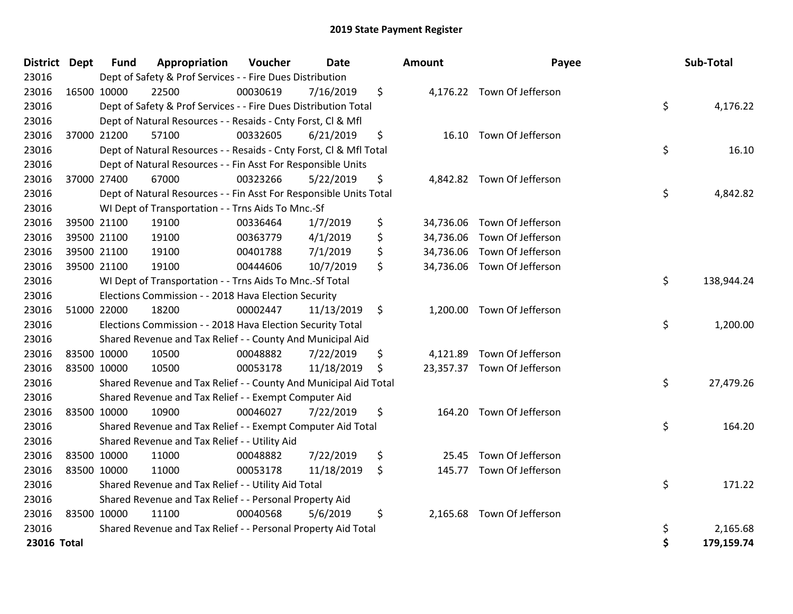| District Dept | <b>Fund</b> | Appropriation                                                      | Voucher  | <b>Date</b> | Amount       | Payee                       | Sub-Total        |
|---------------|-------------|--------------------------------------------------------------------|----------|-------------|--------------|-----------------------------|------------------|
| 23016         |             | Dept of Safety & Prof Services - - Fire Dues Distribution          |          |             |              |                             |                  |
| 23016         | 16500 10000 | 22500                                                              | 00030619 | 7/16/2019   | \$           | 4,176.22 Town Of Jefferson  |                  |
| 23016         |             | Dept of Safety & Prof Services - - Fire Dues Distribution Total    |          |             |              |                             | \$<br>4,176.22   |
| 23016         |             | Dept of Natural Resources - - Resaids - Cnty Forst, Cl & Mfl       |          |             |              |                             |                  |
| 23016         | 37000 21200 | 57100                                                              | 00332605 | 6/21/2019   | \$           | 16.10 Town Of Jefferson     |                  |
| 23016         |             | Dept of Natural Resources - - Resaids - Cnty Forst, Cl & Mfl Total |          |             |              |                             | \$<br>16.10      |
| 23016         |             | Dept of Natural Resources - - Fin Asst For Responsible Units       |          |             |              |                             |                  |
| 23016         | 37000 27400 | 67000                                                              | 00323266 | 5/22/2019   | \$           | 4,842.82 Town Of Jefferson  |                  |
| 23016         |             | Dept of Natural Resources - - Fin Asst For Responsible Units Total |          |             |              |                             | \$<br>4,842.82   |
| 23016         |             | WI Dept of Transportation - - Trns Aids To Mnc.-Sf                 |          |             |              |                             |                  |
| 23016         | 39500 21100 | 19100                                                              | 00336464 | 1/7/2019    | \$           | 34,736.06 Town Of Jefferson |                  |
| 23016         | 39500 21100 | 19100                                                              | 00363779 | 4/1/2019    | \$           | 34,736.06 Town Of Jefferson |                  |
| 23016         | 39500 21100 | 19100                                                              | 00401788 | 7/1/2019    | \$           | 34,736.06 Town Of Jefferson |                  |
| 23016         | 39500 21100 | 19100                                                              | 00444606 | 10/7/2019   | \$           | 34,736.06 Town Of Jefferson |                  |
| 23016         |             | WI Dept of Transportation - - Trns Aids To Mnc.-Sf Total           |          |             |              |                             | \$<br>138,944.24 |
| 23016         |             | Elections Commission - - 2018 Hava Election Security               |          |             |              |                             |                  |
| 23016         | 51000 22000 | 18200                                                              | 00002447 | 11/13/2019  | \$           | 1,200.00 Town Of Jefferson  |                  |
| 23016         |             | Elections Commission - - 2018 Hava Election Security Total         |          |             |              |                             | \$<br>1,200.00   |
| 23016         |             | Shared Revenue and Tax Relief - - County And Municipal Aid         |          |             |              |                             |                  |
| 23016         | 83500 10000 | 10500                                                              | 00048882 | 7/22/2019   | \$           | 4,121.89 Town Of Jefferson  |                  |
| 23016         | 83500 10000 | 10500                                                              | 00053178 | 11/18/2019  | \$           | 23,357.37 Town Of Jefferson |                  |
| 23016         |             | Shared Revenue and Tax Relief - - County And Municipal Aid Total   |          |             |              |                             | \$<br>27,479.26  |
| 23016         |             | Shared Revenue and Tax Relief - - Exempt Computer Aid              |          |             |              |                             |                  |
| 23016         | 83500 10000 | 10900                                                              | 00046027 | 7/22/2019   | \$<br>164.20 | Town Of Jefferson           |                  |
| 23016         |             | Shared Revenue and Tax Relief - - Exempt Computer Aid Total        |          |             |              |                             | \$<br>164.20     |
| 23016         |             | Shared Revenue and Tax Relief - - Utility Aid                      |          |             |              |                             |                  |
| 23016         | 83500 10000 | 11000                                                              | 00048882 | 7/22/2019   | \$<br>25.45  | Town Of Jefferson           |                  |
| 23016         | 83500 10000 | 11000                                                              | 00053178 | 11/18/2019  | \$           | 145.77 Town Of Jefferson    |                  |
| 23016         |             | Shared Revenue and Tax Relief - - Utility Aid Total                |          |             |              |                             | \$<br>171.22     |
| 23016         |             | Shared Revenue and Tax Relief - - Personal Property Aid            |          |             |              |                             |                  |
| 23016         | 83500 10000 | 11100                                                              | 00040568 | 5/6/2019    | \$           | 2,165.68 Town Of Jefferson  |                  |
| 23016         |             | Shared Revenue and Tax Relief - - Personal Property Aid Total      |          |             |              |                             | \$<br>2,165.68   |
| 23016 Total   |             |                                                                    |          |             |              |                             | \$<br>179,159.74 |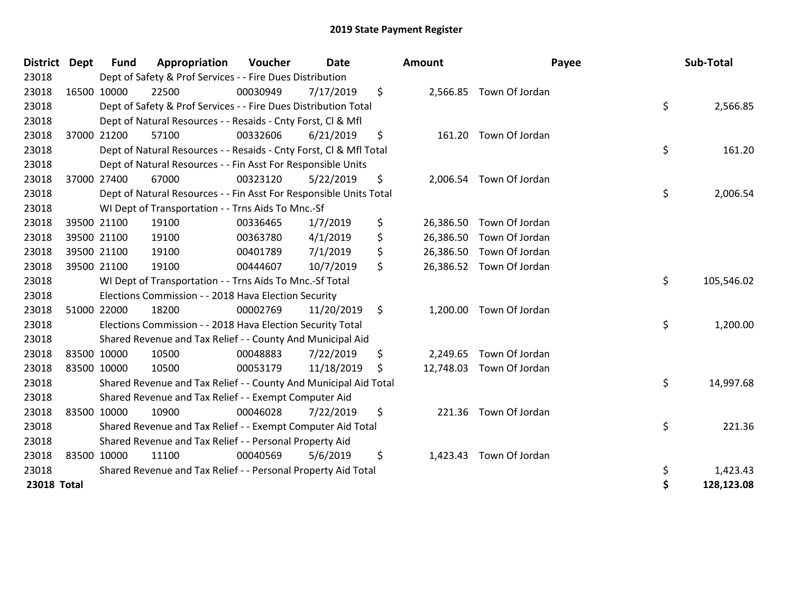| <b>District</b> | <b>Dept</b> | <b>Fund</b> | Appropriation                                                      | Voucher  | <b>Date</b> | Amount          | Payee                   | Sub-Total        |
|-----------------|-------------|-------------|--------------------------------------------------------------------|----------|-------------|-----------------|-------------------------|------------------|
| 23018           |             |             | Dept of Safety & Prof Services - - Fire Dues Distribution          |          |             |                 |                         |                  |
| 23018           |             | 16500 10000 | 22500                                                              | 00030949 | 7/17/2019   | \$              | 2,566.85 Town Of Jordan |                  |
| 23018           |             |             | Dept of Safety & Prof Services - - Fire Dues Distribution Total    |          |             |                 |                         | \$<br>2,566.85   |
| 23018           |             |             | Dept of Natural Resources - - Resaids - Cnty Forst, CI & Mfl       |          |             |                 |                         |                  |
| 23018           |             | 37000 21200 | 57100                                                              | 00332606 | 6/21/2019   | \$              | 161.20 Town Of Jordan   |                  |
| 23018           |             |             | Dept of Natural Resources - - Resaids - Cnty Forst, Cl & Mfl Total |          |             |                 |                         | \$<br>161.20     |
| 23018           |             |             | Dept of Natural Resources - - Fin Asst For Responsible Units       |          |             |                 |                         |                  |
| 23018           | 37000 27400 |             | 67000                                                              | 00323120 | 5/22/2019   | \$              | 2,006.54 Town Of Jordan |                  |
| 23018           |             |             | Dept of Natural Resources - - Fin Asst For Responsible Units Total |          |             |                 |                         | \$<br>2,006.54   |
| 23018           |             |             | WI Dept of Transportation - - Trns Aids To Mnc.-Sf                 |          |             |                 |                         |                  |
| 23018           |             | 39500 21100 | 19100                                                              | 00336465 | 1/7/2019    | \$<br>26,386.50 | Town Of Jordan          |                  |
| 23018           |             | 39500 21100 | 19100                                                              | 00363780 | 4/1/2019    | \$<br>26,386.50 | Town Of Jordan          |                  |
| 23018           |             | 39500 21100 | 19100                                                              | 00401789 | 7/1/2019    | \$<br>26,386.50 | Town Of Jordan          |                  |
| 23018           | 39500 21100 |             | 19100                                                              | 00444607 | 10/7/2019   | \$<br>26,386.52 | Town Of Jordan          |                  |
| 23018           |             |             | WI Dept of Transportation - - Trns Aids To Mnc.-Sf Total           |          |             |                 |                         | \$<br>105,546.02 |
| 23018           |             |             | Elections Commission - - 2018 Hava Election Security               |          |             |                 |                         |                  |
| 23018           |             | 51000 22000 | 18200                                                              | 00002769 | 11/20/2019  | \$<br>1,200.00  | Town Of Jordan          |                  |
| 23018           |             |             | Elections Commission - - 2018 Hava Election Security Total         |          |             |                 |                         | \$<br>1,200.00   |
| 23018           |             |             | Shared Revenue and Tax Relief - - County And Municipal Aid         |          |             |                 |                         |                  |
| 23018           |             | 83500 10000 | 10500                                                              | 00048883 | 7/22/2019   | \$<br>2,249.65  | Town Of Jordan          |                  |
| 23018           | 83500 10000 |             | 10500                                                              | 00053179 | 11/18/2019  | \$<br>12,748.03 | Town Of Jordan          |                  |
| 23018           |             |             | Shared Revenue and Tax Relief - - County And Municipal Aid Total   |          |             |                 |                         | \$<br>14,997.68  |
| 23018           |             |             | Shared Revenue and Tax Relief - - Exempt Computer Aid              |          |             |                 |                         |                  |
| 23018           | 83500 10000 |             | 10900                                                              | 00046028 | 7/22/2019   | \$<br>221.36    | Town Of Jordan          |                  |
| 23018           |             |             | Shared Revenue and Tax Relief - - Exempt Computer Aid Total        |          |             |                 |                         | \$<br>221.36     |
| 23018           |             |             | Shared Revenue and Tax Relief - - Personal Property Aid            |          |             |                 |                         |                  |
| 23018           | 83500 10000 |             | 11100                                                              | 00040569 | 5/6/2019    | \$<br>1,423.43  | Town Of Jordan          |                  |
| 23018           |             |             | Shared Revenue and Tax Relief - - Personal Property Aid Total      |          |             |                 |                         | \$<br>1,423.43   |
| 23018 Total     |             |             |                                                                    |          |             |                 |                         | \$<br>128,123.08 |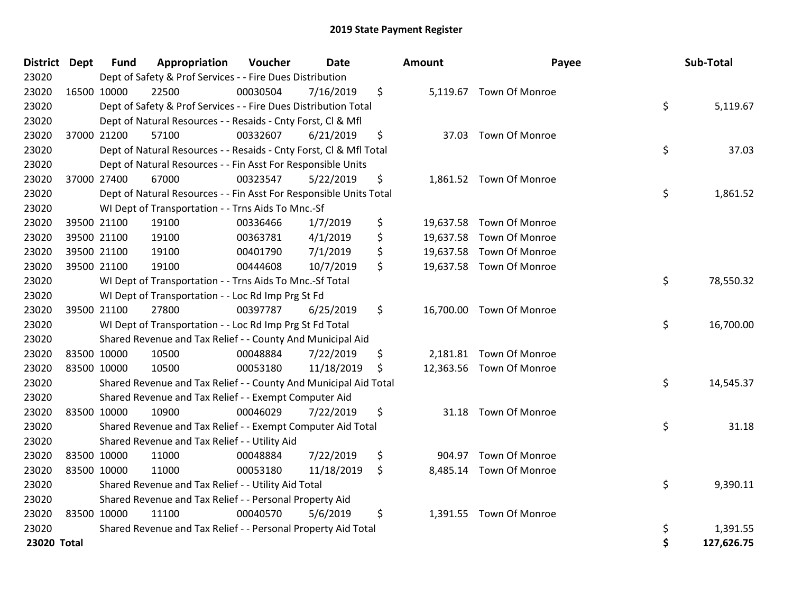| <b>District Dept</b> |             | <b>Fund</b> | Appropriation                                                      | Voucher  | Date       | <b>Amount</b> | Payee                    | Sub-Total        |
|----------------------|-------------|-------------|--------------------------------------------------------------------|----------|------------|---------------|--------------------------|------------------|
| 23020                |             |             | Dept of Safety & Prof Services - - Fire Dues Distribution          |          |            |               |                          |                  |
| 23020                |             | 16500 10000 | 22500                                                              | 00030504 | 7/16/2019  | \$            | 5,119.67 Town Of Monroe  |                  |
| 23020                |             |             | Dept of Safety & Prof Services - - Fire Dues Distribution Total    |          |            |               |                          | \$<br>5,119.67   |
| 23020                |             |             | Dept of Natural Resources - - Resaids - Cnty Forst, CI & Mfl       |          |            |               |                          |                  |
| 23020                |             | 37000 21200 | 57100                                                              | 00332607 | 6/21/2019  | \$            | 37.03 Town Of Monroe     |                  |
| 23020                |             |             | Dept of Natural Resources - - Resaids - Cnty Forst, Cl & Mfl Total |          |            |               |                          | \$<br>37.03      |
| 23020                |             |             | Dept of Natural Resources - - Fin Asst For Responsible Units       |          |            |               |                          |                  |
| 23020                |             | 37000 27400 | 67000                                                              | 00323547 | 5/22/2019  | \$            | 1,861.52 Town Of Monroe  |                  |
| 23020                |             |             | Dept of Natural Resources - - Fin Asst For Responsible Units Total |          |            |               |                          | \$<br>1,861.52   |
| 23020                |             |             | WI Dept of Transportation - - Trns Aids To Mnc.-Sf                 |          |            |               |                          |                  |
| 23020                |             | 39500 21100 | 19100                                                              | 00336466 | 1/7/2019   | \$            | 19,637.58 Town Of Monroe |                  |
| 23020                |             | 39500 21100 | 19100                                                              | 00363781 | 4/1/2019   | \$            | 19,637.58 Town Of Monroe |                  |
| 23020                |             | 39500 21100 | 19100                                                              | 00401790 | 7/1/2019   | \$            | 19,637.58 Town Of Monroe |                  |
| 23020                |             | 39500 21100 | 19100                                                              | 00444608 | 10/7/2019  | \$            | 19,637.58 Town Of Monroe |                  |
| 23020                |             |             | WI Dept of Transportation - - Trns Aids To Mnc.-Sf Total           |          |            |               |                          | \$<br>78,550.32  |
| 23020                |             |             | WI Dept of Transportation - - Loc Rd Imp Prg St Fd                 |          |            |               |                          |                  |
| 23020                |             | 39500 21100 | 27800                                                              | 00397787 | 6/25/2019  | \$            | 16,700.00 Town Of Monroe |                  |
| 23020                |             |             | WI Dept of Transportation - - Loc Rd Imp Prg St Fd Total           |          |            |               |                          | \$<br>16,700.00  |
| 23020                |             |             | Shared Revenue and Tax Relief - - County And Municipal Aid         |          |            |               |                          |                  |
| 23020                |             | 83500 10000 | 10500                                                              | 00048884 | 7/22/2019  | \$            | 2,181.81 Town Of Monroe  |                  |
| 23020                |             | 83500 10000 | 10500                                                              | 00053180 | 11/18/2019 | \$            | 12,363.56 Town Of Monroe |                  |
| 23020                |             |             | Shared Revenue and Tax Relief - - County And Municipal Aid Total   |          |            |               |                          | \$<br>14,545.37  |
| 23020                |             |             | Shared Revenue and Tax Relief - - Exempt Computer Aid              |          |            |               |                          |                  |
| 23020                |             | 83500 10000 | 10900                                                              | 00046029 | 7/22/2019  | \$<br>31.18   | Town Of Monroe           |                  |
| 23020                |             |             | Shared Revenue and Tax Relief - - Exempt Computer Aid Total        |          |            |               |                          | \$<br>31.18      |
| 23020                |             |             | Shared Revenue and Tax Relief - - Utility Aid                      |          |            |               |                          |                  |
| 23020                | 83500 10000 |             | 11000                                                              | 00048884 | 7/22/2019  | \$<br>904.97  | <b>Town Of Monroe</b>    |                  |
| 23020                | 83500 10000 |             | 11000                                                              | 00053180 | 11/18/2019 | \$            | 8,485.14 Town Of Monroe  |                  |
| 23020                |             |             | Shared Revenue and Tax Relief - - Utility Aid Total                |          |            |               |                          | \$<br>9,390.11   |
| 23020                |             |             | Shared Revenue and Tax Relief - - Personal Property Aid            |          |            |               |                          |                  |
| 23020                |             | 83500 10000 | 11100                                                              | 00040570 | 5/6/2019   | \$            | 1,391.55 Town Of Monroe  |                  |
| 23020                |             |             | Shared Revenue and Tax Relief - - Personal Property Aid Total      |          |            |               |                          | \$<br>1,391.55   |
| 23020 Total          |             |             |                                                                    |          |            |               |                          | \$<br>127,626.75 |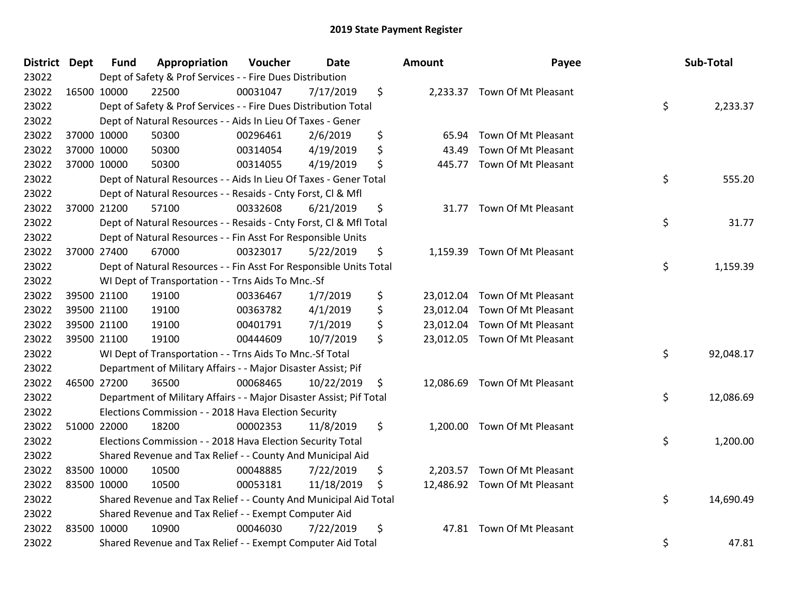| District Dept |             | <b>Fund</b> | Appropriation                                                       | Voucher  | Date       | <b>Amount</b>   | Payee                         | Sub-Total       |
|---------------|-------------|-------------|---------------------------------------------------------------------|----------|------------|-----------------|-------------------------------|-----------------|
| 23022         |             |             | Dept of Safety & Prof Services - - Fire Dues Distribution           |          |            |                 |                               |                 |
| 23022         |             | 16500 10000 | 22500                                                               | 00031047 | 7/17/2019  | \$              | 2,233.37 Town Of Mt Pleasant  |                 |
| 23022         |             |             | Dept of Safety & Prof Services - - Fire Dues Distribution Total     |          |            |                 |                               | \$<br>2,233.37  |
| 23022         |             |             | Dept of Natural Resources - - Aids In Lieu Of Taxes - Gener         |          |            |                 |                               |                 |
| 23022         |             | 37000 10000 | 50300                                                               | 00296461 | 2/6/2019   | \$<br>65.94     | Town Of Mt Pleasant           |                 |
| 23022         |             | 37000 10000 | 50300                                                               | 00314054 | 4/19/2019  | \$<br>43.49     | Town Of Mt Pleasant           |                 |
| 23022         |             | 37000 10000 | 50300                                                               | 00314055 | 4/19/2019  | \$<br>445.77    | Town Of Mt Pleasant           |                 |
| 23022         |             |             | Dept of Natural Resources - - Aids In Lieu Of Taxes - Gener Total   |          |            |                 |                               | \$<br>555.20    |
| 23022         |             |             | Dept of Natural Resources - - Resaids - Cnty Forst, Cl & Mfl        |          |            |                 |                               |                 |
| 23022         |             | 37000 21200 | 57100                                                               | 00332608 | 6/21/2019  | \$<br>31.77     | Town Of Mt Pleasant           |                 |
| 23022         |             |             | Dept of Natural Resources - - Resaids - Cnty Forst, Cl & Mfl Total  |          |            |                 |                               | \$<br>31.77     |
| 23022         |             |             | Dept of Natural Resources - - Fin Asst For Responsible Units        |          |            |                 |                               |                 |
| 23022         |             | 37000 27400 | 67000                                                               | 00323017 | 5/22/2019  | \$<br>1,159.39  | Town Of Mt Pleasant           |                 |
| 23022         |             |             | Dept of Natural Resources - - Fin Asst For Responsible Units Total  |          |            |                 |                               | \$<br>1,159.39  |
| 23022         |             |             | WI Dept of Transportation - - Trns Aids To Mnc.-Sf                  |          |            |                 |                               |                 |
| 23022         |             | 39500 21100 | 19100                                                               | 00336467 | 1/7/2019   | \$<br>23,012.04 | Town Of Mt Pleasant           |                 |
| 23022         |             | 39500 21100 | 19100                                                               | 00363782 | 4/1/2019   | \$<br>23,012.04 | Town Of Mt Pleasant           |                 |
| 23022         |             | 39500 21100 | 19100                                                               | 00401791 | 7/1/2019   | \$<br>23,012.04 | Town Of Mt Pleasant           |                 |
| 23022         |             | 39500 21100 | 19100                                                               | 00444609 | 10/7/2019  | \$              | 23,012.05 Town Of Mt Pleasant |                 |
| 23022         |             |             | WI Dept of Transportation - - Trns Aids To Mnc.-Sf Total            |          |            |                 |                               | \$<br>92,048.17 |
| 23022         |             |             | Department of Military Affairs - - Major Disaster Assist; Pif       |          |            |                 |                               |                 |
| 23022         |             | 46500 27200 | 36500                                                               | 00068465 | 10/22/2019 | \$              | 12,086.69 Town Of Mt Pleasant |                 |
| 23022         |             |             | Department of Military Affairs - - Major Disaster Assist; Pif Total |          |            |                 |                               | \$<br>12,086.69 |
| 23022         |             |             | Elections Commission - - 2018 Hava Election Security                |          |            |                 |                               |                 |
| 23022         |             | 51000 22000 | 18200                                                               | 00002353 | 11/8/2019  | \$<br>1,200.00  | Town Of Mt Pleasant           |                 |
| 23022         |             |             | Elections Commission - - 2018 Hava Election Security Total          |          |            |                 |                               | \$<br>1,200.00  |
| 23022         |             |             | Shared Revenue and Tax Relief - - County And Municipal Aid          |          |            |                 |                               |                 |
| 23022         | 83500 10000 |             | 10500                                                               | 00048885 | 7/22/2019  | \$              | 2,203.57 Town Of Mt Pleasant  |                 |
| 23022         |             | 83500 10000 | 10500                                                               | 00053181 | 11/18/2019 | \$              | 12,486.92 Town Of Mt Pleasant |                 |
| 23022         |             |             | Shared Revenue and Tax Relief - - County And Municipal Aid Total    |          |            |                 |                               | \$<br>14,690.49 |
| 23022         |             |             | Shared Revenue and Tax Relief - - Exempt Computer Aid               |          |            |                 |                               |                 |
| 23022         |             | 83500 10000 | 10900                                                               | 00046030 | 7/22/2019  | \$<br>47.81     | Town Of Mt Pleasant           |                 |
| 23022         |             |             | Shared Revenue and Tax Relief - - Exempt Computer Aid Total         |          |            |                 |                               | \$<br>47.81     |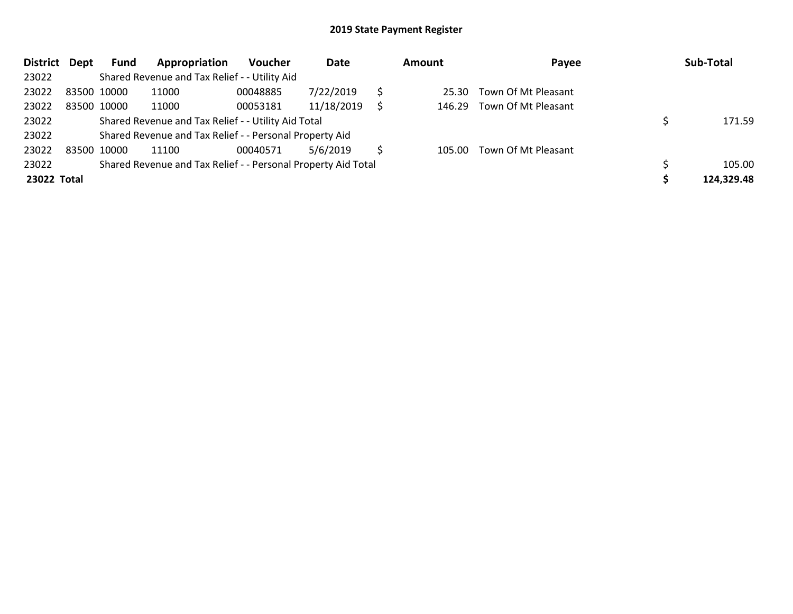| <b>District</b> | Dept | Fund        | Appropriation                                                 | <b>Voucher</b> | Date       |   | <b>Amount</b> | Payee               | Sub-Total  |
|-----------------|------|-------------|---------------------------------------------------------------|----------------|------------|---|---------------|---------------------|------------|
| 23022           |      |             | Shared Revenue and Tax Relief - - Utility Aid                 |                |            |   |               |                     |            |
| 23022           |      | 83500 10000 | 11000                                                         | 00048885       | 7/22/2019  |   | 25.30         | Town Of Mt Pleasant |            |
| 23022           |      | 83500 10000 | 11000                                                         | 00053181       | 11/18/2019 | S | 146.29        | Town Of Mt Pleasant |            |
| 23022           |      |             | Shared Revenue and Tax Relief - - Utility Aid Total           |                |            |   |               |                     | 171.59     |
| 23022           |      |             | Shared Revenue and Tax Relief - - Personal Property Aid       |                |            |   |               |                     |            |
| 23022           |      | 83500 10000 | 11100                                                         | 00040571       | 5/6/2019   |   | 105.00        | Town Of Mt Pleasant |            |
| 23022           |      |             | Shared Revenue and Tax Relief - - Personal Property Aid Total |                |            |   |               |                     | 105.00     |
| 23022 Total     |      |             |                                                               |                |            |   |               |                     | 124,329.48 |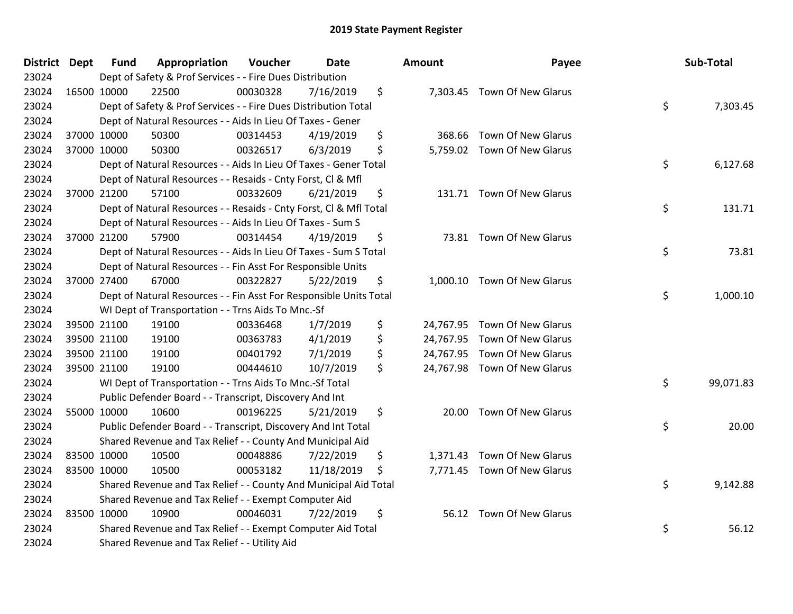| <b>District Dept</b> | <b>Fund</b> | Appropriation                                                      | Voucher  | <b>Date</b> | <b>Amount</b>  | Payee                        | Sub-Total       |
|----------------------|-------------|--------------------------------------------------------------------|----------|-------------|----------------|------------------------------|-----------------|
| 23024                |             | Dept of Safety & Prof Services - - Fire Dues Distribution          |          |             |                |                              |                 |
| 23024                | 16500 10000 | 22500                                                              | 00030328 | 7/16/2019   | \$             | 7,303.45 Town Of New Glarus  |                 |
| 23024                |             | Dept of Safety & Prof Services - - Fire Dues Distribution Total    |          |             |                |                              | \$<br>7,303.45  |
| 23024                |             | Dept of Natural Resources - - Aids In Lieu Of Taxes - Gener        |          |             |                |                              |                 |
| 23024                | 37000 10000 | 50300                                                              | 00314453 | 4/19/2019   | \$<br>368.66   | <b>Town Of New Glarus</b>    |                 |
| 23024                | 37000 10000 | 50300                                                              | 00326517 | 6/3/2019    | \$             | 5,759.02 Town Of New Glarus  |                 |
| 23024                |             | Dept of Natural Resources - - Aids In Lieu Of Taxes - Gener Total  |          |             |                |                              | \$<br>6,127.68  |
| 23024                |             | Dept of Natural Resources - - Resaids - Cnty Forst, Cl & Mfl       |          |             |                |                              |                 |
| 23024                | 37000 21200 | 57100                                                              | 00332609 | 6/21/2019   | \$             | 131.71 Town Of New Glarus    |                 |
| 23024                |             | Dept of Natural Resources - - Resaids - Cnty Forst, CI & Mfl Total |          |             |                |                              | \$<br>131.71    |
| 23024                |             | Dept of Natural Resources - - Aids In Lieu Of Taxes - Sum S        |          |             |                |                              |                 |
| 23024                | 37000 21200 | 57900                                                              | 00314454 | 4/19/2019   | \$             | 73.81 Town Of New Glarus     |                 |
| 23024                |             | Dept of Natural Resources - - Aids In Lieu Of Taxes - Sum S Total  |          |             |                |                              | \$<br>73.81     |
| 23024                |             | Dept of Natural Resources - - Fin Asst For Responsible Units       |          |             |                |                              |                 |
| 23024                | 37000 27400 | 67000                                                              | 00322827 | 5/22/2019   | \$<br>1,000.10 | Town Of New Glarus           |                 |
| 23024                |             | Dept of Natural Resources - - Fin Asst For Responsible Units Total |          |             |                |                              | \$<br>1,000.10  |
| 23024                |             | WI Dept of Transportation - - Trns Aids To Mnc.-Sf                 |          |             |                |                              |                 |
| 23024                | 39500 21100 | 19100                                                              | 00336468 | 1/7/2019    | \$             | 24,767.95 Town Of New Glarus |                 |
| 23024                | 39500 21100 | 19100                                                              | 00363783 | 4/1/2019    | \$             | 24,767.95 Town Of New Glarus |                 |
| 23024                | 39500 21100 | 19100                                                              | 00401792 | 7/1/2019    | \$             | 24,767.95 Town Of New Glarus |                 |
| 23024                | 39500 21100 | 19100                                                              | 00444610 | 10/7/2019   | \$             | 24,767.98 Town Of New Glarus |                 |
| 23024                |             | WI Dept of Transportation - - Trns Aids To Mnc.-Sf Total           |          |             |                |                              | \$<br>99,071.83 |
| 23024                |             | Public Defender Board - - Transcript, Discovery And Int            |          |             |                |                              |                 |
| 23024                | 55000 10000 | 10600                                                              | 00196225 | 5/21/2019   | \$<br>20.00    | Town Of New Glarus           |                 |
| 23024                |             | Public Defender Board - - Transcript, Discovery And Int Total      |          |             |                |                              | \$<br>20.00     |
| 23024                |             | Shared Revenue and Tax Relief - - County And Municipal Aid         |          |             |                |                              |                 |
| 23024                | 83500 10000 | 10500                                                              | 00048886 | 7/22/2019   | \$<br>1,371.43 | Town Of New Glarus           |                 |
| 23024                | 83500 10000 | 10500                                                              | 00053182 | 11/18/2019  | \$             | 7,771.45 Town Of New Glarus  |                 |
| 23024                |             | Shared Revenue and Tax Relief - - County And Municipal Aid Total   |          |             |                |                              | \$<br>9,142.88  |
| 23024                |             | Shared Revenue and Tax Relief - - Exempt Computer Aid              |          |             |                |                              |                 |
| 23024                | 83500 10000 | 10900                                                              | 00046031 | 7/22/2019   | \$<br>56.12    | Town Of New Glarus           |                 |
| 23024                |             | Shared Revenue and Tax Relief - - Exempt Computer Aid Total        |          |             |                |                              | \$<br>56.12     |
| 23024                |             | Shared Revenue and Tax Relief - - Utility Aid                      |          |             |                |                              |                 |

| ount      | Payee                        | Sub-Total       |
|-----------|------------------------------|-----------------|
| 7,303.45  | Town Of New Glarus           | \$<br>7,303.45  |
| 368.66    | Town Of New Glarus           |                 |
| 5,759.02  | Town Of New Glarus           | \$<br>6,127.68  |
| 131.71    | Town Of New Glarus           | \$<br>131.71    |
| 73.81     | Town Of New Glarus           | \$<br>73.81     |
| 1,000.10  | <b>Town Of New Glarus</b>    | \$<br>1,000.10  |
|           | 24,767.95 Town Of New Glarus |                 |
| 24,767.95 | Town Of New Glarus           |                 |
| 24,767.95 | <b>Town Of New Glarus</b>    |                 |
|           | 24,767.98 Town Of New Glarus | \$<br>99,071.83 |
| 20.00     | Town Of New Glarus           | \$<br>20.00     |
|           | 1,371.43 Town Of New Glarus  |                 |
| 7,771.45  | Town Of New Glarus           | \$<br>9,142.88  |
| 56.12     | <b>Town Of New Glarus</b>    | \$<br>56.12     |
|           |                              |                 |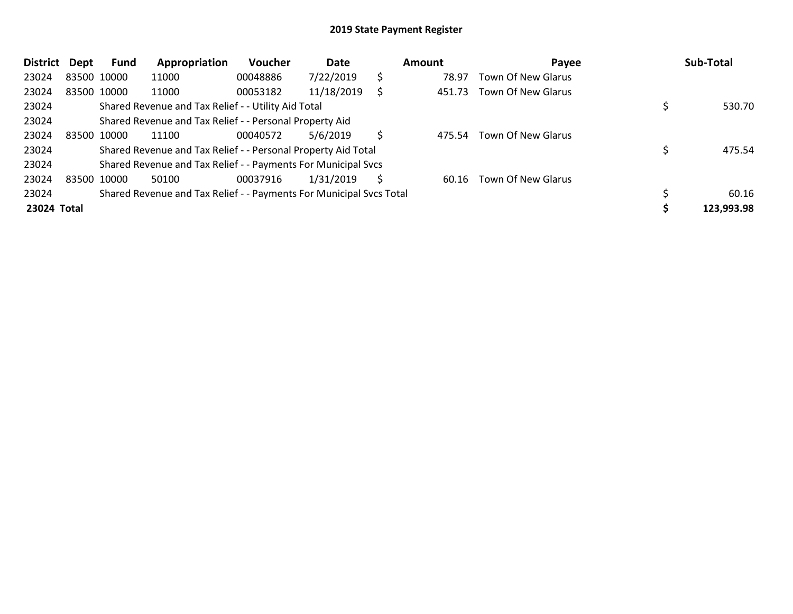| <b>District</b> | Dept | Fund        | Appropriation                                                       | <b>Voucher</b> | Date       |    | Amount | Payee                     | Sub-Total  |
|-----------------|------|-------------|---------------------------------------------------------------------|----------------|------------|----|--------|---------------------------|------------|
| 23024           |      | 83500 10000 | 11000                                                               | 00048886       | 7/22/2019  | \$ | 78.97  | <b>Town Of New Glarus</b> |            |
| 23024           |      | 83500 10000 | 11000                                                               | 00053182       | 11/18/2019 | Ś  | 451.73 | <b>Town Of New Glarus</b> |            |
| 23024           |      |             | Shared Revenue and Tax Relief - - Utility Aid Total                 |                |            |    |        |                           | 530.70     |
| 23024           |      |             | Shared Revenue and Tax Relief - - Personal Property Aid             |                |            |    |        |                           |            |
| 23024           |      | 83500 10000 | 11100                                                               | 00040572       | 5/6/2019   | S  | 475.54 | <b>Town Of New Glarus</b> |            |
| 23024           |      |             | Shared Revenue and Tax Relief - - Personal Property Aid Total       |                |            |    |        |                           | 475.54     |
| 23024           |      |             | Shared Revenue and Tax Relief - - Payments For Municipal Svcs       |                |            |    |        |                           |            |
| 23024           |      | 83500 10000 | 50100                                                               | 00037916       | 1/31/2019  | S  | 60.16  | Town Of New Glarus        |            |
| 23024           |      |             | Shared Revenue and Tax Relief - - Payments For Municipal Svcs Total |                |            |    |        |                           | 60.16      |
| 23024 Total     |      |             |                                                                     |                |            |    |        |                           | 123,993.98 |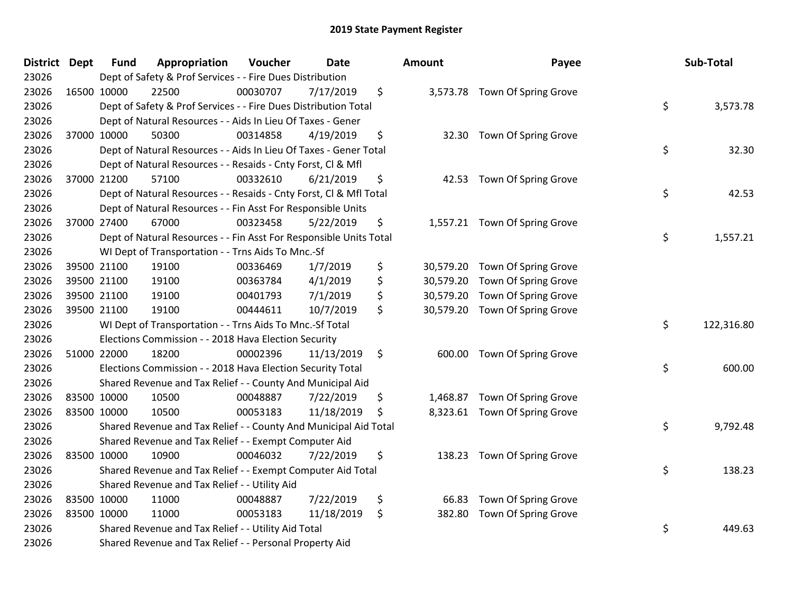| <b>District Dept</b> | <b>Fund</b> | Appropriation                                                      | Voucher  | <b>Date</b> | <b>Amount</b>   | Payee                         | Sub-Total        |
|----------------------|-------------|--------------------------------------------------------------------|----------|-------------|-----------------|-------------------------------|------------------|
| 23026                |             | Dept of Safety & Prof Services - - Fire Dues Distribution          |          |             |                 |                               |                  |
| 23026                | 16500 10000 | 22500                                                              | 00030707 | 7/17/2019   | \$              | 3,573.78 Town Of Spring Grove |                  |
| 23026                |             | Dept of Safety & Prof Services - - Fire Dues Distribution Total    |          |             |                 |                               | \$<br>3,573.78   |
| 23026                |             | Dept of Natural Resources - - Aids In Lieu Of Taxes - Gener        |          |             |                 |                               |                  |
| 23026                | 37000 10000 | 50300                                                              | 00314858 | 4/19/2019   | \$<br>32.30     | Town Of Spring Grove          |                  |
| 23026                |             | Dept of Natural Resources - - Aids In Lieu Of Taxes - Gener Total  |          |             |                 |                               | \$<br>32.30      |
| 23026                |             | Dept of Natural Resources - - Resaids - Cnty Forst, Cl & Mfl       |          |             |                 |                               |                  |
| 23026                | 37000 21200 | 57100                                                              | 00332610 | 6/21/2019   | \$<br>42.53     | Town Of Spring Grove          |                  |
| 23026                |             | Dept of Natural Resources - - Resaids - Cnty Forst, Cl & Mfl Total |          |             |                 |                               | \$<br>42.53      |
| 23026                |             | Dept of Natural Resources - - Fin Asst For Responsible Units       |          |             |                 |                               |                  |
| 23026                | 37000 27400 | 67000                                                              | 00323458 | 5/22/2019   | \$              | 1,557.21 Town Of Spring Grove |                  |
| 23026                |             | Dept of Natural Resources - - Fin Asst For Responsible Units Total |          |             |                 |                               | \$<br>1,557.21   |
| 23026                |             | WI Dept of Transportation - - Trns Aids To Mnc.-Sf                 |          |             |                 |                               |                  |
| 23026                | 39500 21100 | 19100                                                              | 00336469 | 1/7/2019    | \$<br>30,579.20 | Town Of Spring Grove          |                  |
| 23026                | 39500 21100 | 19100                                                              | 00363784 | 4/1/2019    | \$<br>30,579.20 | Town Of Spring Grove          |                  |
| 23026                | 39500 21100 | 19100                                                              | 00401793 | 7/1/2019    | \$<br>30,579.20 | Town Of Spring Grove          |                  |
| 23026                | 39500 21100 | 19100                                                              | 00444611 | 10/7/2019   | \$<br>30,579.20 | Town Of Spring Grove          |                  |
| 23026                |             | WI Dept of Transportation - - Trns Aids To Mnc.-Sf Total           |          |             |                 |                               | \$<br>122,316.80 |
| 23026                |             | Elections Commission - - 2018 Hava Election Security               |          |             |                 |                               |                  |
| 23026                | 51000 22000 | 18200                                                              | 00002396 | 11/13/2019  | \$<br>600.00    | Town Of Spring Grove          |                  |
| 23026                |             | Elections Commission - - 2018 Hava Election Security Total         |          |             |                 |                               | \$<br>600.00     |
| 23026                |             | Shared Revenue and Tax Relief - - County And Municipal Aid         |          |             |                 |                               |                  |
| 23026                | 83500 10000 | 10500                                                              | 00048887 | 7/22/2019   | \$<br>1,468.87  | Town Of Spring Grove          |                  |
| 23026                | 83500 10000 | 10500                                                              | 00053183 | 11/18/2019  | \$<br>8,323.61  | Town Of Spring Grove          |                  |
| 23026                |             | Shared Revenue and Tax Relief - - County And Municipal Aid Total   |          |             |                 |                               | \$<br>9,792.48   |
| 23026                |             | Shared Revenue and Tax Relief - - Exempt Computer Aid              |          |             |                 |                               |                  |
| 23026                | 83500 10000 | 10900                                                              | 00046032 | 7/22/2019   | \$<br>138.23    | Town Of Spring Grove          |                  |
| 23026                |             | Shared Revenue and Tax Relief - - Exempt Computer Aid Total        |          |             |                 |                               | \$<br>138.23     |
| 23026                |             | Shared Revenue and Tax Relief - - Utility Aid                      |          |             |                 |                               |                  |
| 23026                | 83500 10000 | 11000                                                              | 00048887 | 7/22/2019   | \$<br>66.83     | Town Of Spring Grove          |                  |
| 23026                | 83500 10000 | 11000                                                              | 00053183 | 11/18/2019  | \$<br>382.80    | Town Of Spring Grove          |                  |
| 23026                |             | Shared Revenue and Tax Relief - - Utility Aid Total                |          |             |                 |                               | \$<br>449.63     |
| 23026                |             | Shared Revenue and Tax Relief - - Personal Property Aid            |          |             |                 |                               |                  |

| Sub-Total  | Payee                                                                | ount                                |
|------------|----------------------------------------------------------------------|-------------------------------------|
| 3,573.78   | \$<br>Town Of Spring Grove                                           | 3,573.78                            |
| 32.30      | \$<br>Town Of Spring Grove                                           | 32.30                               |
| 42.53      | \$<br>Town Of Spring Grove                                           | 42.53                               |
| 1,557.21   | \$<br>Town Of Spring Grove                                           | 1,557.21                            |
|            | Town Of Spring Grove<br>Town Of Spring Grove<br>Town Of Spring Grove | 30,579.20<br>30,579.20<br>30,579.20 |
| 122,316.80 | \$<br>Town Of Spring Grove                                           | 30,579.20                           |
| 600.00     | \$<br>Town Of Spring Grove                                           | 600.00                              |
|            | 1,468.87 Town Of Spring Grove                                        |                                     |
| 9,792.48   | \$<br>Town Of Spring Grove                                           | 8,323.61                            |
| 138.23     | \$<br>Town Of Spring Grove                                           | 138.23                              |
|            | Town Of Spring Grove                                                 | 66.83                               |
| 449.63     | \$<br>Town Of Spring Grove                                           | 382.80                              |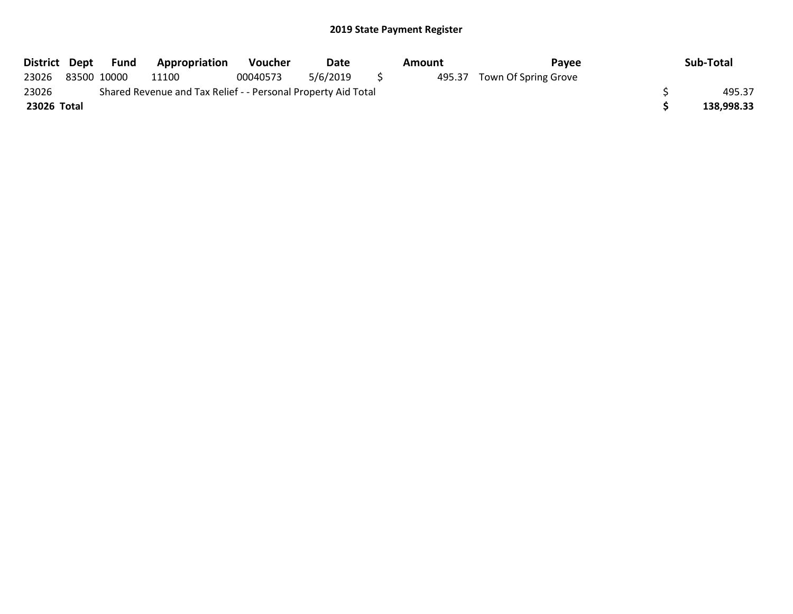| District Dept | Fund        | Appropriation                                                 | <b>Voucher</b> | Date     | Amount | Pavee                       | Sub-Total  |
|---------------|-------------|---------------------------------------------------------------|----------------|----------|--------|-----------------------------|------------|
| 23026         | 83500 10000 | 11100                                                         | 00040573       | 5/6/2019 |        | 495.37 Town Of Spring Grove |            |
| 23026         |             | Shared Revenue and Tax Relief - - Personal Property Aid Total |                |          |        |                             | 495.37     |
| 23026 Total   |             |                                                               |                |          |        |                             | 138,998.33 |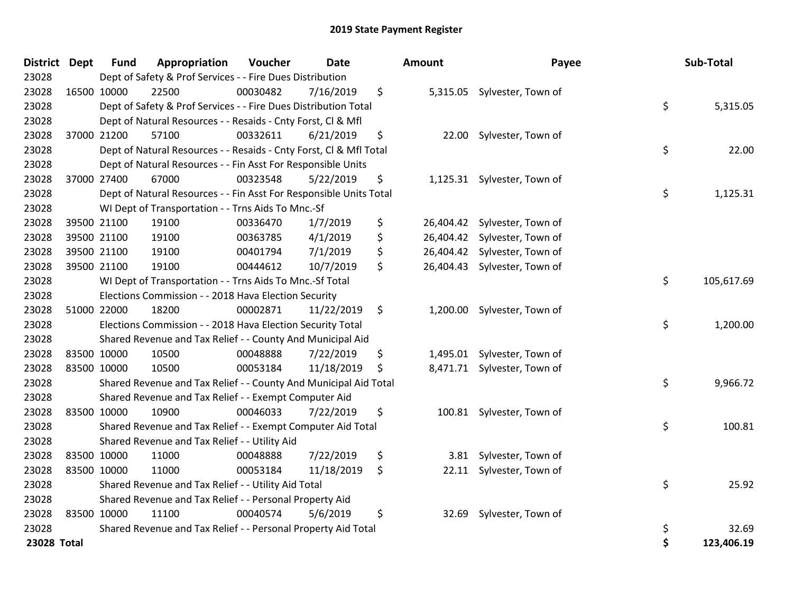| District    | <b>Dept</b> | <b>Fund</b> | Appropriation                                                      | Voucher  | <b>Date</b> | <b>Amount</b> | Payee                        | Sub-Total        |
|-------------|-------------|-------------|--------------------------------------------------------------------|----------|-------------|---------------|------------------------------|------------------|
| 23028       |             |             | Dept of Safety & Prof Services - - Fire Dues Distribution          |          |             |               |                              |                  |
| 23028       |             | 16500 10000 | 22500                                                              | 00030482 | 7/16/2019   | \$            | 5,315.05 Sylvester, Town of  |                  |
| 23028       |             |             | Dept of Safety & Prof Services - - Fire Dues Distribution Total    |          |             |               |                              | \$<br>5,315.05   |
| 23028       |             |             | Dept of Natural Resources - - Resaids - Cnty Forst, CI & Mfl       |          |             |               |                              |                  |
| 23028       |             | 37000 21200 | 57100                                                              | 00332611 | 6/21/2019   | \$<br>22.00   | Sylvester, Town of           |                  |
| 23028       |             |             | Dept of Natural Resources - - Resaids - Cnty Forst, Cl & Mfl Total |          |             |               |                              | \$<br>22.00      |
| 23028       |             |             | Dept of Natural Resources - - Fin Asst For Responsible Units       |          |             |               |                              |                  |
| 23028       |             | 37000 27400 | 67000                                                              | 00323548 | 5/22/2019   | \$            | 1,125.31 Sylvester, Town of  |                  |
| 23028       |             |             | Dept of Natural Resources - - Fin Asst For Responsible Units Total |          |             |               |                              | \$<br>1,125.31   |
| 23028       |             |             | WI Dept of Transportation - - Trns Aids To Mnc.-Sf                 |          |             |               |                              |                  |
| 23028       |             | 39500 21100 | 19100                                                              | 00336470 | 1/7/2019    | \$            | 26,404.42 Sylvester, Town of |                  |
| 23028       |             | 39500 21100 | 19100                                                              | 00363785 | 4/1/2019    | \$            | 26,404.42 Sylvester, Town of |                  |
| 23028       |             | 39500 21100 | 19100                                                              | 00401794 | 7/1/2019    | \$            | 26,404.42 Sylvester, Town of |                  |
| 23028       |             | 39500 21100 | 19100                                                              | 00444612 | 10/7/2019   | \$            | 26,404.43 Sylvester, Town of |                  |
| 23028       |             |             | WI Dept of Transportation - - Trns Aids To Mnc.-Sf Total           |          |             |               |                              | \$<br>105,617.69 |
| 23028       |             |             | Elections Commission - - 2018 Hava Election Security               |          |             |               |                              |                  |
| 23028       |             | 51000 22000 | 18200                                                              | 00002871 | 11/22/2019  | \$            | 1,200.00 Sylvester, Town of  |                  |
| 23028       |             |             | Elections Commission - - 2018 Hava Election Security Total         |          |             |               |                              | \$<br>1,200.00   |
| 23028       |             |             | Shared Revenue and Tax Relief - - County And Municipal Aid         |          |             |               |                              |                  |
| 23028       |             | 83500 10000 | 10500                                                              | 00048888 | 7/22/2019   | \$            | 1,495.01 Sylvester, Town of  |                  |
| 23028       |             | 83500 10000 | 10500                                                              | 00053184 | 11/18/2019  | \$            | 8,471.71 Sylvester, Town of  |                  |
| 23028       |             |             | Shared Revenue and Tax Relief - - County And Municipal Aid Total   |          |             |               |                              | \$<br>9,966.72   |
| 23028       |             |             | Shared Revenue and Tax Relief - - Exempt Computer Aid              |          |             |               |                              |                  |
| 23028       |             | 83500 10000 | 10900                                                              | 00046033 | 7/22/2019   | \$            | 100.81 Sylvester, Town of    |                  |
| 23028       |             |             | Shared Revenue and Tax Relief - - Exempt Computer Aid Total        |          |             |               |                              | \$<br>100.81     |
| 23028       |             |             | Shared Revenue and Tax Relief - - Utility Aid                      |          |             |               |                              |                  |
| 23028       |             | 83500 10000 | 11000                                                              | 00048888 | 7/22/2019   | \$            | 3.81 Sylvester, Town of      |                  |
| 23028       |             | 83500 10000 | 11000                                                              | 00053184 | 11/18/2019  | \$            | 22.11 Sylvester, Town of     |                  |
| 23028       |             |             | Shared Revenue and Tax Relief - - Utility Aid Total                |          |             |               |                              | \$<br>25.92      |
| 23028       |             |             | Shared Revenue and Tax Relief - - Personal Property Aid            |          |             |               |                              |                  |
| 23028       |             | 83500 10000 | 11100                                                              | 00040574 | 5/6/2019    | \$<br>32.69   | Sylvester, Town of           |                  |
| 23028       |             |             | Shared Revenue and Tax Relief - - Personal Property Aid Total      |          |             |               |                              | \$<br>32.69      |
| 23028 Total |             |             |                                                                    |          |             |               |                              | \$<br>123,406.19 |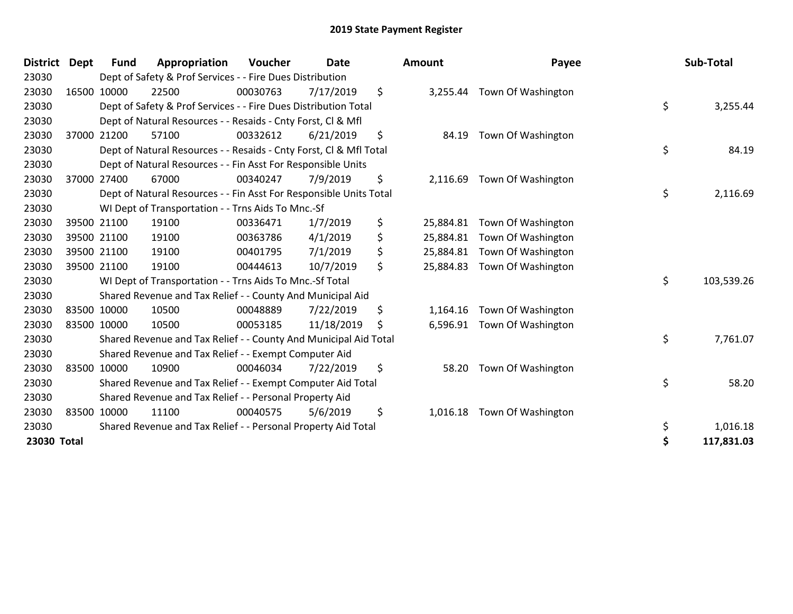| <b>District</b> | Dept        | <b>Fund</b> | Appropriation                                                      | Voucher  | <b>Date</b> | <b>Amount</b>   | Payee              | Sub-Total        |
|-----------------|-------------|-------------|--------------------------------------------------------------------|----------|-------------|-----------------|--------------------|------------------|
| 23030           |             |             | Dept of Safety & Prof Services - - Fire Dues Distribution          |          |             |                 |                    |                  |
| 23030           |             | 16500 10000 | 22500                                                              | 00030763 | 7/17/2019   | \$<br>3,255.44  | Town Of Washington |                  |
| 23030           |             |             | Dept of Safety & Prof Services - - Fire Dues Distribution Total    |          |             |                 |                    | \$<br>3,255.44   |
| 23030           |             |             | Dept of Natural Resources - - Resaids - Cnty Forst, CI & Mfl       |          |             |                 |                    |                  |
| 23030           |             | 37000 21200 | 57100                                                              | 00332612 | 6/21/2019   | \$<br>84.19     | Town Of Washington |                  |
| 23030           |             |             | Dept of Natural Resources - - Resaids - Cnty Forst, Cl & Mfl Total |          |             |                 |                    | \$<br>84.19      |
| 23030           |             |             | Dept of Natural Resources - - Fin Asst For Responsible Units       |          |             |                 |                    |                  |
| 23030           | 37000       | 27400       | 67000                                                              | 00340247 | 7/9/2019    | \$<br>2,116.69  | Town Of Washington |                  |
| 23030           |             |             | Dept of Natural Resources - - Fin Asst For Responsible Units Total |          |             |                 |                    | \$<br>2,116.69   |
| 23030           |             |             | WI Dept of Transportation - - Trns Aids To Mnc.-Sf                 |          |             |                 |                    |                  |
| 23030           |             | 39500 21100 | 19100                                                              | 00336471 | 1/7/2019    | \$<br>25,884.81 | Town Of Washington |                  |
| 23030           |             | 39500 21100 | 19100                                                              | 00363786 | 4/1/2019    | \$<br>25,884.81 | Town Of Washington |                  |
| 23030           |             | 39500 21100 | 19100                                                              | 00401795 | 7/1/2019    | \$<br>25,884.81 | Town Of Washington |                  |
| 23030           |             | 39500 21100 | 19100                                                              | 00444613 | 10/7/2019   | \$<br>25,884.83 | Town Of Washington |                  |
| 23030           |             |             | WI Dept of Transportation - - Trns Aids To Mnc.-Sf Total           |          |             |                 |                    | \$<br>103,539.26 |
| 23030           |             |             | Shared Revenue and Tax Relief - - County And Municipal Aid         |          |             |                 |                    |                  |
| 23030           | 83500 10000 |             | 10500                                                              | 00048889 | 7/22/2019   | \$<br>1,164.16  | Town Of Washington |                  |
| 23030           | 83500 10000 |             | 10500                                                              | 00053185 | 11/18/2019  | \$<br>6,596.91  | Town Of Washington |                  |
| 23030           |             |             | Shared Revenue and Tax Relief - - County And Municipal Aid Total   |          |             |                 |                    | \$<br>7,761.07   |
| 23030           |             |             | Shared Revenue and Tax Relief - - Exempt Computer Aid              |          |             |                 |                    |                  |
| 23030           |             | 83500 10000 | 10900                                                              | 00046034 | 7/22/2019   | \$<br>58.20     | Town Of Washington |                  |
| 23030           |             |             | Shared Revenue and Tax Relief - - Exempt Computer Aid Total        |          |             |                 |                    | \$<br>58.20      |
| 23030           |             |             | Shared Revenue and Tax Relief - - Personal Property Aid            |          |             |                 |                    |                  |
| 23030           | 83500 10000 |             | 11100                                                              | 00040575 | 5/6/2019    | \$<br>1,016.18  | Town Of Washington |                  |
| 23030           |             |             | Shared Revenue and Tax Relief - - Personal Property Aid Total      |          |             |                 |                    | \$<br>1,016.18   |
| 23030 Total     |             |             |                                                                    |          |             |                 |                    | \$<br>117,831.03 |

| ount      | Payee                       | Sub-Total        |
|-----------|-----------------------------|------------------|
|           | 3,255.44 Town Of Washington | \$<br>3,255.44   |
| 84.19     | Town Of Washington          |                  |
|           |                             | \$<br>84.19      |
| 2,116.69  | Town Of Washington          | \$<br>2,116.69   |
| 25,884.81 | Town Of Washington          |                  |
| 25,884.81 | Town Of Washington          |                  |
| 25,884.81 | Town Of Washington          |                  |
| 25,884.83 | Town Of Washington          |                  |
|           |                             | \$<br>103,539.26 |
| 1,164.16  | Town Of Washington          |                  |
| 6,596.91  | Town Of Washington          | \$<br>7,761.07   |
| 58.20     | Town Of Washington          |                  |
|           |                             | \$<br>58.20      |
| 1,016.18  | Town Of Washington          |                  |
|           |                             | \$<br>1,016.18   |
|           |                             | \$<br>117,831.03 |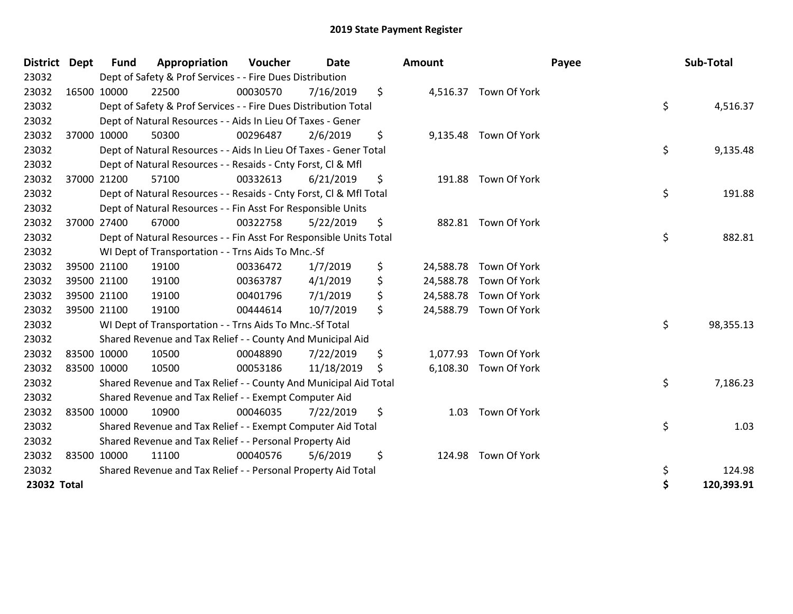| <b>District</b> | Dept        | <b>Fund</b> | Appropriation                                                      | Voucher  | <b>Date</b> |     | Amount    |                        | Payee | Sub-Total  |
|-----------------|-------------|-------------|--------------------------------------------------------------------|----------|-------------|-----|-----------|------------------------|-------|------------|
| 23032           |             |             | Dept of Safety & Prof Services - - Fire Dues Distribution          |          |             |     |           |                        |       |            |
| 23032           | 16500 10000 |             | 22500                                                              | 00030570 | 7/16/2019   | \$  |           | 4,516.37 Town Of York  |       |            |
| 23032           |             |             | Dept of Safety & Prof Services - - Fire Dues Distribution Total    |          |             |     |           |                        | \$    | 4,516.37   |
| 23032           |             |             | Dept of Natural Resources - - Aids In Lieu Of Taxes - Gener        |          |             |     |           |                        |       |            |
| 23032           |             | 37000 10000 | 50300                                                              | 00296487 | 2/6/2019    | \$  |           | 9,135.48 Town Of York  |       |            |
| 23032           |             |             | Dept of Natural Resources - - Aids In Lieu Of Taxes - Gener Total  |          |             |     |           |                        | \$    | 9,135.48   |
| 23032           |             |             | Dept of Natural Resources - - Resaids - Cnty Forst, CI & Mfl       |          |             |     |           |                        |       |            |
| 23032           | 37000 21200 |             | 57100                                                              | 00332613 | 6/21/2019   | \$  |           | 191.88 Town Of York    |       |            |
| 23032           |             |             | Dept of Natural Resources - - Resaids - Cnty Forst, Cl & Mfl Total |          |             |     |           |                        | \$    | 191.88     |
| 23032           |             |             | Dept of Natural Resources - - Fin Asst For Responsible Units       |          |             |     |           |                        |       |            |
| 23032           |             | 37000 27400 | 67000                                                              | 00322758 | 5/22/2019   | \$  |           | 882.81 Town Of York    |       |            |
| 23032           |             |             | Dept of Natural Resources - - Fin Asst For Responsible Units Total |          |             |     |           |                        | \$    | 882.81     |
| 23032           |             |             | WI Dept of Transportation - - Trns Aids To Mnc.-Sf                 |          |             |     |           |                        |       |            |
| 23032           |             | 39500 21100 | 19100                                                              | 00336472 | 1/7/2019    | \$  | 24,588.78 | Town Of York           |       |            |
| 23032           |             | 39500 21100 | 19100                                                              | 00363787 | 4/1/2019    | \$  |           | 24,588.78 Town Of York |       |            |
| 23032           |             | 39500 21100 | 19100                                                              | 00401796 | 7/1/2019    | \$  | 24,588.78 | Town Of York           |       |            |
| 23032           | 39500 21100 |             | 19100                                                              | 00444614 | 10/7/2019   | \$  |           | 24,588.79 Town Of York |       |            |
| 23032           |             |             | WI Dept of Transportation - - Trns Aids To Mnc.-Sf Total           |          |             |     |           |                        | \$    | 98,355.13  |
| 23032           |             |             | Shared Revenue and Tax Relief - - County And Municipal Aid         |          |             |     |           |                        |       |            |
| 23032           | 83500 10000 |             | 10500                                                              | 00048890 | 7/22/2019   | \$  |           | 1,077.93 Town Of York  |       |            |
| 23032           | 83500 10000 |             | 10500                                                              | 00053186 | 11/18/2019  | \$. |           | 6,108.30 Town Of York  |       |            |
| 23032           |             |             | Shared Revenue and Tax Relief - - County And Municipal Aid Total   |          |             |     |           |                        | \$    | 7,186.23   |
| 23032           |             |             | Shared Revenue and Tax Relief - - Exempt Computer Aid              |          |             |     |           |                        |       |            |
| 23032           | 83500 10000 |             | 10900                                                              | 00046035 | 7/22/2019   | \$  | 1.03      | Town Of York           |       |            |
| 23032           |             |             | Shared Revenue and Tax Relief - - Exempt Computer Aid Total        |          |             |     |           |                        | \$    | 1.03       |
| 23032           |             |             | Shared Revenue and Tax Relief - - Personal Property Aid            |          |             |     |           |                        |       |            |
| 23032           | 83500 10000 |             | 11100                                                              | 00040576 | 5/6/2019    | \$  | 124.98    | Town Of York           |       |            |
| 23032           |             |             | Shared Revenue and Tax Relief - - Personal Property Aid Total      |          |             |     |           |                        | \$    | 124.98     |
| 23032 Total     |             |             |                                                                    |          |             |     |           |                        | \$    | 120,393.91 |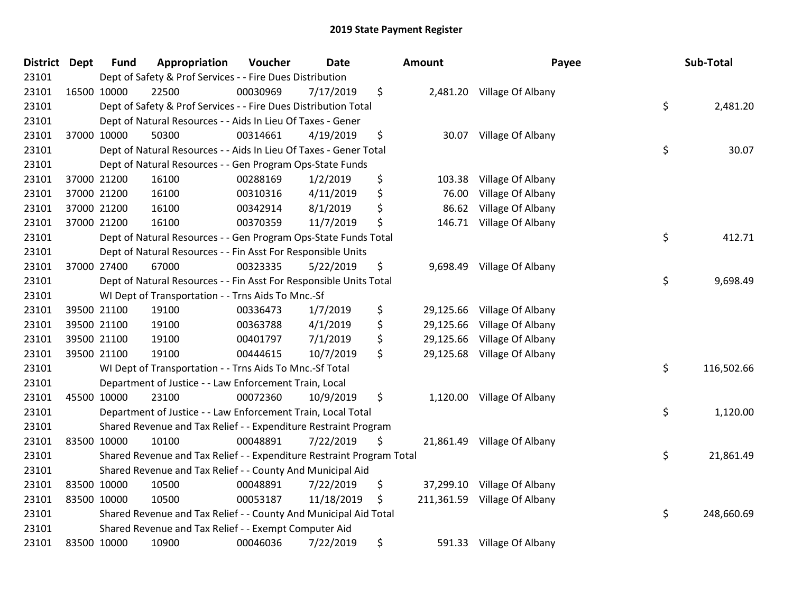| District Dept | <b>Fund</b> | Appropriation                                                         | Voucher  | <b>Date</b> | Amount           | Payee                       | Sub-Total        |
|---------------|-------------|-----------------------------------------------------------------------|----------|-------------|------------------|-----------------------------|------------------|
| 23101         |             | Dept of Safety & Prof Services - - Fire Dues Distribution             |          |             |                  |                             |                  |
| 23101         | 16500 10000 | 22500                                                                 | 00030969 | 7/17/2019   | \$               | 2,481.20 Village Of Albany  |                  |
| 23101         |             | Dept of Safety & Prof Services - - Fire Dues Distribution Total       |          |             |                  |                             | \$<br>2,481.20   |
| 23101         |             | Dept of Natural Resources - - Aids In Lieu Of Taxes - Gener           |          |             |                  |                             |                  |
| 23101         | 37000 10000 | 50300                                                                 | 00314661 | 4/19/2019   | \$<br>30.07      | Village Of Albany           |                  |
| 23101         |             | Dept of Natural Resources - - Aids In Lieu Of Taxes - Gener Total     |          |             |                  |                             | \$<br>30.07      |
| 23101         |             | Dept of Natural Resources - - Gen Program Ops-State Funds             |          |             |                  |                             |                  |
| 23101         | 37000 21200 | 16100                                                                 | 00288169 | 1/2/2019    | \$<br>103.38     | Village Of Albany           |                  |
| 23101         | 37000 21200 | 16100                                                                 | 00310316 | 4/11/2019   | \$<br>76.00      | Village Of Albany           |                  |
| 23101         | 37000 21200 | 16100                                                                 | 00342914 | 8/1/2019    | \$<br>86.62      | Village Of Albany           |                  |
| 23101         | 37000 21200 | 16100                                                                 | 00370359 | 11/7/2019   | \$<br>146.71     | Village Of Albany           |                  |
| 23101         |             | Dept of Natural Resources - - Gen Program Ops-State Funds Total       |          |             |                  |                             | \$<br>412.71     |
| 23101         |             | Dept of Natural Resources - - Fin Asst For Responsible Units          |          |             |                  |                             |                  |
| 23101         | 37000 27400 | 67000                                                                 | 00323335 | 5/22/2019   | \$<br>9,698.49   | Village Of Albany           |                  |
| 23101         |             | Dept of Natural Resources - - Fin Asst For Responsible Units Total    |          |             |                  |                             | \$<br>9,698.49   |
| 23101         |             | WI Dept of Transportation - - Trns Aids To Mnc.-Sf                    |          |             |                  |                             |                  |
| 23101         | 39500 21100 | 19100                                                                 | 00336473 | 1/7/2019    | \$<br>29,125.66  | Village Of Albany           |                  |
| 23101         | 39500 21100 | 19100                                                                 | 00363788 | 4/1/2019    | \$<br>29,125.66  | Village Of Albany           |                  |
| 23101         | 39500 21100 | 19100                                                                 | 00401797 | 7/1/2019    | \$<br>29,125.66  | Village Of Albany           |                  |
| 23101         | 39500 21100 | 19100                                                                 | 00444615 | 10/7/2019   | \$<br>29,125.68  | Village Of Albany           |                  |
| 23101         |             | WI Dept of Transportation - - Trns Aids To Mnc .- Sf Total            |          |             |                  |                             | \$<br>116,502.66 |
| 23101         |             | Department of Justice - - Law Enforcement Train, Local                |          |             |                  |                             |                  |
| 23101         | 45500 10000 | 23100                                                                 | 00072360 | 10/9/2019   | \$               | 1,120.00 Village Of Albany  |                  |
| 23101         |             | Department of Justice - - Law Enforcement Train, Local Total          |          |             |                  |                             | \$<br>1,120.00   |
| 23101         |             | Shared Revenue and Tax Relief - - Expenditure Restraint Program       |          |             |                  |                             |                  |
| 23101         | 83500 10000 | 10100                                                                 | 00048891 | 7/22/2019   | \$               | 21,861.49 Village Of Albany |                  |
| 23101         |             | Shared Revenue and Tax Relief - - Expenditure Restraint Program Total |          |             |                  |                             | \$<br>21,861.49  |
| 23101         |             | Shared Revenue and Tax Relief - - County And Municipal Aid            |          |             |                  |                             |                  |
| 23101         | 83500 10000 | 10500                                                                 | 00048891 | 7/22/2019   | \$<br>37,299.10  | Village Of Albany           |                  |
| 23101         | 83500 10000 | 10500                                                                 | 00053187 | 11/18/2019  | \$<br>211,361.59 | Village Of Albany           |                  |
| 23101         |             | Shared Revenue and Tax Relief - - County And Municipal Aid Total      |          |             |                  |                             | \$<br>248,660.69 |
| 23101         |             | Shared Revenue and Tax Relief - - Exempt Computer Aid                 |          |             |                  |                             |                  |
| 23101         | 83500 10000 | 10900                                                                 | 00046036 | 7/22/2019   | \$               | 591.33 Village Of Albany    |                  |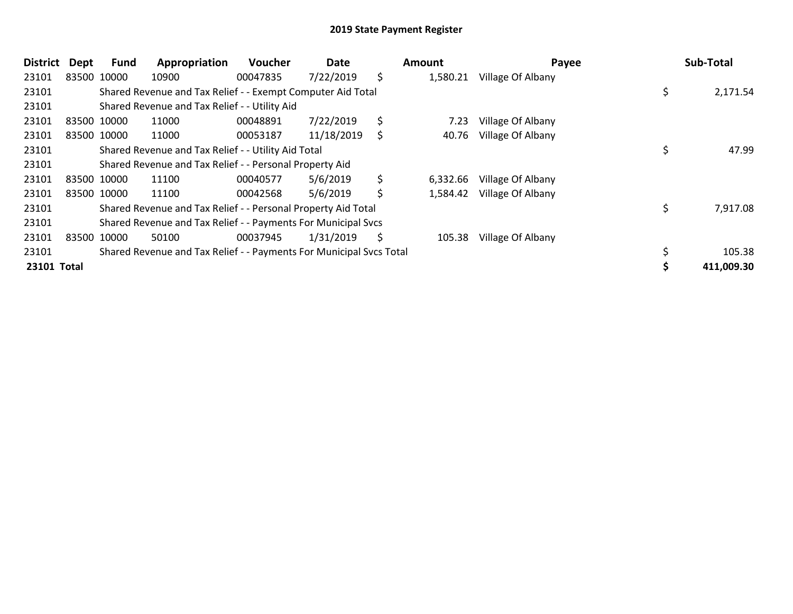| <b>District</b> | <b>Dept</b> | Fund        | Appropriation                                                       | Voucher  | Date       | Amount         | Payee             | Sub-Total      |
|-----------------|-------------|-------------|---------------------------------------------------------------------|----------|------------|----------------|-------------------|----------------|
| 23101           |             | 83500 10000 | 10900                                                               | 00047835 | 7/22/2019  | \$<br>1,580.21 | Village Of Albany |                |
| 23101           |             |             | Shared Revenue and Tax Relief - - Exempt Computer Aid Total         |          |            |                |                   | \$<br>2,171.54 |
| 23101           |             |             | Shared Revenue and Tax Relief - - Utility Aid                       |          |            |                |                   |                |
| 23101           |             | 83500 10000 | 11000                                                               | 00048891 | 7/22/2019  | \$<br>7.23     | Village Of Albany |                |
| 23101           |             | 83500 10000 | 11000                                                               | 00053187 | 11/18/2019 | \$<br>40.76    | Village Of Albany |                |
| 23101           |             |             | Shared Revenue and Tax Relief - - Utility Aid Total                 |          |            |                |                   | 47.99          |
| 23101           |             |             | Shared Revenue and Tax Relief - - Personal Property Aid             |          |            |                |                   |                |
| 23101           |             | 83500 10000 | 11100                                                               | 00040577 | 5/6/2019   | \$<br>6,332.66 | Village Of Albany |                |
| 23101           |             | 83500 10000 | 11100                                                               | 00042568 | 5/6/2019   | \$<br>1,584.42 | Village Of Albany |                |
| 23101           |             |             | Shared Revenue and Tax Relief - - Personal Property Aid Total       |          |            |                |                   | \$<br>7,917.08 |
| 23101           |             |             | Shared Revenue and Tax Relief - - Payments For Municipal Svcs       |          |            |                |                   |                |
| 23101           |             | 83500 10000 | 50100                                                               | 00037945 | 1/31/2019  | \$<br>105.38   | Village Of Albany |                |
| 23101           |             |             | Shared Revenue and Tax Relief - - Payments For Municipal Svcs Total |          |            |                |                   | 105.38         |
| 23101 Total     |             |             |                                                                     |          |            |                |                   | 411,009.30     |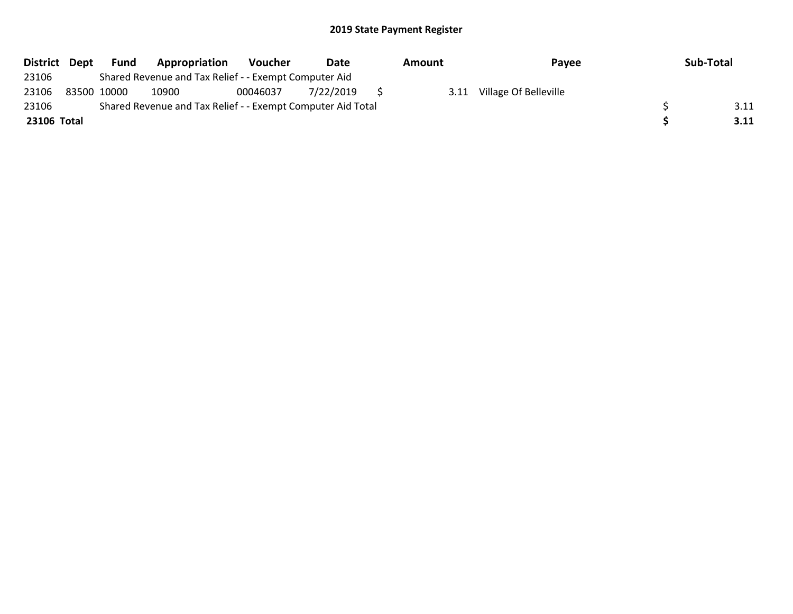| District Dept | Fund        | Appropriation                                               | Voucher  | Date      | Amount | Pavee                 | Sub-Total |
|---------------|-------------|-------------------------------------------------------------|----------|-----------|--------|-----------------------|-----------|
| 23106         |             | Shared Revenue and Tax Relief - - Exempt Computer Aid       |          |           |        |                       |           |
| 23106         | 83500 10000 | 10900                                                       | 00046037 | 7/22/2019 | 3.11   | Village Of Belleville |           |
| 23106         |             | Shared Revenue and Tax Relief - - Exempt Computer Aid Total |          |           |        |                       | 3.11      |
| 23106 Total   |             |                                                             |          |           |        |                       | 3.11      |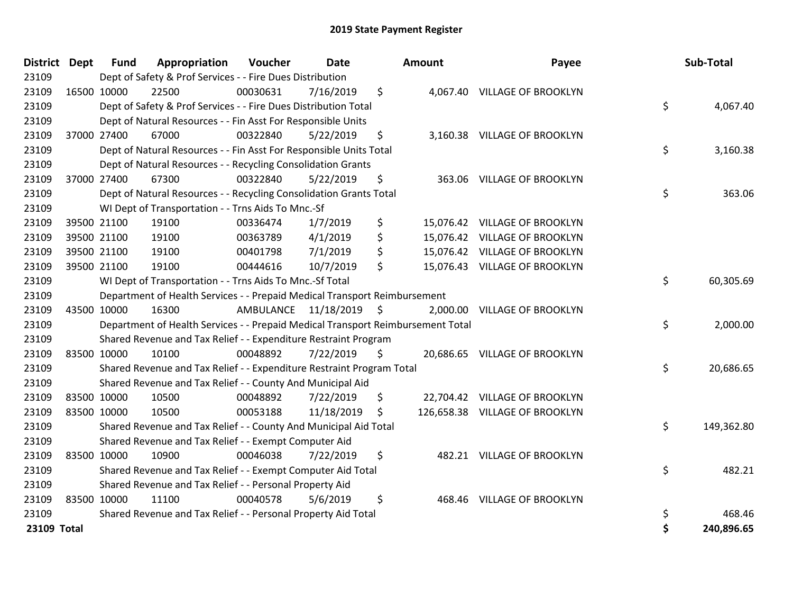| District Dept |             | <b>Fund</b> | Appropriation                                                                   | Voucher   | <b>Date</b>   | <b>Amount</b> | Payee                          | Sub-Total        |
|---------------|-------------|-------------|---------------------------------------------------------------------------------|-----------|---------------|---------------|--------------------------------|------------------|
| 23109         |             |             | Dept of Safety & Prof Services - - Fire Dues Distribution                       |           |               |               |                                |                  |
| 23109         |             | 16500 10000 | 22500                                                                           | 00030631  | 7/16/2019     | \$            | 4,067.40 VILLAGE OF BROOKLYN   |                  |
| 23109         |             |             | Dept of Safety & Prof Services - - Fire Dues Distribution Total                 |           |               |               |                                | \$<br>4,067.40   |
| 23109         |             |             | Dept of Natural Resources - - Fin Asst For Responsible Units                    |           |               |               |                                |                  |
| 23109         |             | 37000 27400 | 67000                                                                           | 00322840  | 5/22/2019     | \$            | 3,160.38 VILLAGE OF BROOKLYN   |                  |
| 23109         |             |             | Dept of Natural Resources - - Fin Asst For Responsible Units Total              |           |               |               |                                | \$<br>3,160.38   |
| 23109         |             |             | Dept of Natural Resources - - Recycling Consolidation Grants                    |           |               |               |                                |                  |
| 23109         |             | 37000 27400 | 67300                                                                           | 00322840  | 5/22/2019     | \$            | 363.06 VILLAGE OF BROOKLYN     |                  |
| 23109         |             |             | Dept of Natural Resources - - Recycling Consolidation Grants Total              |           |               |               |                                | \$<br>363.06     |
| 23109         |             |             | WI Dept of Transportation - - Trns Aids To Mnc.-Sf                              |           |               |               |                                |                  |
| 23109         |             | 39500 21100 | 19100                                                                           | 00336474  | 1/7/2019      | \$            | 15,076.42 VILLAGE OF BROOKLYN  |                  |
| 23109         |             | 39500 21100 | 19100                                                                           | 00363789  | 4/1/2019      | \$            | 15,076.42 VILLAGE OF BROOKLYN  |                  |
| 23109         |             | 39500 21100 | 19100                                                                           | 00401798  | 7/1/2019      | \$            | 15,076.42 VILLAGE OF BROOKLYN  |                  |
| 23109         |             | 39500 21100 | 19100                                                                           | 00444616  | 10/7/2019     | \$            | 15,076.43 VILLAGE OF BROOKLYN  |                  |
| 23109         |             |             | WI Dept of Transportation - - Trns Aids To Mnc.-Sf Total                        |           |               |               |                                | \$<br>60,305.69  |
| 23109         |             |             | Department of Health Services - - Prepaid Medical Transport Reimbursement       |           |               |               |                                |                  |
| 23109         |             | 43500 10000 | 16300                                                                           | AMBULANCE | 11/18/2019 \$ |               | 2,000.00 VILLAGE OF BROOKLYN   |                  |
| 23109         |             |             | Department of Health Services - - Prepaid Medical Transport Reimbursement Total |           |               |               |                                | \$<br>2,000.00   |
| 23109         |             |             | Shared Revenue and Tax Relief - - Expenditure Restraint Program                 |           |               |               |                                |                  |
| 23109         |             | 83500 10000 | 10100                                                                           | 00048892  | 7/22/2019     | \$            | 20,686.65 VILLAGE OF BROOKLYN  |                  |
| 23109         |             |             | Shared Revenue and Tax Relief - - Expenditure Restraint Program Total           |           |               |               |                                | \$<br>20,686.65  |
| 23109         |             |             | Shared Revenue and Tax Relief - - County And Municipal Aid                      |           |               |               |                                |                  |
| 23109         |             | 83500 10000 | 10500                                                                           | 00048892  | 7/22/2019     | \$            | 22,704.42 VILLAGE OF BROOKLYN  |                  |
| 23109         |             | 83500 10000 | 10500                                                                           | 00053188  | 11/18/2019    | \$            | 126,658.38 VILLAGE OF BROOKLYN |                  |
| 23109         |             |             | Shared Revenue and Tax Relief - - County And Municipal Aid Total                |           |               |               |                                | \$<br>149,362.80 |
| 23109         |             |             | Shared Revenue and Tax Relief - - Exempt Computer Aid                           |           |               |               |                                |                  |
| 23109         |             | 83500 10000 | 10900                                                                           | 00046038  | 7/22/2019     | \$            | 482.21 VILLAGE OF BROOKLYN     |                  |
| 23109         |             |             | Shared Revenue and Tax Relief - - Exempt Computer Aid Total                     |           |               |               |                                | \$<br>482.21     |
| 23109         |             |             | Shared Revenue and Tax Relief - - Personal Property Aid                         |           |               |               |                                |                  |
| 23109         | 83500 10000 |             | 11100                                                                           | 00040578  | 5/6/2019      | \$            | 468.46 VILLAGE OF BROOKLYN     |                  |
| 23109         |             |             | Shared Revenue and Tax Relief - - Personal Property Aid Total                   |           |               |               |                                | \$<br>468.46     |
| 23109 Total   |             |             |                                                                                 |           |               |               |                                | \$<br>240,896.65 |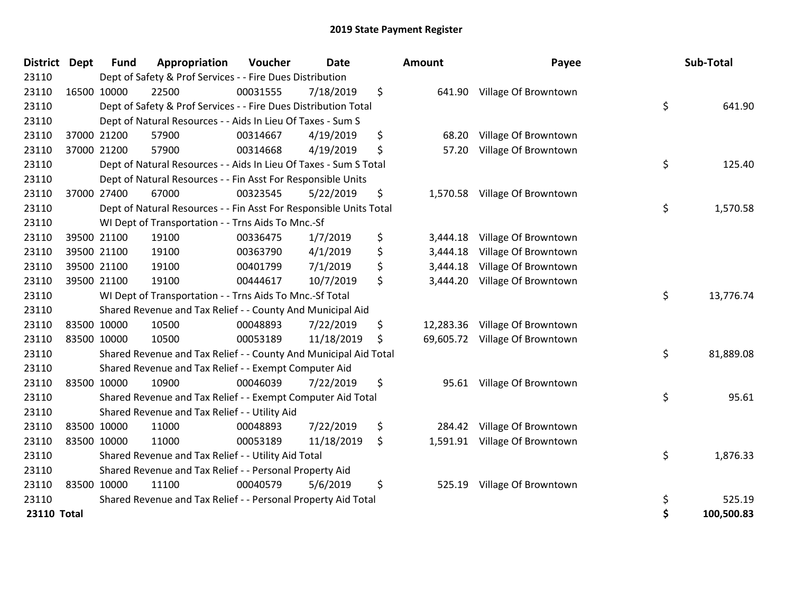| District Dept      | <b>Fund</b> | Appropriation                                                      | Voucher  | <b>Date</b> | Amount          | Payee                          | Sub-Total        |
|--------------------|-------------|--------------------------------------------------------------------|----------|-------------|-----------------|--------------------------------|------------------|
| 23110              |             | Dept of Safety & Prof Services - - Fire Dues Distribution          |          |             |                 |                                |                  |
| 23110              | 16500 10000 | 22500                                                              | 00031555 | 7/18/2019   | \$              | 641.90 Village Of Browntown    |                  |
| 23110              |             | Dept of Safety & Prof Services - - Fire Dues Distribution Total    |          |             |                 |                                | \$<br>641.90     |
| 23110              |             | Dept of Natural Resources - - Aids In Lieu Of Taxes - Sum S        |          |             |                 |                                |                  |
| 23110              | 37000 21200 | 57900                                                              | 00314667 | 4/19/2019   | \$<br>68.20     | Village Of Browntown           |                  |
| 23110              | 37000 21200 | 57900                                                              | 00314668 | 4/19/2019   | \$<br>57.20     | Village Of Browntown           |                  |
| 23110              |             | Dept of Natural Resources - - Aids In Lieu Of Taxes - Sum S Total  |          |             |                 |                                | \$<br>125.40     |
| 23110              |             | Dept of Natural Resources - - Fin Asst For Responsible Units       |          |             |                 |                                |                  |
| 23110              | 37000 27400 | 67000                                                              | 00323545 | 5/22/2019   | \$<br>1,570.58  | Village Of Browntown           |                  |
| 23110              |             | Dept of Natural Resources - - Fin Asst For Responsible Units Total |          |             |                 |                                | \$<br>1,570.58   |
| 23110              |             | WI Dept of Transportation - - Trns Aids To Mnc.-Sf                 |          |             |                 |                                |                  |
| 23110              | 39500 21100 | 19100                                                              | 00336475 | 1/7/2019    | \$<br>3,444.18  | Village Of Browntown           |                  |
| 23110              | 39500 21100 | 19100                                                              | 00363790 | 4/1/2019    | \$<br>3,444.18  | Village Of Browntown           |                  |
| 23110              | 39500 21100 | 19100                                                              | 00401799 | 7/1/2019    | \$<br>3,444.18  | Village Of Browntown           |                  |
| 23110              | 39500 21100 | 19100                                                              | 00444617 | 10/7/2019   | \$<br>3,444.20  | Village Of Browntown           |                  |
| 23110              |             | WI Dept of Transportation - - Trns Aids To Mnc.-Sf Total           |          |             |                 |                                | \$<br>13,776.74  |
| 23110              |             | Shared Revenue and Tax Relief - - County And Municipal Aid         |          |             |                 |                                |                  |
| 23110              | 83500 10000 | 10500                                                              | 00048893 | 7/22/2019   | \$<br>12,283.36 | Village Of Browntown           |                  |
| 23110              | 83500 10000 | 10500                                                              | 00053189 | 11/18/2019  | \$              | 69,605.72 Village Of Browntown |                  |
| 23110              |             | Shared Revenue and Tax Relief - - County And Municipal Aid Total   |          |             |                 |                                | \$<br>81,889.08  |
| 23110              |             | Shared Revenue and Tax Relief - - Exempt Computer Aid              |          |             |                 |                                |                  |
| 23110              | 83500 10000 | 10900                                                              | 00046039 | 7/22/2019   | \$<br>95.61     | Village Of Browntown           |                  |
| 23110              |             | Shared Revenue and Tax Relief - - Exempt Computer Aid Total        |          |             |                 |                                | \$<br>95.61      |
| 23110              |             | Shared Revenue and Tax Relief - - Utility Aid                      |          |             |                 |                                |                  |
| 23110              | 83500 10000 | 11000                                                              | 00048893 | 7/22/2019   | \$<br>284.42    | Village Of Browntown           |                  |
| 23110              | 83500 10000 | 11000                                                              | 00053189 | 11/18/2019  | \$<br>1,591.91  | Village Of Browntown           |                  |
| 23110              |             | Shared Revenue and Tax Relief - - Utility Aid Total                |          |             |                 |                                | \$<br>1,876.33   |
| 23110              |             | Shared Revenue and Tax Relief - - Personal Property Aid            |          |             |                 |                                |                  |
| 23110              | 83500 10000 | 11100                                                              | 00040579 | 5/6/2019    | \$<br>525.19    | Village Of Browntown           |                  |
| 23110              |             | Shared Revenue and Tax Relief - - Personal Property Aid Total      |          |             |                 |                                | \$<br>525.19     |
| <b>23110 Total</b> |             |                                                                    |          |             |                 |                                | \$<br>100,500.83 |

| ount      | Payee                | Sub-Total        |
|-----------|----------------------|------------------|
| 641.90    | Village Of Browntown | \$<br>641.90     |
| 68.20     | Village Of Browntown |                  |
| 57.20     | Village Of Browntown | \$<br>125.40     |
|           |                      |                  |
| 1,570.58  | Village Of Browntown |                  |
|           |                      | \$<br>1,570.58   |
| 3,444.18  | Village Of Browntown |                  |
| 3,444.18  | Village Of Browntown |                  |
| 3,444.18  | Village Of Browntown |                  |
| 3,444.20  | Village Of Browntown |                  |
|           |                      | \$<br>13,776.74  |
| 12,283.36 | Village Of Browntown |                  |
| 69,605.72 | Village Of Browntown |                  |
|           |                      | \$<br>81,889.08  |
| 95.61     | Village Of Browntown |                  |
|           |                      | \$<br>95.61      |
| 284.42    | Village Of Browntown |                  |
| 1,591.91  | Village Of Browntown |                  |
|           |                      | \$<br>1,876.33   |
| 525.19    | Village Of Browntown |                  |
|           |                      | \$<br>525.19     |
|           |                      | \$<br>100,500.83 |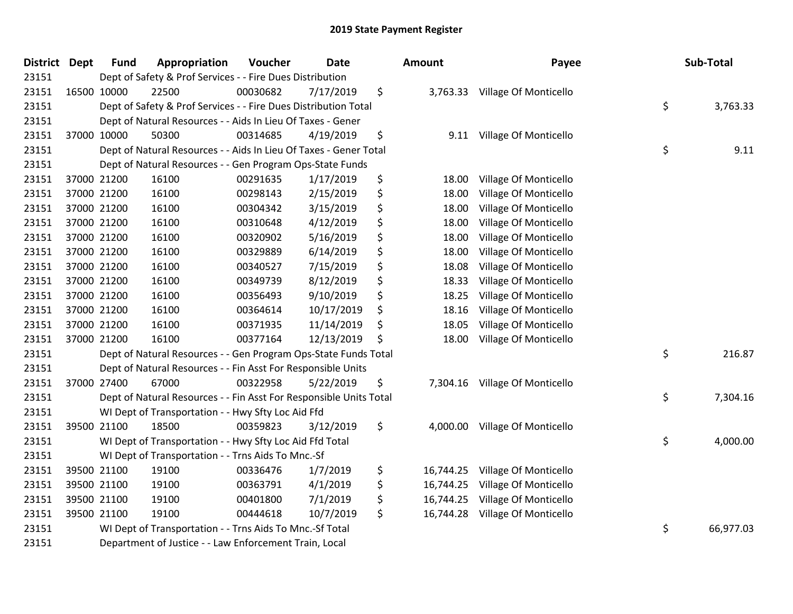| District Dept | <b>Fund</b> | Appropriation                                                      | Voucher  | <b>Date</b> | Amount          | Payee                          | Sub-Total       |
|---------------|-------------|--------------------------------------------------------------------|----------|-------------|-----------------|--------------------------------|-----------------|
| 23151         |             | Dept of Safety & Prof Services - - Fire Dues Distribution          |          |             |                 |                                |                 |
| 23151         | 16500 10000 | 22500                                                              | 00030682 | 7/17/2019   | \$              | 3,763.33 Village Of Monticello |                 |
| 23151         |             | Dept of Safety & Prof Services - - Fire Dues Distribution Total    |          |             |                 |                                | \$<br>3,763.33  |
| 23151         |             | Dept of Natural Resources - - Aids In Lieu Of Taxes - Gener        |          |             |                 |                                |                 |
| 23151         | 37000 10000 | 50300                                                              | 00314685 | 4/19/2019   | \$<br>9.11      | Village Of Monticello          |                 |
| 23151         |             | Dept of Natural Resources - - Aids In Lieu Of Taxes - Gener Total  |          |             |                 |                                | \$<br>9.11      |
| 23151         |             | Dept of Natural Resources - - Gen Program Ops-State Funds          |          |             |                 |                                |                 |
| 23151         | 37000 21200 | 16100                                                              | 00291635 | 1/17/2019   | \$<br>18.00     | Village Of Monticello          |                 |
| 23151         | 37000 21200 | 16100                                                              | 00298143 | 2/15/2019   | \$<br>18.00     | Village Of Monticello          |                 |
| 23151         | 37000 21200 | 16100                                                              | 00304342 | 3/15/2019   | \$<br>18.00     | Village Of Monticello          |                 |
| 23151         | 37000 21200 | 16100                                                              | 00310648 | 4/12/2019   | \$<br>18.00     | <b>Village Of Monticello</b>   |                 |
| 23151         | 37000 21200 | 16100                                                              | 00320902 | 5/16/2019   | \$<br>18.00     | Village Of Monticello          |                 |
| 23151         | 37000 21200 | 16100                                                              | 00329889 | 6/14/2019   | \$<br>18.00     | Village Of Monticello          |                 |
| 23151         | 37000 21200 | 16100                                                              | 00340527 | 7/15/2019   | \$<br>18.08     | Village Of Monticello          |                 |
| 23151         | 37000 21200 | 16100                                                              | 00349739 | 8/12/2019   | \$<br>18.33     | Village Of Monticello          |                 |
| 23151         | 37000 21200 | 16100                                                              | 00356493 | 9/10/2019   | \$<br>18.25     | Village Of Monticello          |                 |
| 23151         | 37000 21200 | 16100                                                              | 00364614 | 10/17/2019  | \$<br>18.16     | Village Of Monticello          |                 |
| 23151         | 37000 21200 | 16100                                                              | 00371935 | 11/14/2019  | \$<br>18.05     | Village Of Monticello          |                 |
| 23151         | 37000 21200 | 16100                                                              | 00377164 | 12/13/2019  | \$<br>18.00     | Village Of Monticello          |                 |
| 23151         |             | Dept of Natural Resources - - Gen Program Ops-State Funds Total    |          |             |                 |                                | \$<br>216.87    |
| 23151         |             | Dept of Natural Resources - - Fin Asst For Responsible Units       |          |             |                 |                                |                 |
| 23151         | 37000 27400 | 67000                                                              | 00322958 | 5/22/2019   | \$              | 7,304.16 Village Of Monticello |                 |
| 23151         |             | Dept of Natural Resources - - Fin Asst For Responsible Units Total |          |             |                 |                                | \$<br>7,304.16  |
| 23151         |             | WI Dept of Transportation - - Hwy Sfty Loc Aid Ffd                 |          |             |                 |                                |                 |
| 23151         | 39500 21100 | 18500                                                              | 00359823 | 3/12/2019   | \$<br>4,000.00  | Village Of Monticello          |                 |
| 23151         |             | WI Dept of Transportation - - Hwy Sfty Loc Aid Ffd Total           |          |             |                 |                                | \$<br>4,000.00  |
| 23151         |             | WI Dept of Transportation - - Trns Aids To Mnc.-Sf                 |          |             |                 |                                |                 |
| 23151         | 39500 21100 | 19100                                                              | 00336476 | 1/7/2019    | \$<br>16,744.25 | Village Of Monticello          |                 |
| 23151         | 39500 21100 | 19100                                                              | 00363791 | 4/1/2019    | \$<br>16,744.25 | Village Of Monticello          |                 |
| 23151         | 39500 21100 | 19100                                                              | 00401800 | 7/1/2019    | \$<br>16,744.25 | Village Of Monticello          |                 |
| 23151         | 39500 21100 | 19100                                                              | 00444618 | 10/7/2019   | \$<br>16,744.28 | Village Of Monticello          |                 |
| 23151         |             | WI Dept of Transportation - - Trns Aids To Mnc.-Sf Total           |          |             |                 |                                | \$<br>66,977.03 |
| 23151         |             | Department of Justice - - Law Enforcement Train, Local             |          |             |                 |                                |                 |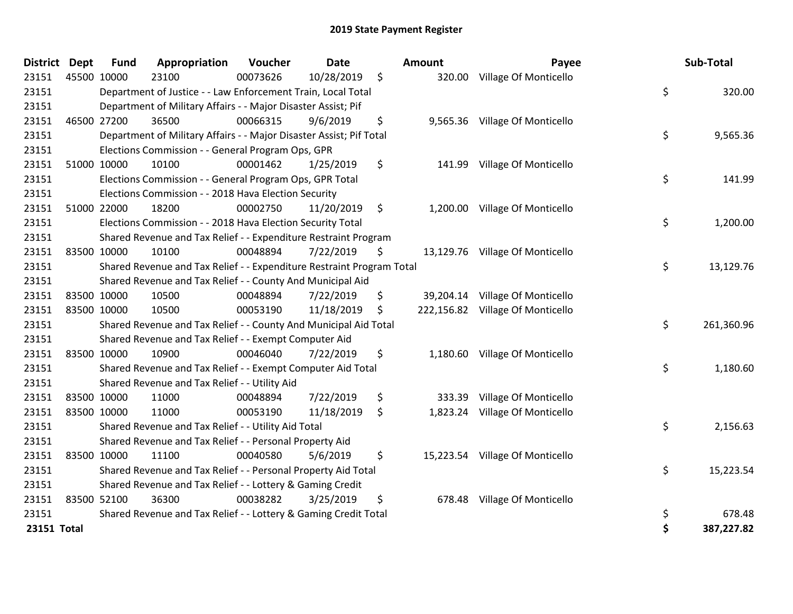| <b>District</b> | <b>Dept</b> | <b>Fund</b> | Appropriation                                                         | Voucher  | <b>Date</b> |     | Amount | Payee                            | Sub-Total        |
|-----------------|-------------|-------------|-----------------------------------------------------------------------|----------|-------------|-----|--------|----------------------------------|------------------|
| 23151           |             | 45500 10000 | 23100                                                                 | 00073626 | 10/28/2019  | \$  |        | 320.00 Village Of Monticello     |                  |
| 23151           |             |             | Department of Justice - - Law Enforcement Train, Local Total          |          |             |     |        |                                  | \$<br>320.00     |
| 23151           |             |             | Department of Military Affairs - - Major Disaster Assist; Pif         |          |             |     |        |                                  |                  |
| 23151           |             | 46500 27200 | 36500                                                                 | 00066315 | 9/6/2019    | \$  |        | 9,565.36 Village Of Monticello   |                  |
| 23151           |             |             | Department of Military Affairs - - Major Disaster Assist; Pif Total   |          |             |     |        |                                  | \$<br>9,565.36   |
| 23151           |             |             | Elections Commission - - General Program Ops, GPR                     |          |             |     |        |                                  |                  |
| 23151           |             | 51000 10000 | 10100                                                                 | 00001462 | 1/25/2019   | \$  |        | 141.99 Village Of Monticello     |                  |
| 23151           |             |             | Elections Commission - - General Program Ops, GPR Total               |          |             |     |        |                                  | \$<br>141.99     |
| 23151           |             |             | Elections Commission - - 2018 Hava Election Security                  |          |             |     |        |                                  |                  |
| 23151           |             | 51000 22000 | 18200                                                                 | 00002750 | 11/20/2019  | \$  |        | 1,200.00 Village Of Monticello   |                  |
| 23151           |             |             | Elections Commission - - 2018 Hava Election Security Total            |          |             |     |        |                                  | \$<br>1,200.00   |
| 23151           |             |             | Shared Revenue and Tax Relief - - Expenditure Restraint Program       |          |             |     |        |                                  |                  |
| 23151           |             | 83500 10000 | 10100                                                                 | 00048894 | 7/22/2019   | \$  |        | 13,129.76 Village Of Monticello  |                  |
| 23151           |             |             | Shared Revenue and Tax Relief - - Expenditure Restraint Program Total |          |             |     |        |                                  | \$<br>13,129.76  |
| 23151           |             |             | Shared Revenue and Tax Relief - - County And Municipal Aid            |          |             |     |        |                                  |                  |
| 23151           |             | 83500 10000 | 10500                                                                 | 00048894 | 7/22/2019   | \$  |        | 39,204.14 Village Of Monticello  |                  |
| 23151           | 83500 10000 |             | 10500                                                                 | 00053190 | 11/18/2019  | \$. |        | 222,156.82 Village Of Monticello |                  |
| 23151           |             |             | Shared Revenue and Tax Relief - - County And Municipal Aid Total      |          |             |     |        |                                  | \$<br>261,360.96 |
| 23151           |             |             | Shared Revenue and Tax Relief - - Exempt Computer Aid                 |          |             |     |        |                                  |                  |
| 23151           |             | 83500 10000 | 10900                                                                 | 00046040 | 7/22/2019   | \$  |        | 1,180.60 Village Of Monticello   |                  |
| 23151           |             |             | Shared Revenue and Tax Relief - - Exempt Computer Aid Total           |          |             |     |        |                                  | \$<br>1,180.60   |
| 23151           |             |             | Shared Revenue and Tax Relief - - Utility Aid                         |          |             |     |        |                                  |                  |
| 23151           |             | 83500 10000 | 11000                                                                 | 00048894 | 7/22/2019   | \$  | 333.39 | Village Of Monticello            |                  |
| 23151           |             | 83500 10000 | 11000                                                                 | 00053190 | 11/18/2019  | \$  |        | 1,823.24 Village Of Monticello   |                  |
| 23151           |             |             | Shared Revenue and Tax Relief - - Utility Aid Total                   |          |             |     |        |                                  | \$<br>2,156.63   |
| 23151           |             |             | Shared Revenue and Tax Relief - - Personal Property Aid               |          |             |     |        |                                  |                  |
| 23151           |             | 83500 10000 | 11100                                                                 | 00040580 | 5/6/2019    | \$  |        | 15,223.54 Village Of Monticello  |                  |
| 23151           |             |             | Shared Revenue and Tax Relief - - Personal Property Aid Total         |          |             |     |        |                                  | \$<br>15,223.54  |
| 23151           |             |             | Shared Revenue and Tax Relief - - Lottery & Gaming Credit             |          |             |     |        |                                  |                  |
| 23151           |             | 83500 52100 | 36300                                                                 | 00038282 | 3/25/2019   | \$  | 678.48 | Village Of Monticello            |                  |
| 23151           |             |             | Shared Revenue and Tax Relief - - Lottery & Gaming Credit Total       |          |             |     |        |                                  | \$<br>678.48     |
| 23151 Total     |             |             |                                                                       |          |             |     |        |                                  | \$<br>387,227.82 |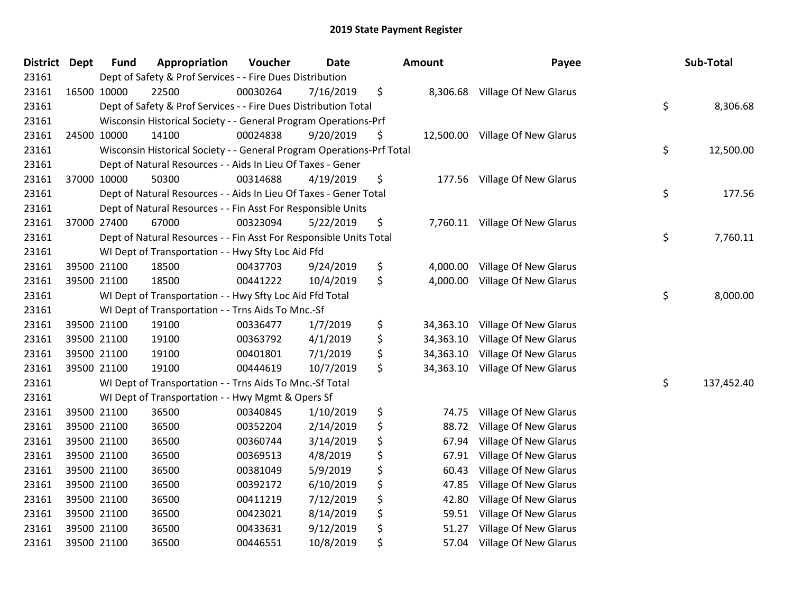| <b>District</b> | Dept        | <b>Fund</b> | Appropriation                                                         | Voucher  | Date      | <b>Amount</b>   | Payee                          | Sub-Total        |
|-----------------|-------------|-------------|-----------------------------------------------------------------------|----------|-----------|-----------------|--------------------------------|------------------|
| 23161           |             |             | Dept of Safety & Prof Services - - Fire Dues Distribution             |          |           |                 |                                |                  |
| 23161           |             | 16500 10000 | 22500                                                                 | 00030264 | 7/16/2019 | \$<br>8,306.68  | Village Of New Glarus          |                  |
| 23161           |             |             | Dept of Safety & Prof Services - - Fire Dues Distribution Total       |          |           |                 |                                | \$<br>8,306.68   |
| 23161           |             |             | Wisconsin Historical Society - - General Program Operations-Prf       |          |           |                 |                                |                  |
| 23161           |             | 24500 10000 | 14100                                                                 | 00024838 | 9/20/2019 | \$<br>12,500.00 | Village Of New Glarus          |                  |
| 23161           |             |             | Wisconsin Historical Society - - General Program Operations-Prf Total |          |           |                 |                                | \$<br>12,500.00  |
| 23161           |             |             | Dept of Natural Resources - - Aids In Lieu Of Taxes - Gener           |          |           |                 |                                |                  |
| 23161           |             | 37000 10000 | 50300                                                                 | 00314688 | 4/19/2019 | \$<br>177.56    | Village Of New Glarus          |                  |
| 23161           |             |             | Dept of Natural Resources - - Aids In Lieu Of Taxes - Gener Total     |          |           |                 |                                | \$<br>177.56     |
| 23161           |             |             | Dept of Natural Resources - - Fin Asst For Responsible Units          |          |           |                 |                                |                  |
| 23161           | 37000 27400 |             | 67000                                                                 | 00323094 | 5/22/2019 | \$              | 7,760.11 Village Of New Glarus |                  |
| 23161           |             |             | Dept of Natural Resources - - Fin Asst For Responsible Units Total    |          |           |                 |                                | \$<br>7,760.11   |
| 23161           |             |             | WI Dept of Transportation - - Hwy Sfty Loc Aid Ffd                    |          |           |                 |                                |                  |
| 23161           |             | 39500 21100 | 18500                                                                 | 00437703 | 9/24/2019 | \$<br>4,000.00  | Village Of New Glarus          |                  |
| 23161           |             | 39500 21100 | 18500                                                                 | 00441222 | 10/4/2019 | \$<br>4,000.00  | Village Of New Glarus          |                  |
| 23161           |             |             | WI Dept of Transportation - - Hwy Sfty Loc Aid Ffd Total              |          |           |                 |                                | \$<br>8,000.00   |
| 23161           |             |             | WI Dept of Transportation - - Trns Aids To Mnc.-Sf                    |          |           |                 |                                |                  |
| 23161           |             | 39500 21100 | 19100                                                                 | 00336477 | 1/7/2019  | \$<br>34,363.10 | Village Of New Glarus          |                  |
| 23161           |             | 39500 21100 | 19100                                                                 | 00363792 | 4/1/2019  | \$<br>34,363.10 | Village Of New Glarus          |                  |
| 23161           |             | 39500 21100 | 19100                                                                 | 00401801 | 7/1/2019  | \$<br>34,363.10 | Village Of New Glarus          |                  |
| 23161           |             | 39500 21100 | 19100                                                                 | 00444619 | 10/7/2019 | \$<br>34,363.10 | Village Of New Glarus          |                  |
| 23161           |             |             | WI Dept of Transportation - - Trns Aids To Mnc.-Sf Total              |          |           |                 |                                | \$<br>137,452.40 |
| 23161           |             |             | WI Dept of Transportation - - Hwy Mgmt & Opers Sf                     |          |           |                 |                                |                  |
| 23161           |             | 39500 21100 | 36500                                                                 | 00340845 | 1/10/2019 | \$<br>74.75     | Village Of New Glarus          |                  |
| 23161           |             | 39500 21100 | 36500                                                                 | 00352204 | 2/14/2019 | \$<br>88.72     | Village Of New Glarus          |                  |
| 23161           |             | 39500 21100 | 36500                                                                 | 00360744 | 3/14/2019 | \$<br>67.94     | Village Of New Glarus          |                  |
| 23161           |             | 39500 21100 | 36500                                                                 | 00369513 | 4/8/2019  | \$<br>67.91     | Village Of New Glarus          |                  |
| 23161           |             | 39500 21100 | 36500                                                                 | 00381049 | 5/9/2019  | \$<br>60.43     | Village Of New Glarus          |                  |
| 23161           |             | 39500 21100 | 36500                                                                 | 00392172 | 6/10/2019 | \$<br>47.85     | Village Of New Glarus          |                  |
| 23161           |             | 39500 21100 | 36500                                                                 | 00411219 | 7/12/2019 | \$<br>42.80     | Village Of New Glarus          |                  |
| 23161           |             | 39500 21100 | 36500                                                                 | 00423021 | 8/14/2019 | \$<br>59.51     | Village Of New Glarus          |                  |
| 23161           |             | 39500 21100 | 36500                                                                 | 00433631 | 9/12/2019 | \$<br>51.27     | <b>Village Of New Glarus</b>   |                  |
| 23161           |             | 39500 21100 | 36500                                                                 | 00446551 | 10/8/2019 | \$<br>57.04     | Village Of New Glarus          |                  |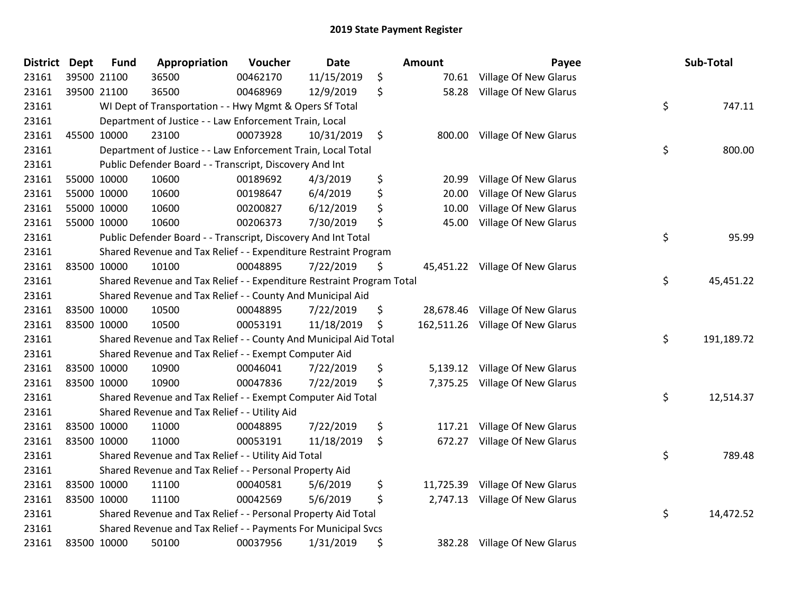| <b>District</b> | <b>Dept</b> | <b>Fund</b> | Appropriation                                                         | Voucher  | <b>Date</b> | <b>Amount</b>   | Payee                            | Sub-Total        |
|-----------------|-------------|-------------|-----------------------------------------------------------------------|----------|-------------|-----------------|----------------------------------|------------------|
| 23161           |             | 39500 21100 | 36500                                                                 | 00462170 | 11/15/2019  | \$<br>70.61     | Village Of New Glarus            |                  |
| 23161           |             | 39500 21100 | 36500                                                                 | 00468969 | 12/9/2019   | \$<br>58.28     | <b>Village Of New Glarus</b>     |                  |
| 23161           |             |             | WI Dept of Transportation - - Hwy Mgmt & Opers Sf Total               |          |             |                 |                                  | \$<br>747.11     |
| 23161           |             |             | Department of Justice - - Law Enforcement Train, Local                |          |             |                 |                                  |                  |
| 23161           |             | 45500 10000 | 23100                                                                 | 00073928 | 10/31/2019  | \$<br>800.00    | Village Of New Glarus            |                  |
| 23161           |             |             | Department of Justice - - Law Enforcement Train, Local Total          |          |             |                 |                                  | \$<br>800.00     |
| 23161           |             |             | Public Defender Board - - Transcript, Discovery And Int               |          |             |                 |                                  |                  |
| 23161           |             | 55000 10000 | 10600                                                                 | 00189692 | 4/3/2019    | \$<br>20.99     | <b>Village Of New Glarus</b>     |                  |
| 23161           |             | 55000 10000 | 10600                                                                 | 00198647 | 6/4/2019    | \$<br>20.00     | Village Of New Glarus            |                  |
| 23161           |             | 55000 10000 | 10600                                                                 | 00200827 | 6/12/2019   | \$<br>10.00     | <b>Village Of New Glarus</b>     |                  |
| 23161           |             | 55000 10000 | 10600                                                                 | 00206373 | 7/30/2019   | \$<br>45.00     | Village Of New Glarus            |                  |
| 23161           |             |             | Public Defender Board - - Transcript, Discovery And Int Total         |          |             |                 |                                  | \$<br>95.99      |
| 23161           |             |             | Shared Revenue and Tax Relief - - Expenditure Restraint Program       |          |             |                 |                                  |                  |
| 23161           |             | 83500 10000 | 10100                                                                 | 00048895 | 7/22/2019   | \$              | 45,451.22 Village Of New Glarus  |                  |
| 23161           |             |             | Shared Revenue and Tax Relief - - Expenditure Restraint Program Total |          |             |                 |                                  | \$<br>45,451.22  |
| 23161           |             |             | Shared Revenue and Tax Relief - - County And Municipal Aid            |          |             |                 |                                  |                  |
| 23161           |             | 83500 10000 | 10500                                                                 | 00048895 | 7/22/2019   | \$<br>28,678.46 | Village Of New Glarus            |                  |
| 23161           |             | 83500 10000 | 10500                                                                 | 00053191 | 11/18/2019  | \$              | 162,511.26 Village Of New Glarus |                  |
| 23161           |             |             | Shared Revenue and Tax Relief - - County And Municipal Aid Total      |          |             |                 |                                  | \$<br>191,189.72 |
| 23161           |             |             | Shared Revenue and Tax Relief - - Exempt Computer Aid                 |          |             |                 |                                  |                  |
| 23161           |             | 83500 10000 | 10900                                                                 | 00046041 | 7/22/2019   | \$<br>5,139.12  | Village Of New Glarus            |                  |
| 23161           |             | 83500 10000 | 10900                                                                 | 00047836 | 7/22/2019   | \$<br>7,375.25  | Village Of New Glarus            |                  |
| 23161           |             |             | Shared Revenue and Tax Relief - - Exempt Computer Aid Total           |          |             |                 |                                  | \$<br>12,514.37  |
| 23161           |             |             | Shared Revenue and Tax Relief - - Utility Aid                         |          |             |                 |                                  |                  |
| 23161           |             | 83500 10000 | 11000                                                                 | 00048895 | 7/22/2019   | \$<br>117.21    | <b>Village Of New Glarus</b>     |                  |
| 23161           |             | 83500 10000 | 11000                                                                 | 00053191 | 11/18/2019  | \$<br>672.27    | Village Of New Glarus            |                  |
| 23161           |             |             | Shared Revenue and Tax Relief - - Utility Aid Total                   |          |             |                 |                                  | \$<br>789.48     |
| 23161           |             |             | Shared Revenue and Tax Relief - - Personal Property Aid               |          |             |                 |                                  |                  |
| 23161           |             | 83500 10000 | 11100                                                                 | 00040581 | 5/6/2019    | \$<br>11,725.39 | <b>Village Of New Glarus</b>     |                  |
| 23161           |             | 83500 10000 | 11100                                                                 | 00042569 | 5/6/2019    | \$<br>2,747.13  | Village Of New Glarus            |                  |
| 23161           |             |             | Shared Revenue and Tax Relief - - Personal Property Aid Total         |          |             |                 |                                  | \$<br>14,472.52  |
| 23161           |             |             | Shared Revenue and Tax Relief - - Payments For Municipal Svcs         |          |             |                 |                                  |                  |
| 23161           |             | 83500 10000 | 50100                                                                 | 00037956 | 1/31/2019   | \$<br>382.28    | <b>Village Of New Glarus</b>     |                  |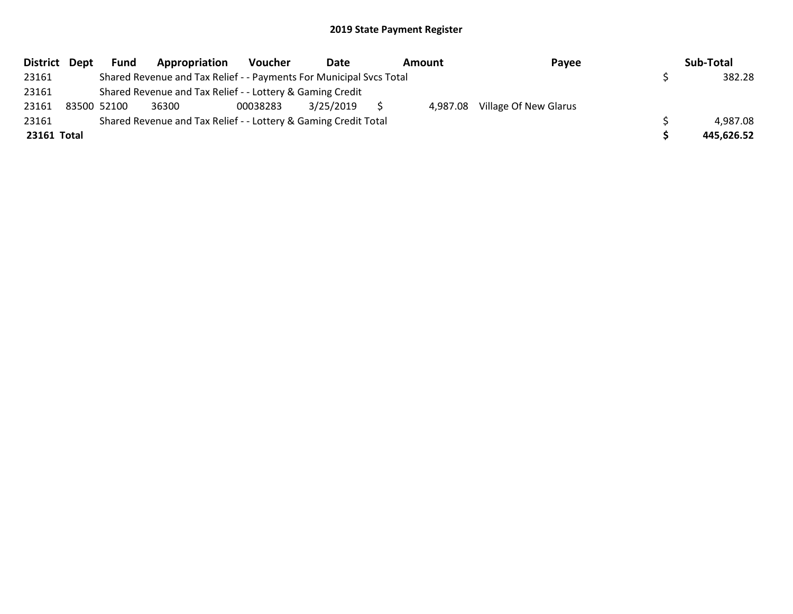|             | District Dept | <b>Fund</b> | Appropriation                                                       | Voucher  | Date      | Amount | Payee                          | Sub-Total  |
|-------------|---------------|-------------|---------------------------------------------------------------------|----------|-----------|--------|--------------------------------|------------|
| 23161       |               |             | Shared Revenue and Tax Relief - - Payments For Municipal Svcs Total |          |           |        |                                | 382.28     |
| 23161       |               |             | Shared Revenue and Tax Relief - - Lottery & Gaming Credit           |          |           |        |                                |            |
| 23161       |               | 83500 52100 | 36300                                                               | 00038283 | 3/25/2019 |        | 4,987.08 Village Of New Glarus |            |
| 23161       |               |             | Shared Revenue and Tax Relief - - Lottery & Gaming Credit Total     |          |           |        |                                | 4,987.08   |
| 23161 Total |               |             |                                                                     |          |           |        |                                | 445,626.52 |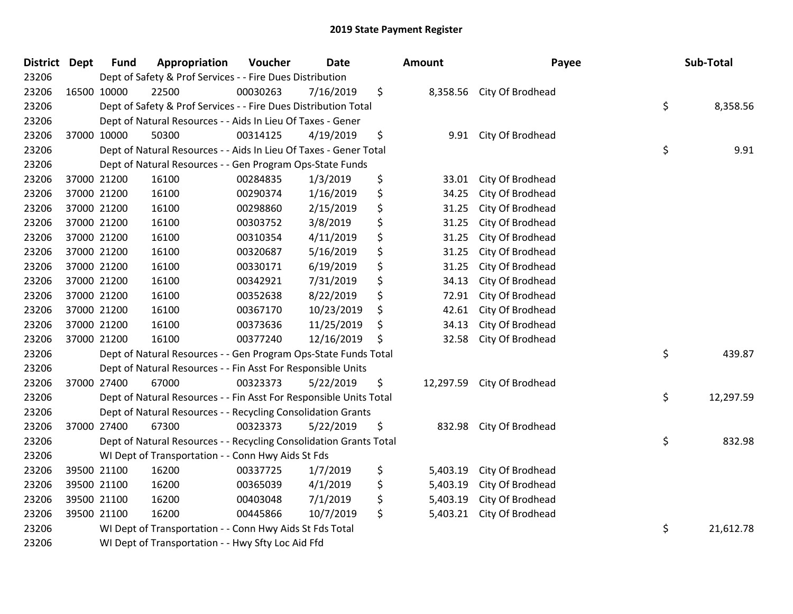| <b>District Dept</b> | <b>Fund</b> | Appropriation                                                      | Voucher  | <b>Date</b> | Amount          | Payee            | Sub-Total       |
|----------------------|-------------|--------------------------------------------------------------------|----------|-------------|-----------------|------------------|-----------------|
| 23206                |             | Dept of Safety & Prof Services - - Fire Dues Distribution          |          |             |                 |                  |                 |
| 23206                | 16500 10000 | 22500                                                              | 00030263 | 7/16/2019   | \$<br>8,358.56  | City Of Brodhead |                 |
| 23206                |             | Dept of Safety & Prof Services - - Fire Dues Distribution Total    |          |             |                 |                  | \$<br>8,358.56  |
| 23206                |             | Dept of Natural Resources - - Aids In Lieu Of Taxes - Gener        |          |             |                 |                  |                 |
| 23206                | 37000 10000 | 50300                                                              | 00314125 | 4/19/2019   | \$<br>9.91      | City Of Brodhead |                 |
| 23206                |             | Dept of Natural Resources - - Aids In Lieu Of Taxes - Gener Total  |          |             |                 |                  | \$<br>9.91      |
| 23206                |             | Dept of Natural Resources - - Gen Program Ops-State Funds          |          |             |                 |                  |                 |
| 23206                | 37000 21200 | 16100                                                              | 00284835 | 1/3/2019    | \$<br>33.01     | City Of Brodhead |                 |
| 23206                | 37000 21200 | 16100                                                              | 00290374 | 1/16/2019   | \$<br>34.25     | City Of Brodhead |                 |
| 23206                | 37000 21200 | 16100                                                              | 00298860 | 2/15/2019   | \$<br>31.25     | City Of Brodhead |                 |
| 23206                | 37000 21200 | 16100                                                              | 00303752 | 3/8/2019    | \$<br>31.25     | City Of Brodhead |                 |
| 23206                | 37000 21200 | 16100                                                              | 00310354 | 4/11/2019   | \$<br>31.25     | City Of Brodhead |                 |
| 23206                | 37000 21200 | 16100                                                              | 00320687 | 5/16/2019   | \$<br>31.25     | City Of Brodhead |                 |
| 23206                | 37000 21200 | 16100                                                              | 00330171 | 6/19/2019   | \$<br>31.25     | City Of Brodhead |                 |
| 23206                | 37000 21200 | 16100                                                              | 00342921 | 7/31/2019   | \$<br>34.13     | City Of Brodhead |                 |
| 23206                | 37000 21200 | 16100                                                              | 00352638 | 8/22/2019   | \$<br>72.91     | City Of Brodhead |                 |
| 23206                | 37000 21200 | 16100                                                              | 00367170 | 10/23/2019  | \$<br>42.61     | City Of Brodhead |                 |
| 23206                | 37000 21200 | 16100                                                              | 00373636 | 11/25/2019  | \$<br>34.13     | City Of Brodhead |                 |
| 23206                | 37000 21200 | 16100                                                              | 00377240 | 12/16/2019  | \$<br>32.58     | City Of Brodhead |                 |
| 23206                |             | Dept of Natural Resources - - Gen Program Ops-State Funds Total    |          |             |                 |                  | \$<br>439.87    |
| 23206                |             | Dept of Natural Resources - - Fin Asst For Responsible Units       |          |             |                 |                  |                 |
| 23206                | 37000 27400 | 67000                                                              | 00323373 | 5/22/2019   | \$<br>12,297.59 | City Of Brodhead |                 |
| 23206                |             | Dept of Natural Resources - - Fin Asst For Responsible Units Total |          |             |                 |                  | \$<br>12,297.59 |
| 23206                |             | Dept of Natural Resources - - Recycling Consolidation Grants       |          |             |                 |                  |                 |
| 23206                | 37000 27400 | 67300                                                              | 00323373 | 5/22/2019   | \$<br>832.98    | City Of Brodhead |                 |
| 23206                |             | Dept of Natural Resources - - Recycling Consolidation Grants Total |          |             |                 |                  | \$<br>832.98    |
| 23206                |             | WI Dept of Transportation - - Conn Hwy Aids St Fds                 |          |             |                 |                  |                 |
| 23206                | 39500 21100 | 16200                                                              | 00337725 | 1/7/2019    | \$<br>5,403.19  | City Of Brodhead |                 |
| 23206                | 39500 21100 | 16200                                                              | 00365039 | 4/1/2019    | \$<br>5,403.19  | City Of Brodhead |                 |
| 23206                | 39500 21100 | 16200                                                              | 00403048 | 7/1/2019    | \$<br>5,403.19  | City Of Brodhead |                 |
| 23206                | 39500 21100 | 16200                                                              | 00445866 | 10/7/2019   | \$<br>5,403.21  | City Of Brodhead |                 |
| 23206                |             | WI Dept of Transportation - - Conn Hwy Aids St Fds Total           |          |             |                 |                  | \$<br>21,612.78 |
| 23206                |             | WI Dept of Transportation - - Hwy Sfty Loc Aid Ffd                 |          |             |                 |                  |                 |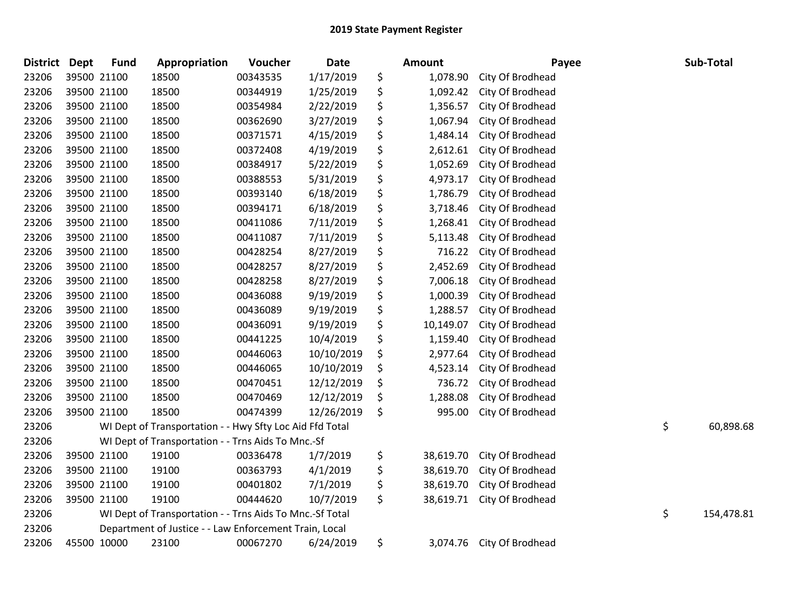| <b>District</b> | <b>Dept</b> | <b>Fund</b> | Appropriation                                            | Voucher  | Date       | <b>Amount</b>   | Payee            | Sub-Total        |
|-----------------|-------------|-------------|----------------------------------------------------------|----------|------------|-----------------|------------------|------------------|
| 23206           |             | 39500 21100 | 18500                                                    | 00343535 | 1/17/2019  | \$<br>1,078.90  | City Of Brodhead |                  |
| 23206           | 39500 21100 |             | 18500                                                    | 00344919 | 1/25/2019  | \$<br>1,092.42  | City Of Brodhead |                  |
| 23206           | 39500 21100 |             | 18500                                                    | 00354984 | 2/22/2019  | \$<br>1,356.57  | City Of Brodhead |                  |
| 23206           | 39500 21100 |             | 18500                                                    | 00362690 | 3/27/2019  | \$<br>1,067.94  | City Of Brodhead |                  |
| 23206           | 39500 21100 |             | 18500                                                    | 00371571 | 4/15/2019  | \$<br>1,484.14  | City Of Brodhead |                  |
| 23206           |             | 39500 21100 | 18500                                                    | 00372408 | 4/19/2019  | \$<br>2,612.61  | City Of Brodhead |                  |
| 23206           |             | 39500 21100 | 18500                                                    | 00384917 | 5/22/2019  | \$<br>1,052.69  | City Of Brodhead |                  |
| 23206           |             | 39500 21100 | 18500                                                    | 00388553 | 5/31/2019  | \$<br>4,973.17  | City Of Brodhead |                  |
| 23206           |             | 39500 21100 | 18500                                                    | 00393140 | 6/18/2019  | \$<br>1,786.79  | City Of Brodhead |                  |
| 23206           |             | 39500 21100 | 18500                                                    | 00394171 | 6/18/2019  | \$<br>3,718.46  | City Of Brodhead |                  |
| 23206           |             | 39500 21100 | 18500                                                    | 00411086 | 7/11/2019  | \$<br>1,268.41  | City Of Brodhead |                  |
| 23206           | 39500 21100 |             | 18500                                                    | 00411087 | 7/11/2019  | \$<br>5,113.48  | City Of Brodhead |                  |
| 23206           | 39500 21100 |             | 18500                                                    | 00428254 | 8/27/2019  | \$<br>716.22    | City Of Brodhead |                  |
| 23206           | 39500 21100 |             | 18500                                                    | 00428257 | 8/27/2019  | \$<br>2,452.69  | City Of Brodhead |                  |
| 23206           | 39500 21100 |             | 18500                                                    | 00428258 | 8/27/2019  | \$<br>7,006.18  | City Of Brodhead |                  |
| 23206           |             | 39500 21100 | 18500                                                    | 00436088 | 9/19/2019  | \$<br>1,000.39  | City Of Brodhead |                  |
| 23206           |             | 39500 21100 | 18500                                                    | 00436089 | 9/19/2019  | \$<br>1,288.57  | City Of Brodhead |                  |
| 23206           |             | 39500 21100 | 18500                                                    | 00436091 | 9/19/2019  | \$<br>10,149.07 | City Of Brodhead |                  |
| 23206           |             | 39500 21100 | 18500                                                    | 00441225 | 10/4/2019  | \$<br>1,159.40  | City Of Brodhead |                  |
| 23206           |             | 39500 21100 | 18500                                                    | 00446063 | 10/10/2019 | \$<br>2,977.64  | City Of Brodhead |                  |
| 23206           |             | 39500 21100 | 18500                                                    | 00446065 | 10/10/2019 | \$<br>4,523.14  | City Of Brodhead |                  |
| 23206           | 39500 21100 |             | 18500                                                    | 00470451 | 12/12/2019 | \$<br>736.72    | City Of Brodhead |                  |
| 23206           | 39500 21100 |             | 18500                                                    | 00470469 | 12/12/2019 | \$<br>1,288.08  | City Of Brodhead |                  |
| 23206           | 39500 21100 |             | 18500                                                    | 00474399 | 12/26/2019 | \$<br>995.00    | City Of Brodhead |                  |
| 23206           |             |             | WI Dept of Transportation - - Hwy Sfty Loc Aid Ffd Total |          |            |                 |                  | \$<br>60,898.68  |
| 23206           |             |             | WI Dept of Transportation - - Trns Aids To Mnc.-Sf       |          |            |                 |                  |                  |
| 23206           |             | 39500 21100 | 19100                                                    | 00336478 | 1/7/2019   | \$<br>38,619.70 | City Of Brodhead |                  |
| 23206           |             | 39500 21100 | 19100                                                    | 00363793 | 4/1/2019   | \$<br>38,619.70 | City Of Brodhead |                  |
| 23206           |             | 39500 21100 | 19100                                                    | 00401802 | 7/1/2019   | \$<br>38,619.70 | City Of Brodhead |                  |
| 23206           | 39500 21100 |             | 19100                                                    | 00444620 | 10/7/2019  | \$<br>38,619.71 | City Of Brodhead |                  |
| 23206           |             |             | WI Dept of Transportation - - Trns Aids To Mnc.-Sf Total |          |            |                 |                  | \$<br>154,478.81 |
| 23206           |             |             | Department of Justice - - Law Enforcement Train, Local   |          |            |                 |                  |                  |
| 23206           | 45500 10000 |             | 23100                                                    | 00067270 | 6/24/2019  | \$<br>3,074.76  | City Of Brodhead |                  |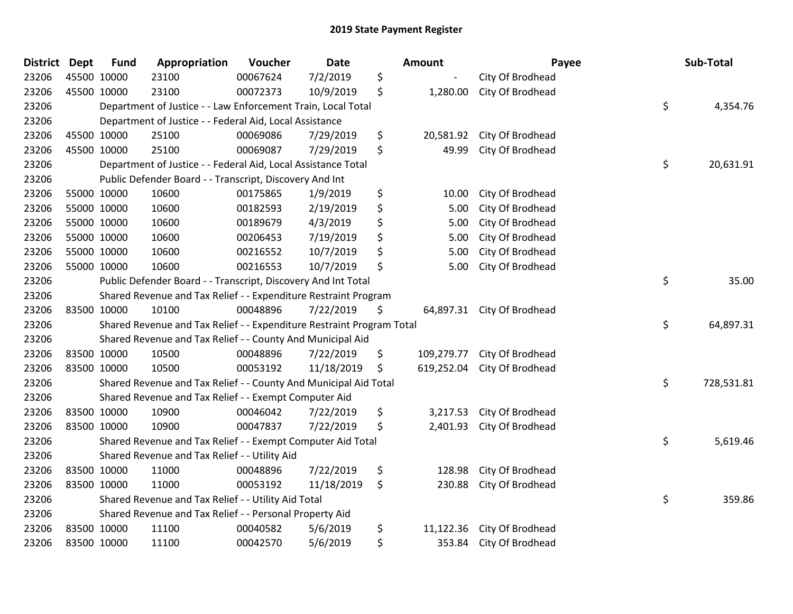| District Dept |             | <b>Fund</b> | Appropriation                                                         | Voucher  | <b>Date</b> | <b>Amount</b>    | Payee                      | Sub-Total        |
|---------------|-------------|-------------|-----------------------------------------------------------------------|----------|-------------|------------------|----------------------------|------------------|
| 23206         | 45500 10000 |             | 23100                                                                 | 00067624 | 7/2/2019    | \$               | City Of Brodhead           |                  |
| 23206         | 45500 10000 |             | 23100                                                                 | 00072373 | 10/9/2019   | \$<br>1,280.00   | City Of Brodhead           |                  |
| 23206         |             |             | Department of Justice - - Law Enforcement Train, Local Total          |          |             |                  |                            | \$<br>4,354.76   |
| 23206         |             |             | Department of Justice - - Federal Aid, Local Assistance               |          |             |                  |                            |                  |
| 23206         | 45500 10000 |             | 25100                                                                 | 00069086 | 7/29/2019   | \$<br>20,581.92  | City Of Brodhead           |                  |
| 23206         | 45500 10000 |             | 25100                                                                 | 00069087 | 7/29/2019   | \$<br>49.99      | City Of Brodhead           |                  |
| 23206         |             |             | Department of Justice - - Federal Aid, Local Assistance Total         |          |             |                  |                            | \$<br>20,631.91  |
| 23206         |             |             | Public Defender Board - - Transcript, Discovery And Int               |          |             |                  |                            |                  |
| 23206         | 55000 10000 |             | 10600                                                                 | 00175865 | 1/9/2019    | \$<br>10.00      | City Of Brodhead           |                  |
| 23206         |             | 55000 10000 | 10600                                                                 | 00182593 | 2/19/2019   | \$<br>5.00       | City Of Brodhead           |                  |
| 23206         | 55000 10000 |             | 10600                                                                 | 00189679 | 4/3/2019    | \$<br>5.00       | City Of Brodhead           |                  |
| 23206         | 55000 10000 |             | 10600                                                                 | 00206453 | 7/19/2019   | \$<br>5.00       | City Of Brodhead           |                  |
| 23206         | 55000 10000 |             | 10600                                                                 | 00216552 | 10/7/2019   | \$<br>5.00       | City Of Brodhead           |                  |
| 23206         | 55000 10000 |             | 10600                                                                 | 00216553 | 10/7/2019   | \$<br>5.00       | City Of Brodhead           |                  |
| 23206         |             |             | Public Defender Board - - Transcript, Discovery And Int Total         |          |             |                  |                            | \$<br>35.00      |
| 23206         |             |             | Shared Revenue and Tax Relief - - Expenditure Restraint Program       |          |             |                  |                            |                  |
| 23206         | 83500 10000 |             | 10100                                                                 | 00048896 | 7/22/2019   | \$               | 64,897.31 City Of Brodhead |                  |
| 23206         |             |             | Shared Revenue and Tax Relief - - Expenditure Restraint Program Total |          |             |                  |                            | \$<br>64,897.31  |
| 23206         |             |             | Shared Revenue and Tax Relief - - County And Municipal Aid            |          |             |                  |                            |                  |
| 23206         | 83500 10000 |             | 10500                                                                 | 00048896 | 7/22/2019   | \$<br>109,279.77 | City Of Brodhead           |                  |
| 23206         | 83500 10000 |             | 10500                                                                 | 00053192 | 11/18/2019  | \$<br>619,252.04 | City Of Brodhead           |                  |
| 23206         |             |             | Shared Revenue and Tax Relief - - County And Municipal Aid Total      |          |             |                  |                            | \$<br>728,531.81 |
| 23206         |             |             | Shared Revenue and Tax Relief - - Exempt Computer Aid                 |          |             |                  |                            |                  |
| 23206         | 83500 10000 |             | 10900                                                                 | 00046042 | 7/22/2019   | \$<br>3,217.53   | City Of Brodhead           |                  |
| 23206         | 83500 10000 |             | 10900                                                                 | 00047837 | 7/22/2019   | \$<br>2,401.93   | City Of Brodhead           |                  |
| 23206         |             |             | Shared Revenue and Tax Relief - - Exempt Computer Aid Total           |          |             |                  |                            | \$<br>5,619.46   |
| 23206         |             |             | Shared Revenue and Tax Relief - - Utility Aid                         |          |             |                  |                            |                  |
| 23206         | 83500 10000 |             | 11000                                                                 | 00048896 | 7/22/2019   | \$<br>128.98     | City Of Brodhead           |                  |
| 23206         | 83500 10000 |             | 11000                                                                 | 00053192 | 11/18/2019  | \$<br>230.88     | City Of Brodhead           |                  |
| 23206         |             |             | Shared Revenue and Tax Relief - - Utility Aid Total                   |          |             |                  |                            | \$<br>359.86     |
| 23206         |             |             | Shared Revenue and Tax Relief - - Personal Property Aid               |          |             |                  |                            |                  |
| 23206         | 83500 10000 |             | 11100                                                                 | 00040582 | 5/6/2019    | \$<br>11,122.36  | City Of Brodhead           |                  |
| 23206         | 83500 10000 |             | 11100                                                                 | 00042570 | 5/6/2019    | \$<br>353.84     | City Of Brodhead           |                  |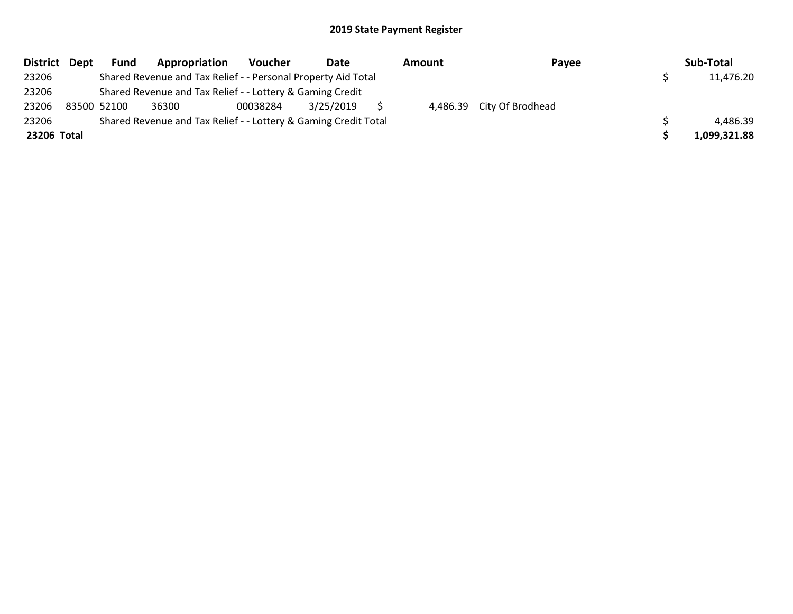| District Dept | <b>Fund</b> | Appropriation                                                   | <b>Voucher</b> | Date      | Amount | Payee                     | Sub-Total    |
|---------------|-------------|-----------------------------------------------------------------|----------------|-----------|--------|---------------------------|--------------|
| 23206         |             | Shared Revenue and Tax Relief - - Personal Property Aid Total   |                |           |        |                           | 11,476.20    |
| 23206         |             | Shared Revenue and Tax Relief - - Lottery & Gaming Credit       |                |           |        |                           |              |
| 23206         | 83500 52100 | 36300                                                           | 00038284       | 3/25/2019 |        | 4,486.39 City Of Brodhead |              |
| 23206         |             | Shared Revenue and Tax Relief - - Lottery & Gaming Credit Total |                |           |        |                           | 4,486.39     |
| 23206 Total   |             |                                                                 |                |           |        |                           | 1,099,321.88 |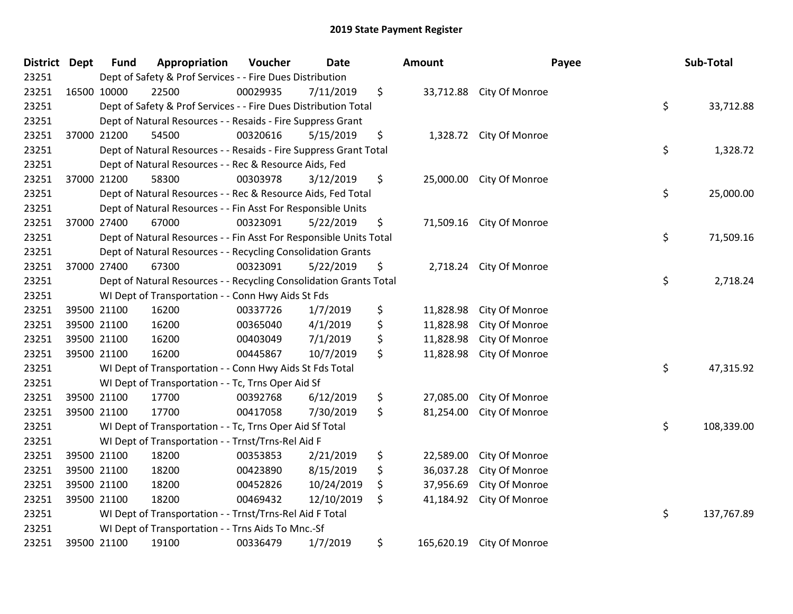| District Dept |             | <b>Fund</b> | Appropriation                                                      | Voucher  | <b>Date</b> | Amount           |                          | Payee | Sub-Total  |
|---------------|-------------|-------------|--------------------------------------------------------------------|----------|-------------|------------------|--------------------------|-------|------------|
| 23251         |             |             | Dept of Safety & Prof Services - - Fire Dues Distribution          |          |             |                  |                          |       |            |
| 23251         | 16500 10000 |             | 22500                                                              | 00029935 | 7/11/2019   | \$               | 33,712.88 City Of Monroe |       |            |
| 23251         |             |             | Dept of Safety & Prof Services - - Fire Dues Distribution Total    |          |             |                  |                          | \$    | 33,712.88  |
| 23251         |             |             | Dept of Natural Resources - - Resaids - Fire Suppress Grant        |          |             |                  |                          |       |            |
| 23251         |             | 37000 21200 | 54500                                                              | 00320616 | 5/15/2019   | \$               | 1,328.72 City Of Monroe  |       |            |
| 23251         |             |             | Dept of Natural Resources - - Resaids - Fire Suppress Grant Total  |          |             |                  |                          | \$    | 1,328.72   |
| 23251         |             |             | Dept of Natural Resources - - Rec & Resource Aids, Fed             |          |             |                  |                          |       |            |
| 23251         |             | 37000 21200 | 58300                                                              | 00303978 | 3/12/2019   | \$               | 25,000.00 City Of Monroe |       |            |
| 23251         |             |             | Dept of Natural Resources - - Rec & Resource Aids, Fed Total       |          |             |                  |                          | \$    | 25,000.00  |
| 23251         |             |             | Dept of Natural Resources - - Fin Asst For Responsible Units       |          |             |                  |                          |       |            |
| 23251         |             | 37000 27400 | 67000                                                              | 00323091 | 5/22/2019   | \$               | 71,509.16 City Of Monroe |       |            |
| 23251         |             |             | Dept of Natural Resources - - Fin Asst For Responsible Units Total |          |             |                  |                          | \$    | 71,509.16  |
| 23251         |             |             | Dept of Natural Resources - - Recycling Consolidation Grants       |          |             |                  |                          |       |            |
| 23251         |             | 37000 27400 | 67300                                                              | 00323091 | 5/22/2019   | \$               | 2,718.24 City Of Monroe  |       |            |
| 23251         |             |             | Dept of Natural Resources - - Recycling Consolidation Grants Total |          |             |                  |                          | \$    | 2,718.24   |
| 23251         |             |             | WI Dept of Transportation - - Conn Hwy Aids St Fds                 |          |             |                  |                          |       |            |
| 23251         |             | 39500 21100 | 16200                                                              | 00337726 | 1/7/2019    | \$<br>11,828.98  | City Of Monroe           |       |            |
| 23251         |             | 39500 21100 | 16200                                                              | 00365040 | 4/1/2019    | \$<br>11,828.98  | City Of Monroe           |       |            |
| 23251         |             | 39500 21100 | 16200                                                              | 00403049 | 7/1/2019    | \$<br>11,828.98  | City Of Monroe           |       |            |
| 23251         |             | 39500 21100 | 16200                                                              | 00445867 | 10/7/2019   | \$<br>11,828.98  | City Of Monroe           |       |            |
| 23251         |             |             | WI Dept of Transportation - - Conn Hwy Aids St Fds Total           |          |             |                  |                          | \$    | 47,315.92  |
| 23251         |             |             | WI Dept of Transportation - - Tc, Trns Oper Aid Sf                 |          |             |                  |                          |       |            |
| 23251         |             | 39500 21100 | 17700                                                              | 00392768 | 6/12/2019   | \$<br>27,085.00  | City Of Monroe           |       |            |
| 23251         |             | 39500 21100 | 17700                                                              | 00417058 | 7/30/2019   | \$<br>81,254.00  | City Of Monroe           |       |            |
| 23251         |             |             | WI Dept of Transportation - - Tc, Trns Oper Aid Sf Total           |          |             |                  |                          | \$    | 108,339.00 |
| 23251         |             |             | WI Dept of Transportation - - Trnst/Trns-Rel Aid F                 |          |             |                  |                          |       |            |
| 23251         |             | 39500 21100 | 18200                                                              | 00353853 | 2/21/2019   | \$<br>22,589.00  | City Of Monroe           |       |            |
| 23251         |             | 39500 21100 | 18200                                                              | 00423890 | 8/15/2019   | \$<br>36,037.28  | City Of Monroe           |       |            |
| 23251         |             | 39500 21100 | 18200                                                              | 00452826 | 10/24/2019  | \$<br>37,956.69  | City Of Monroe           |       |            |
| 23251         |             | 39500 21100 | 18200                                                              | 00469432 | 12/10/2019  | \$<br>41,184.92  | City Of Monroe           |       |            |
| 23251         |             |             | WI Dept of Transportation - - Trnst/Trns-Rel Aid F Total           |          |             |                  |                          | \$    | 137,767.89 |
| 23251         |             |             | WI Dept of Transportation - - Trns Aids To Mnc.-Sf                 |          |             |                  |                          |       |            |
| 23251         |             | 39500 21100 | 19100                                                              | 00336479 | 1/7/2019    | \$<br>165,620.19 | City Of Monroe           |       |            |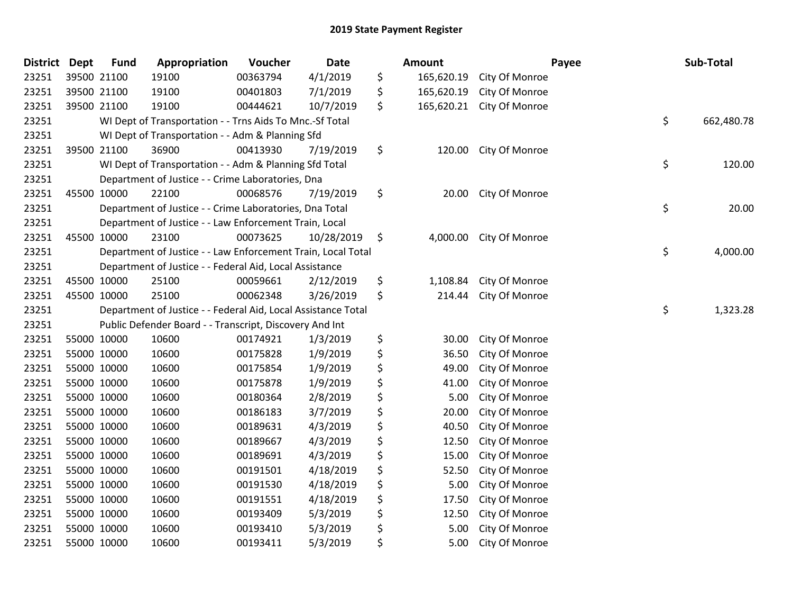| District | <b>Dept</b> | <b>Fund</b> | Appropriation                                                 | Voucher  | <b>Date</b> | <b>Amount</b>    |                         | Payee | Sub-Total  |
|----------|-------------|-------------|---------------------------------------------------------------|----------|-------------|------------------|-------------------------|-------|------------|
| 23251    |             | 39500 21100 | 19100                                                         | 00363794 | 4/1/2019    | \$<br>165,620.19 | City Of Monroe          |       |            |
| 23251    |             | 39500 21100 | 19100                                                         | 00401803 | 7/1/2019    | \$<br>165,620.19 | City Of Monroe          |       |            |
| 23251    |             | 39500 21100 | 19100                                                         | 00444621 | 10/7/2019   | \$<br>165,620.21 | City Of Monroe          |       |            |
| 23251    |             |             | WI Dept of Transportation - - Trns Aids To Mnc.-Sf Total      |          |             |                  |                         | \$    | 662,480.78 |
| 23251    |             |             | WI Dept of Transportation - - Adm & Planning Sfd              |          |             |                  |                         |       |            |
| 23251    |             | 39500 21100 | 36900                                                         | 00413930 | 7/19/2019   | \$<br>120.00     | City Of Monroe          |       |            |
| 23251    |             |             | WI Dept of Transportation - - Adm & Planning Sfd Total        |          |             |                  |                         | \$    | 120.00     |
| 23251    |             |             | Department of Justice - - Crime Laboratories, Dna             |          |             |                  |                         |       |            |
| 23251    |             | 45500 10000 | 22100                                                         | 00068576 | 7/19/2019   | \$<br>20.00      | City Of Monroe          |       |            |
| 23251    |             |             | Department of Justice - - Crime Laboratories, Dna Total       |          |             |                  |                         | \$    | 20.00      |
| 23251    |             |             | Department of Justice - - Law Enforcement Train, Local        |          |             |                  |                         |       |            |
| 23251    |             | 45500 10000 | 23100                                                         | 00073625 | 10/28/2019  | \$               | 4,000.00 City Of Monroe |       |            |
| 23251    |             |             | Department of Justice - - Law Enforcement Train, Local Total  |          |             |                  |                         | \$    | 4,000.00   |
| 23251    |             |             | Department of Justice - - Federal Aid, Local Assistance       |          |             |                  |                         |       |            |
| 23251    |             | 45500 10000 | 25100                                                         | 00059661 | 2/12/2019   | \$<br>1,108.84   | City Of Monroe          |       |            |
| 23251    |             | 45500 10000 | 25100                                                         | 00062348 | 3/26/2019   | \$<br>214.44     | City Of Monroe          |       |            |
| 23251    |             |             | Department of Justice - - Federal Aid, Local Assistance Total |          |             |                  |                         | \$    | 1,323.28   |
| 23251    |             |             | Public Defender Board - - Transcript, Discovery And Int       |          |             |                  |                         |       |            |
| 23251    |             | 55000 10000 | 10600                                                         | 00174921 | 1/3/2019    | \$<br>30.00      | City Of Monroe          |       |            |
| 23251    |             | 55000 10000 | 10600                                                         | 00175828 | 1/9/2019    | \$<br>36.50      | City Of Monroe          |       |            |
| 23251    |             | 55000 10000 | 10600                                                         | 00175854 | 1/9/2019    | \$<br>49.00      | City Of Monroe          |       |            |
| 23251    |             | 55000 10000 | 10600                                                         | 00175878 | 1/9/2019    | \$<br>41.00      | City Of Monroe          |       |            |
| 23251    |             | 55000 10000 | 10600                                                         | 00180364 | 2/8/2019    | \$<br>5.00       | City Of Monroe          |       |            |
| 23251    |             | 55000 10000 | 10600                                                         | 00186183 | 3/7/2019    | \$<br>20.00      | City Of Monroe          |       |            |
| 23251    |             | 55000 10000 | 10600                                                         | 00189631 | 4/3/2019    | \$<br>40.50      | City Of Monroe          |       |            |
| 23251    |             | 55000 10000 | 10600                                                         | 00189667 | 4/3/2019    | \$<br>12.50      | City Of Monroe          |       |            |
| 23251    |             | 55000 10000 | 10600                                                         | 00189691 | 4/3/2019    | \$<br>15.00      | City Of Monroe          |       |            |
| 23251    |             | 55000 10000 | 10600                                                         | 00191501 | 4/18/2019   | \$<br>52.50      | City Of Monroe          |       |            |
| 23251    |             | 55000 10000 | 10600                                                         | 00191530 | 4/18/2019   | \$<br>5.00       | City Of Monroe          |       |            |
| 23251    |             | 55000 10000 | 10600                                                         | 00191551 | 4/18/2019   | \$<br>17.50      | City Of Monroe          |       |            |
| 23251    |             | 55000 10000 | 10600                                                         | 00193409 | 5/3/2019    | \$<br>12.50      | City Of Monroe          |       |            |
| 23251    |             | 55000 10000 | 10600                                                         | 00193410 | 5/3/2019    | \$<br>5.00       | City Of Monroe          |       |            |
| 23251    |             | 55000 10000 | 10600                                                         | 00193411 | 5/3/2019    | \$<br>5.00       | City Of Monroe          |       |            |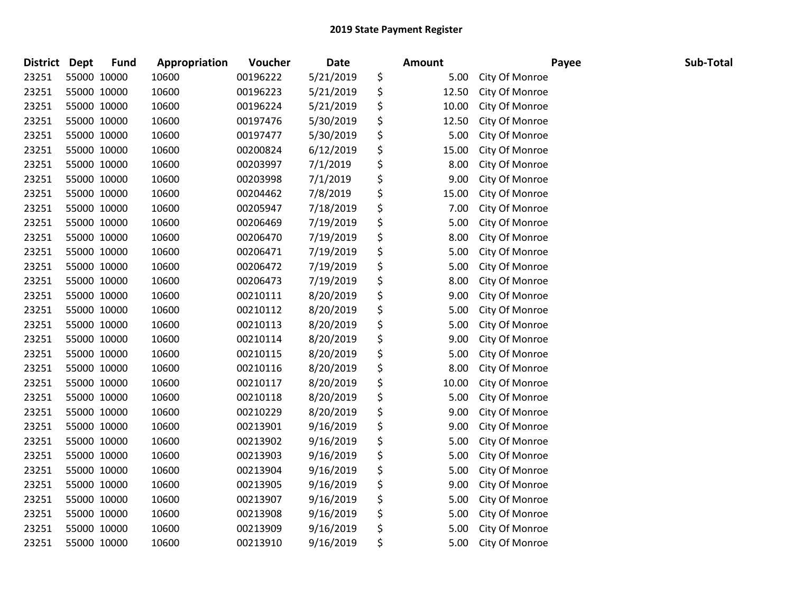| <b>District</b> | <b>Dept</b> | <b>Fund</b> | Appropriation | Voucher  | <b>Date</b> | <b>Amount</b> |                | Payee | Sub-Total |
|-----------------|-------------|-------------|---------------|----------|-------------|---------------|----------------|-------|-----------|
| 23251           |             | 55000 10000 | 10600         | 00196222 | 5/21/2019   | \$<br>5.00    | City Of Monroe |       |           |
| 23251           |             | 55000 10000 | 10600         | 00196223 | 5/21/2019   | \$<br>12.50   | City Of Monroe |       |           |
| 23251           | 55000 10000 |             | 10600         | 00196224 | 5/21/2019   | \$<br>10.00   | City Of Monroe |       |           |
| 23251           |             | 55000 10000 | 10600         | 00197476 | 5/30/2019   | \$<br>12.50   | City Of Monroe |       |           |
| 23251           |             | 55000 10000 | 10600         | 00197477 | 5/30/2019   | \$<br>5.00    | City Of Monroe |       |           |
| 23251           |             | 55000 10000 | 10600         | 00200824 | 6/12/2019   | \$<br>15.00   | City Of Monroe |       |           |
| 23251           |             | 55000 10000 | 10600         | 00203997 | 7/1/2019    | \$<br>8.00    | City Of Monroe |       |           |
| 23251           |             | 55000 10000 | 10600         | 00203998 | 7/1/2019    | \$<br>9.00    | City Of Monroe |       |           |
| 23251           |             | 55000 10000 | 10600         | 00204462 | 7/8/2019    | \$<br>15.00   | City Of Monroe |       |           |
| 23251           |             | 55000 10000 | 10600         | 00205947 | 7/18/2019   | \$<br>7.00    | City Of Monroe |       |           |
| 23251           |             | 55000 10000 | 10600         | 00206469 | 7/19/2019   | \$<br>5.00    | City Of Monroe |       |           |
| 23251           |             | 55000 10000 | 10600         | 00206470 | 7/19/2019   | \$<br>8.00    | City Of Monroe |       |           |
| 23251           |             | 55000 10000 | 10600         | 00206471 | 7/19/2019   | \$<br>5.00    | City Of Monroe |       |           |
| 23251           |             | 55000 10000 | 10600         | 00206472 | 7/19/2019   | \$<br>5.00    | City Of Monroe |       |           |
| 23251           |             | 55000 10000 | 10600         | 00206473 | 7/19/2019   | \$<br>8.00    | City Of Monroe |       |           |
| 23251           |             | 55000 10000 | 10600         | 00210111 | 8/20/2019   | \$<br>9.00    | City Of Monroe |       |           |
| 23251           |             | 55000 10000 | 10600         | 00210112 | 8/20/2019   | \$<br>5.00    | City Of Monroe |       |           |
| 23251           |             | 55000 10000 | 10600         | 00210113 | 8/20/2019   | \$<br>5.00    | City Of Monroe |       |           |
| 23251           |             | 55000 10000 | 10600         | 00210114 | 8/20/2019   | \$<br>9.00    | City Of Monroe |       |           |
| 23251           |             | 55000 10000 | 10600         | 00210115 | 8/20/2019   | \$<br>5.00    | City Of Monroe |       |           |
| 23251           |             | 55000 10000 | 10600         | 00210116 | 8/20/2019   | \$<br>8.00    | City Of Monroe |       |           |
| 23251           |             | 55000 10000 | 10600         | 00210117 | 8/20/2019   | \$<br>10.00   | City Of Monroe |       |           |
| 23251           |             | 55000 10000 | 10600         | 00210118 | 8/20/2019   | \$<br>5.00    | City Of Monroe |       |           |
| 23251           |             | 55000 10000 | 10600         | 00210229 | 8/20/2019   | \$<br>9.00    | City Of Monroe |       |           |
| 23251           |             | 55000 10000 | 10600         | 00213901 | 9/16/2019   | \$<br>9.00    | City Of Monroe |       |           |
| 23251           |             | 55000 10000 | 10600         | 00213902 | 9/16/2019   | \$<br>5.00    | City Of Monroe |       |           |
| 23251           |             | 55000 10000 | 10600         | 00213903 | 9/16/2019   | \$<br>5.00    | City Of Monroe |       |           |
| 23251           |             | 55000 10000 | 10600         | 00213904 | 9/16/2019   | \$<br>5.00    | City Of Monroe |       |           |
| 23251           |             | 55000 10000 | 10600         | 00213905 | 9/16/2019   | \$<br>9.00    | City Of Monroe |       |           |
| 23251           |             | 55000 10000 | 10600         | 00213907 | 9/16/2019   | \$<br>5.00    | City Of Monroe |       |           |
| 23251           |             | 55000 10000 | 10600         | 00213908 | 9/16/2019   | \$<br>5.00    | City Of Monroe |       |           |
| 23251           |             | 55000 10000 | 10600         | 00213909 | 9/16/2019   | \$<br>5.00    | City Of Monroe |       |           |
| 23251           | 55000 10000 |             | 10600         | 00213910 | 9/16/2019   | \$<br>5.00    | City Of Monroe |       |           |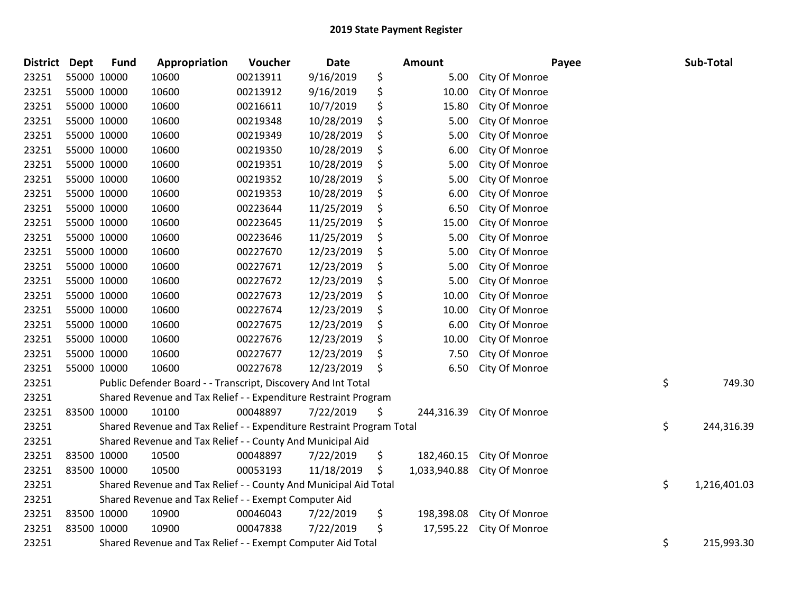| <b>District</b> | <b>Dept</b> | <b>Fund</b>                                                                               | Appropriation                                               | Voucher  | <b>Date</b> | <b>Amount</b> |              | Payee          |    | Sub-Total  |  |
|-----------------|-------------|-------------------------------------------------------------------------------------------|-------------------------------------------------------------|----------|-------------|---------------|--------------|----------------|----|------------|--|
| 23251           |             | 55000 10000                                                                               | 10600                                                       | 00213911 | 9/16/2019   | \$            | 5.00         | City Of Monroe |    |            |  |
| 23251           |             | 55000 10000                                                                               | 10600                                                       | 00213912 | 9/16/2019   | \$            | 10.00        | City Of Monroe |    |            |  |
| 23251           | 55000 10000 |                                                                                           | 10600                                                       | 00216611 | 10/7/2019   | \$            | 15.80        | City Of Monroe |    |            |  |
| 23251           | 55000 10000 |                                                                                           | 10600                                                       | 00219348 | 10/28/2019  | \$            | 5.00         | City Of Monroe |    |            |  |
| 23251           |             | 55000 10000                                                                               | 10600                                                       | 00219349 | 10/28/2019  | \$            | 5.00         | City Of Monroe |    |            |  |
| 23251           |             | 55000 10000                                                                               | 10600                                                       | 00219350 | 10/28/2019  | \$            | 6.00         | City Of Monroe |    |            |  |
| 23251           |             | 55000 10000                                                                               | 10600                                                       | 00219351 | 10/28/2019  | \$            | 5.00         | City Of Monroe |    |            |  |
| 23251           |             | 55000 10000                                                                               | 10600                                                       | 00219352 | 10/28/2019  | \$            | 5.00         | City Of Monroe |    |            |  |
| 23251           |             | 55000 10000                                                                               | 10600                                                       | 00219353 | 10/28/2019  |               | 6.00         | City Of Monroe |    |            |  |
| 23251           |             | 55000 10000                                                                               | 10600                                                       | 00223644 | 11/25/2019  | \$            | 6.50         | City Of Monroe |    |            |  |
| 23251           |             | 55000 10000                                                                               | 10600                                                       | 00223645 | 11/25/2019  | \$            | 15.00        | City Of Monroe |    |            |  |
| 23251           | 55000 10000 |                                                                                           | 10600                                                       | 00223646 | 11/25/2019  | \$            | 5.00         | City Of Monroe |    |            |  |
| 23251           | 55000 10000 |                                                                                           | 10600                                                       | 00227670 | 12/23/2019  | \$            | 5.00         | City Of Monroe |    |            |  |
| 23251           |             | 55000 10000                                                                               | 10600                                                       | 00227671 | 12/23/2019  |               | 5.00         | City Of Monroe |    |            |  |
| 23251           | 55000 10000 |                                                                                           | 10600                                                       | 00227672 | 12/23/2019  | \$            | 5.00         | City Of Monroe |    |            |  |
| 23251           |             | 55000 10000                                                                               | 10600                                                       | 00227673 | 12/23/2019  | \$            | 10.00        | City Of Monroe |    |            |  |
| 23251           | 55000 10000 |                                                                                           | 10600                                                       | 00227674 | 12/23/2019  | \$            | 10.00        | City Of Monroe |    |            |  |
| 23251           |             | 55000 10000                                                                               | 10600                                                       | 00227675 | 12/23/2019  | \$            | 6.00         | City Of Monroe |    |            |  |
| 23251           |             | 55000 10000                                                                               | 10600                                                       | 00227676 | 12/23/2019  | \$            | 10.00        | City Of Monroe |    |            |  |
| 23251           |             | 55000 10000                                                                               | 10600                                                       | 00227677 | 12/23/2019  | \$            | 7.50         | City Of Monroe |    |            |  |
| 23251           |             | 55000 10000                                                                               | 10600                                                       | 00227678 | 12/23/2019  | \$            | 6.50         | City Of Monroe |    |            |  |
| 23251           |             | \$<br>Public Defender Board - - Transcript, Discovery And Int Total                       |                                                             |          |             |               |              |                |    | 749.30     |  |
| 23251           |             | Shared Revenue and Tax Relief - - Expenditure Restraint Program                           |                                                             |          |             |               |              |                |    |            |  |
| 23251           |             | 83500 10000                                                                               | 10100                                                       | 00048897 | 7/22/2019   | \$            | 244,316.39   | City Of Monroe |    |            |  |
| 23251           |             | \$<br>244,316.39<br>Shared Revenue and Tax Relief - - Expenditure Restraint Program Total |                                                             |          |             |               |              |                |    |            |  |
| 23251           |             | Shared Revenue and Tax Relief - - County And Municipal Aid                                |                                                             |          |             |               |              |                |    |            |  |
| 23251           |             | 83500 10000                                                                               | 10500                                                       | 00048897 | 7/22/2019   | \$            | 182,460.15   | City Of Monroe |    |            |  |
| 23251           |             | 83500 10000                                                                               | 10500                                                       | 00053193 | 11/18/2019  | \$            | 1,033,940.88 | City Of Monroe |    |            |  |
| 23251           |             | \$<br>Shared Revenue and Tax Relief - - County And Municipal Aid Total<br>1,216,401.03    |                                                             |          |             |               |              |                |    |            |  |
| 23251           |             | Shared Revenue and Tax Relief - - Exempt Computer Aid                                     |                                                             |          |             |               |              |                |    |            |  |
| 23251           |             | 83500 10000                                                                               | 10900                                                       | 00046043 | 7/22/2019   | \$            | 198,398.08   | City Of Monroe |    |            |  |
| 23251           | 83500 10000 |                                                                                           | 10900                                                       | 00047838 | 7/22/2019   | \$            | 17,595.22    | City Of Monroe |    |            |  |
| 23251           |             |                                                                                           | Shared Revenue and Tax Relief - - Exempt Computer Aid Total |          |             |               |              |                | \$ | 215,993.30 |  |